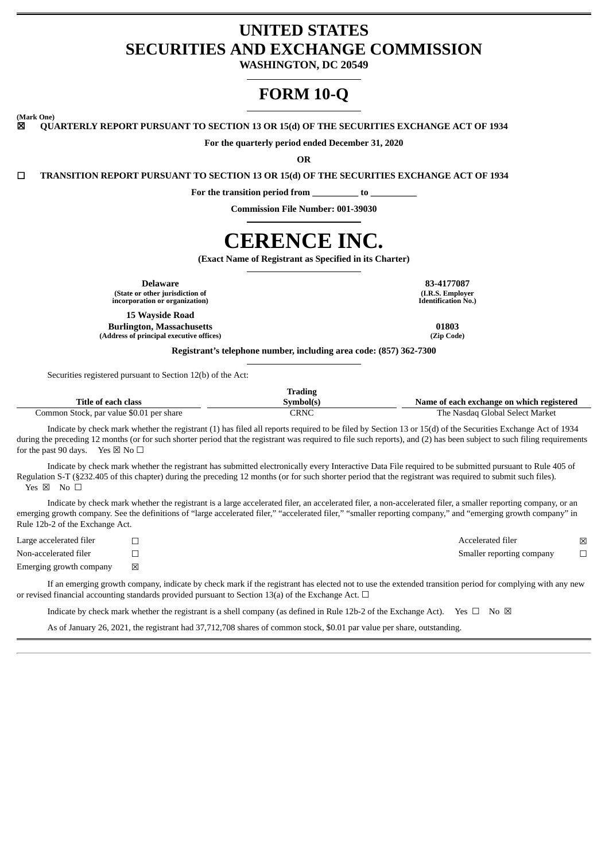# **UNITED STATES SECURITIES AND EXCHANGE COMMISSION**

**WASHINGTON, DC 20549**

# **FORM 10-Q**

**(Mark One)**

☒ **QUARTERLY REPORT PURSUANT TO SECTION 13 OR 15(d) OF THE SECURITIES EXCHANGE ACT OF 1934**

**For the quarterly period ended December 31, 2020**

**OR**

☐ **TRANSITION REPORT PURSUANT TO SECTION 13 OR 15(d) OF THE SECURITIES EXCHANGE ACT OF 1934**

**For the transition period from \_\_\_\_\_\_\_\_\_\_ to \_\_\_\_\_\_\_\_\_\_**

**Commission File Number: 001-39030**

# **CERENCE INC.**

**(Exact Name of Registrant as Specified in its Charter)**

**(State or other jurisdiction of incorporation or organization)**

**15 Wayside Road Burlington, Massachusetts 01803**

**(Address of principal executive offices) (Zip Code)**

**Delaware 83-4177087 (I.R.S. Employer Identification No.)**

**Registrant's telephone number, including area code: (857) 362-7300**

Securities registered pursuant to Section 12(b) of the Act:

|                                          | Trading   |                                           |
|------------------------------------------|-----------|-------------------------------------------|
| Title of each class                      | Svmbol(s) | Name of each exchange on which registered |
| Common Stock, par value \$0.01 per share | CRNC      | The Nasdag Global Select Market           |

Indicate by check mark whether the registrant (1) has filed all reports required to be filed by Section 13 or 15(d) of the Securities Exchange Act of 1934 during the preceding 12 months (or for such shorter period that the registrant was required to file such reports), and (2) has been subject to such filing requirements for the past 90 days. Yes  $\boxtimes$  No  $\Box$ 

Indicate by check mark whether the registrant has submitted electronically every Interactive Data File required to be submitted pursuant to Rule 405 of Regulation S-T (§232.405 of this chapter) during the preceding 12 months (or for such shorter period that the registrant was required to submit such files). Yes ⊠ No □

Indicate by check mark whether the registrant is a large accelerated filer, an accelerated filer, a non-accelerated filer, a smaller reporting company, or an emerging growth company. See the definitions of "large accelerated filer," "accelerated filer," "smaller reporting company," and "emerging growth company" in Rule 12b-2 of the Exchange Act.

Large accelerated filer ☐ Accelerated filer ☒ Non-accelerated filer ☐ Smaller reporting company ☐

Emerging growth company  $\boxtimes$ 

If an emerging growth company, indicate by check mark if the registrant has elected not to use the extended transition period for complying with any new or revised financial accounting standards provided pursuant to Section 13(a) of the Exchange Act.  $\Box$ 

Indicate by check mark whether the registrant is a shell company (as defined in Rule 12b-2 of the Exchange Act). Yes  $\Box$  No  $\boxtimes$ 

As of January 26, 2021, the registrant had 37,712,708 shares of common stock, \$0.01 par value per share, outstanding.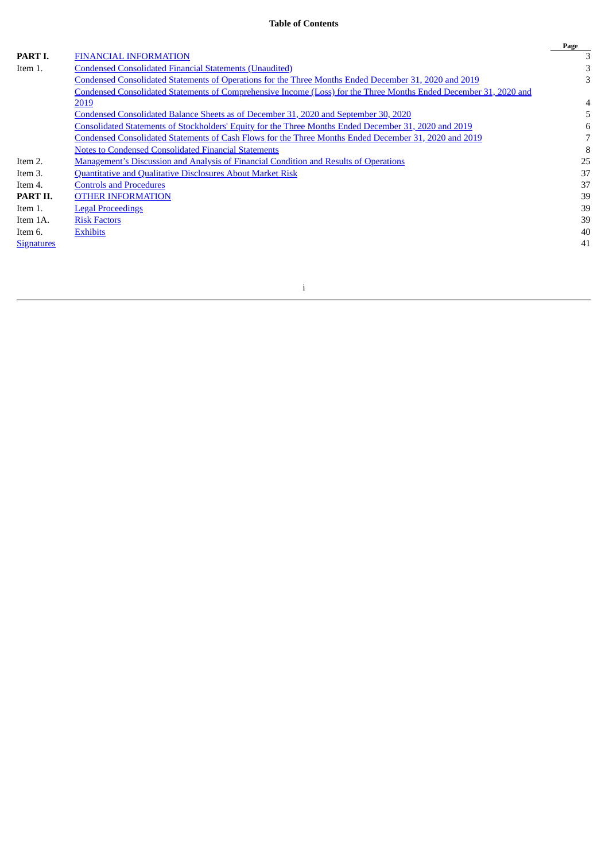# **Table of Contents**

|                   |                                                                                                                   | Page |
|-------------------|-------------------------------------------------------------------------------------------------------------------|------|
| PART I.           | <b>FINANCIAL INFORMATION</b>                                                                                      | 3    |
| Item 1.           | <b>Condensed Consolidated Financial Statements (Unaudited)</b>                                                    |      |
|                   | Condensed Consolidated Statements of Operations for the Three Months Ended December 31, 2020 and 2019             | 3    |
|                   | Condensed Consolidated Statements of Comprehensive Income (Loss) for the Three Months Ended December 31, 2020 and |      |
|                   | 2019                                                                                                              | 4    |
|                   | Condensed Consolidated Balance Sheets as of December 31, 2020 and September 30, 2020                              |      |
|                   | Consolidated Statements of Stockholders' Equity for the Three Months Ended December 31, 2020 and 2019             | 6    |
|                   | Condensed Consolidated Statements of Cash Flows for the Three Months Ended December 31, 2020 and 2019             |      |
|                   | <b>Notes to Condensed Consolidated Financial Statements</b>                                                       | 8    |
| Item 2.           | <b>Management's Discussion and Analysis of Financial Condition and Results of Operations</b>                      | 25   |
| Item 3.           | <b>Quantitative and Qualitative Disclosures About Market Risk</b>                                                 | 37   |
| Item 4.           | <b>Controls and Procedures</b>                                                                                    | 37   |
| PART II.          | <b>OTHER INFORMATION</b>                                                                                          | 39   |
| Item 1.           | <b>Legal Proceedings</b>                                                                                          | 39   |
| Item 1A.          | <b>Risk Factors</b>                                                                                               | 39   |
| Item 6.           | Exhibits                                                                                                          | 40   |
| <b>Signatures</b> |                                                                                                                   | 41   |
|                   |                                                                                                                   |      |

i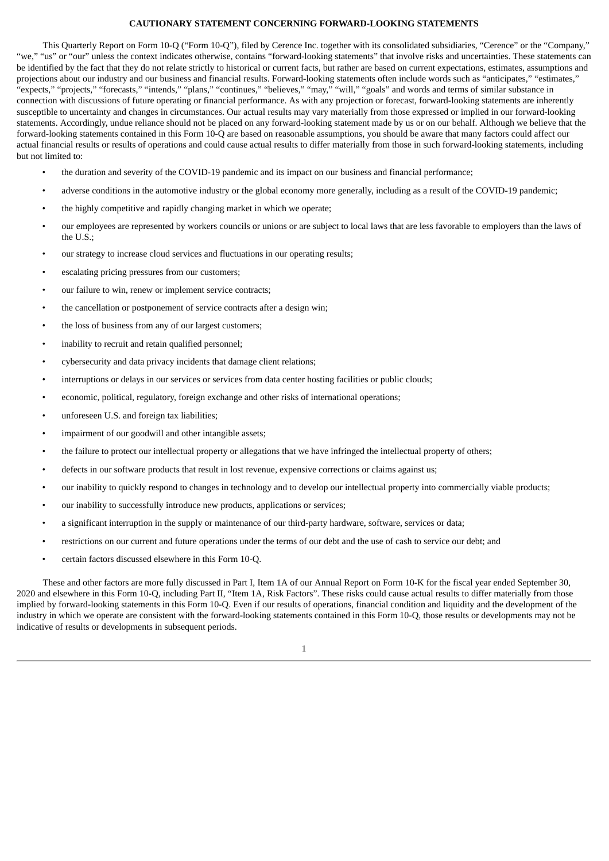#### **CAUTIONARY STATEMENT CONCERNING FORWARD-LOOKING STATEMENTS**

This Quarterly Report on Form 10-Q ("Form 10-Q"), filed by Cerence Inc. together with its consolidated subsidiaries, "Cerence" or the "Company," "we," "us" or "our" unless the context indicates otherwise, contains "forward-looking statements" that involve risks and uncertainties. These statements can be identified by the fact that they do not relate strictly to historical or current facts, but rather are based on current expectations, estimates, assumptions and projections about our industry and our business and financial results. Forward-looking statements often include words such as "anticipates," "estimates," "expects," "projects," "forecasts," "intends," "plans," "continues," "believes," "may," "will," "goals" and words and terms of similar substance in connection with discussions of future operating or financial performance. As with any projection or forecast, forward-looking statements are inherently susceptible to uncertainty and changes in circumstances. Our actual results may vary materially from those expressed or implied in our forward-looking statements. Accordingly, undue reliance should not be placed on any forward-looking statement made by us or on our behalf. Although we believe that the forward-looking statements contained in this Form 10-Q are based on reasonable assumptions, you should be aware that many factors could affect our actual financial results or results of operations and could cause actual results to differ materially from those in such forward-looking statements, including but not limited to:

- the duration and severity of the COVID-19 pandemic and its impact on our business and financial performance;
- adverse conditions in the automotive industry or the global economy more generally, including as a result of the COVID-19 pandemic;
- the highly competitive and rapidly changing market in which we operate;
- our employees are represented by workers councils or unions or are subject to local laws that are less favorable to employers than the laws of the U.S.;
- our strategy to increase cloud services and fluctuations in our operating results;
- escalating pricing pressures from our customers;
- our failure to win, renew or implement service contracts;
- the cancellation or postponement of service contracts after a design win;
- the loss of business from any of our largest customers;
- inability to recruit and retain qualified personnel;
- cybersecurity and data privacy incidents that damage client relations;
- interruptions or delays in our services or services from data center hosting facilities or public clouds;
- economic, political, regulatory, foreign exchange and other risks of international operations;
- unforeseen U.S. and foreign tax liabilities;
- impairment of our goodwill and other intangible assets;
- the failure to protect our intellectual property or allegations that we have infringed the intellectual property of others;
- defects in our software products that result in lost revenue, expensive corrections or claims against us;
- our inability to quickly respond to changes in technology and to develop our intellectual property into commercially viable products;
- our inability to successfully introduce new products, applications or services;
- a significant interruption in the supply or maintenance of our third-party hardware, software, services or data;
- restrictions on our current and future operations under the terms of our debt and the use of cash to service our debt; and
- certain factors discussed elsewhere in this Form 10-Q.

These and other factors are more fully discussed in Part I, Item 1A of our Annual Report on Form 10-K for the fiscal year ended September 30, 2020 and elsewhere in this Form 10-Q, including Part II, "Item 1A, Risk Factors". These risks could cause actual results to differ materially from those implied by forward-looking statements in this Form 10-Q. Even if our results of operations, financial condition and liquidity and the development of the industry in which we operate are consistent with the forward-looking statements contained in this Form 10-Q, those results or developments may not be indicative of results or developments in subsequent periods.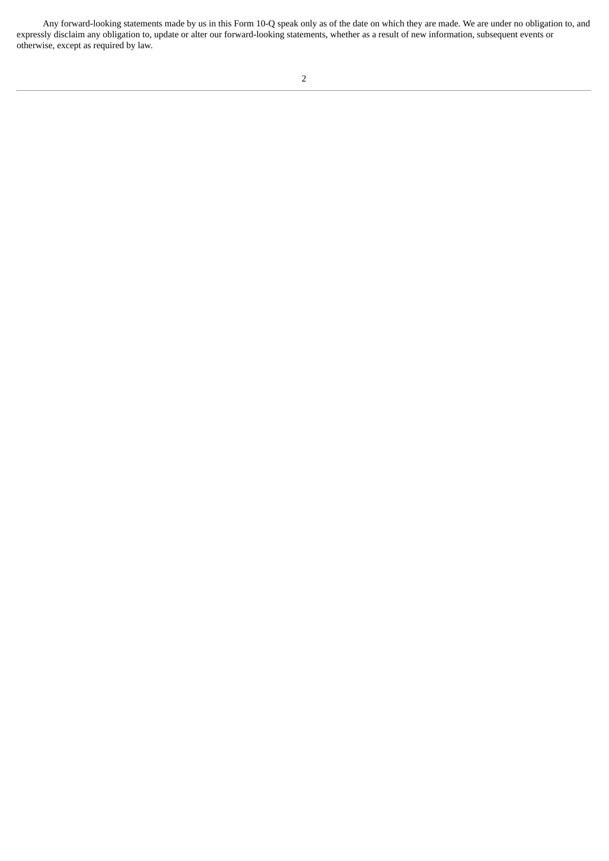Any forward-looking statements made by us in this Form 10-Q speak only as of the date on which they are made. We are under no obligation to, and expressly disclaim any obligation to, update or alter our forward-looking statements, whether as a result of new information, subsequent events or otherwise, except as required by law.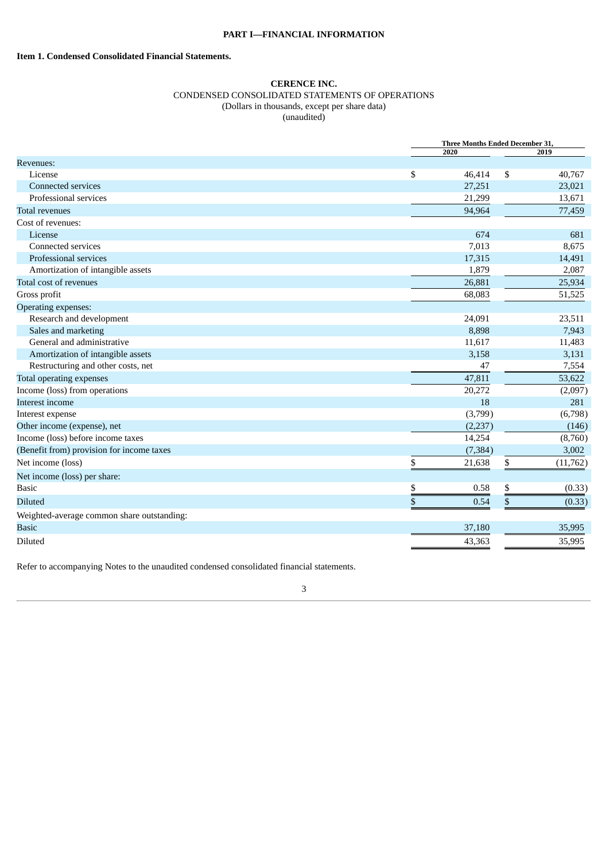# **PART I—FINANCIAL INFORMATION**

# <span id="page-4-2"></span><span id="page-4-1"></span><span id="page-4-0"></span>**Item 1. Condensed Consolidated Financial Statements.**

# **CERENCE INC.** CONDENSED CONSOLIDATED STATEMENTS OF OPERATIONS (Dollars in thousands, except per share data) (unaudited)

|                                            |              | Three Months Ended December 31, |           |  |  |  |
|--------------------------------------------|--------------|---------------------------------|-----------|--|--|--|
|                                            | 2020         |                                 | 2019      |  |  |  |
| <b>Revenues:</b>                           |              |                                 |           |  |  |  |
| License                                    | \$<br>46,414 | \$                              | 40,767    |  |  |  |
| <b>Connected services</b>                  | 27,251       |                                 | 23,021    |  |  |  |
| Professional services                      | 21,299       |                                 | 13,671    |  |  |  |
| <b>Total revenues</b>                      | 94,964       |                                 | 77,459    |  |  |  |
| Cost of revenues:                          |              |                                 |           |  |  |  |
| License                                    | 674          |                                 | 681       |  |  |  |
| Connected services                         | 7,013        |                                 | 8,675     |  |  |  |
| Professional services                      | 17,315       |                                 | 14,491    |  |  |  |
| Amortization of intangible assets          | 1,879        |                                 | 2,087     |  |  |  |
| Total cost of revenues                     | 26.881       |                                 | 25,934    |  |  |  |
| Gross profit                               | 68,083       |                                 | 51,525    |  |  |  |
| <b>Operating expenses:</b>                 |              |                                 |           |  |  |  |
| Research and development                   | 24,091       |                                 | 23,511    |  |  |  |
| Sales and marketing                        | 8,898        |                                 | 7,943     |  |  |  |
| General and administrative                 | 11,617       |                                 | 11,483    |  |  |  |
| Amortization of intangible assets          | 3,158        |                                 | 3,131     |  |  |  |
| Restructuring and other costs, net         | 47           |                                 | 7,554     |  |  |  |
| <b>Total operating expenses</b>            | 47,811       |                                 | 53,622    |  |  |  |
| Income (loss) from operations              | 20,272       |                                 | (2,097)   |  |  |  |
| Interest income                            | 18           |                                 | 281       |  |  |  |
| Interest expense                           | (3,799)      |                                 | (6,798)   |  |  |  |
| Other income (expense), net                | (2, 237)     |                                 | (146)     |  |  |  |
| Income (loss) before income taxes          | 14,254       |                                 | (8,760)   |  |  |  |
| (Benefit from) provision for income taxes  | (7, 384)     |                                 | 3,002     |  |  |  |
| Net income (loss)                          | \$<br>21,638 | \$                              | (11, 762) |  |  |  |
| Net income (loss) per share:               |              |                                 |           |  |  |  |
| <b>Basic</b>                               | \$<br>0.58   | \$                              | (0.33)    |  |  |  |
| <b>Diluted</b>                             | \$<br>0.54   | \$                              | (0.33)    |  |  |  |
| Weighted-average common share outstanding: |              |                                 |           |  |  |  |
| <b>Basic</b>                               | 37,180       |                                 | 35,995    |  |  |  |
| Diluted                                    | 43,363       |                                 | 35,995    |  |  |  |

Refer to accompanying Notes to the unaudited condensed consolidated financial statements.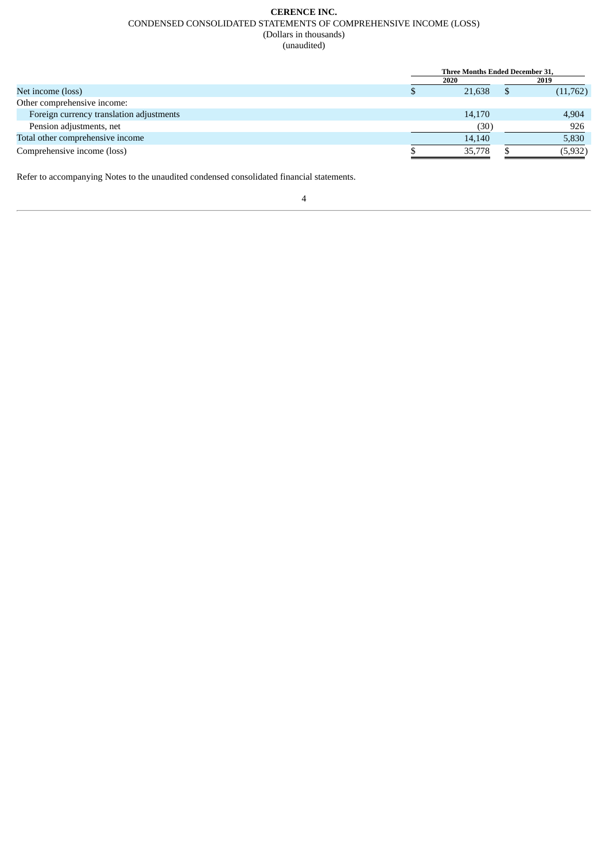# **CERENCE INC.** CONDENSED CONSOLIDATED STATEMENTS OF COMPREHENSIVE INCOME (LOSS) (Dollars in thousands) (unaudited)

<span id="page-5-0"></span>

|                                          |  | Three Months Ended December 31, |      |          |  |  |  |  |  |
|------------------------------------------|--|---------------------------------|------|----------|--|--|--|--|--|
|                                          |  | 2020                            | 2019 |          |  |  |  |  |  |
| Net income (loss)                        |  | 21,638                          |      | (11,762) |  |  |  |  |  |
| Other comprehensive income:              |  |                                 |      |          |  |  |  |  |  |
| Foreign currency translation adjustments |  | 14,170                          |      | 4,904    |  |  |  |  |  |
| Pension adjustments, net                 |  | (30)                            |      | 926      |  |  |  |  |  |
| Total other comprehensive income         |  | 14,140                          |      | 5,830    |  |  |  |  |  |
| Comprehensive income (loss)              |  | 35,778                          |      | (5,932)  |  |  |  |  |  |
|                                          |  |                                 |      |          |  |  |  |  |  |

Refer to accompanying Notes to the unaudited condensed consolidated financial statements.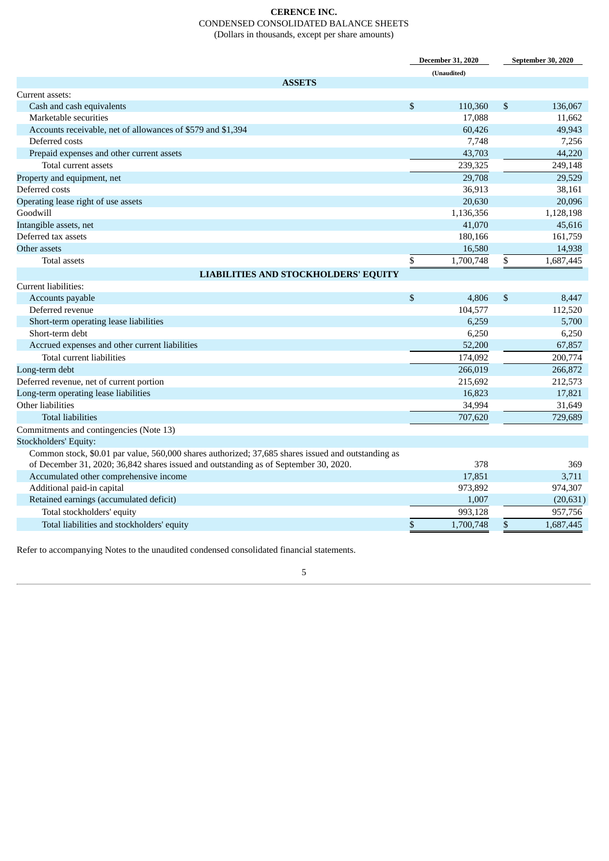# **CERENCE INC.** CONDENSED CONSOLIDATED BALANCE SHEETS (Dollars in thousands, except per share amounts)

<span id="page-6-0"></span>

| <b>December 31, 2020</b>                                                                           | September 30, 2020 |  |  |
|----------------------------------------------------------------------------------------------------|--------------------|--|--|
| (Unaudited)                                                                                        |                    |  |  |
| <b>ASSETS</b>                                                                                      |                    |  |  |
| Current assets:                                                                                    |                    |  |  |
| Cash and cash equivalents<br>\$<br>110,360<br>\$                                                   | 136,067            |  |  |
| Marketable securities<br>17,088                                                                    | 11,662             |  |  |
| Accounts receivable, net of allowances of \$579 and \$1,394<br>60,426                              | 49,943             |  |  |
| Deferred costs<br>7,748                                                                            | 7,256              |  |  |
| Prepaid expenses and other current assets<br>43,703                                                | 44,220             |  |  |
| 239,325<br>Total current assets                                                                    | 249,148            |  |  |
| 29,708<br>Property and equipment, net                                                              | 29,529             |  |  |
| 36,913<br>Deferred costs                                                                           | 38,161             |  |  |
| 20,630<br>Operating lease right of use assets                                                      | 20,096             |  |  |
| Goodwill<br>1,136,356                                                                              | 1,128,198          |  |  |
| Intangible assets, net<br>41,070                                                                   | 45,616             |  |  |
| Deferred tax assets<br>180,166                                                                     | 161,759            |  |  |
| 16,580<br>Other assets                                                                             | 14,938             |  |  |
| \$<br>\$<br>1,700,748<br><b>Total assets</b>                                                       | 1,687,445          |  |  |
| <b>LIABILITIES AND STOCKHOLDERS' EQUITY</b>                                                        |                    |  |  |
| Current liabilities:                                                                               |                    |  |  |
| $\mathbb{S}$<br>\$<br>Accounts payable<br>4,806                                                    | 8,447              |  |  |
| Deferred revenue<br>104,577                                                                        | 112,520            |  |  |
| 6,259<br>Short-term operating lease liabilities                                                    | 5,700              |  |  |
| Short-term debt<br>6,250                                                                           | 6,250              |  |  |
| Accrued expenses and other current liabilities<br>52,200                                           | 67,857             |  |  |
| Total current liabilities<br>174,092                                                               | 200,774            |  |  |
| 266,019<br>Long-term debt                                                                          | 266,872            |  |  |
| Deferred revenue, net of current portion<br>215,692                                                | 212,573            |  |  |
| 16,823<br>Long-term operating lease liabilities                                                    | 17,821             |  |  |
| Other liabilities<br>34,994                                                                        | 31,649             |  |  |
| 707,620<br><b>Total liabilities</b>                                                                | 729,689            |  |  |
| Commitments and contingencies (Note 13)                                                            |                    |  |  |
| Stockholders' Equity:                                                                              |                    |  |  |
| Common stock, \$0.01 par value, 560,000 shares authorized; 37,685 shares issued and outstanding as |                    |  |  |
| of December 31, 2020; 36,842 shares issued and outstanding as of September 30, 2020.<br>378        | 369                |  |  |
| Accumulated other comprehensive income<br>17,851                                                   | 3,711              |  |  |
| Additional paid-in capital<br>973,892                                                              | 974,307            |  |  |
| Retained earnings (accumulated deficit)<br>1,007                                                   | (20, 631)          |  |  |
| 993,128<br>Total stockholders' equity                                                              | 957,756            |  |  |
| \$<br>\$<br>1,700,748<br>Total liabilities and stockholders' equity                                | 1,687,445          |  |  |

Refer to accompanying Notes to the unaudited condensed consolidated financial statements.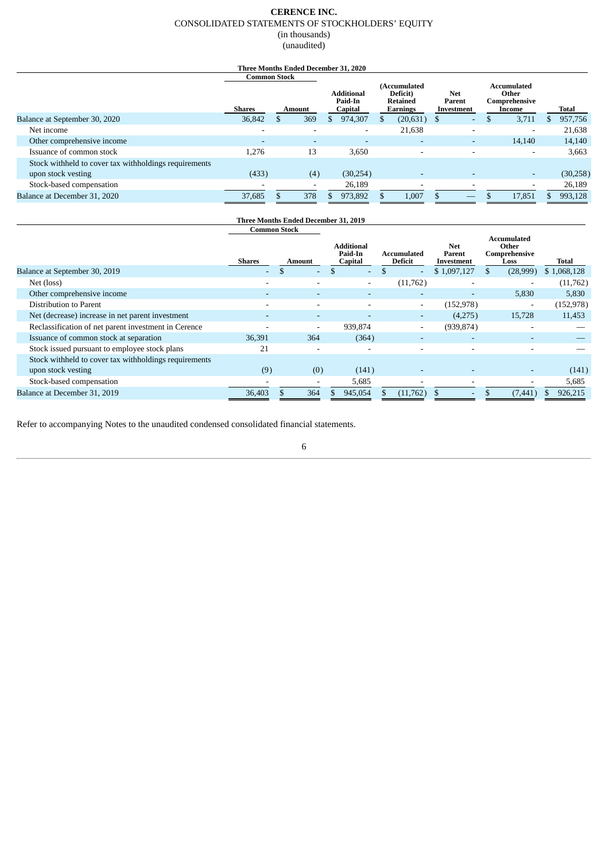# **CERENCE INC.** CONSOLIDATED STATEMENTS OF STOCKHOLDERS' EQUITY (in thousands) (unaudited)

<span id="page-7-0"></span>

|                                                       | <b>Common Stock</b> |    |        |    |                                         |                                                         |                             |   |                                                 |     |           |
|-------------------------------------------------------|---------------------|----|--------|----|-----------------------------------------|---------------------------------------------------------|-----------------------------|---|-------------------------------------------------|-----|-----------|
|                                                       | <b>Shares</b>       |    | Amount |    | <b>Additional</b><br>Paid-In<br>Capital | (Accumulated<br>Deficit)<br><b>Retained</b><br>Earnings | Net<br>Parent<br>Investment |   | Accumulated<br>Other<br>Comprehensive<br>Income |     | Total     |
| Balance at September 30, 2020                         | 36,842              | S. | 369    | S. | 974,307                                 | $(20,631)$ \$                                           | $\overline{\phantom{a}}$    | æ | 3,711                                           | SS. | 957,756   |
| Net income                                            | -                   |    |        |    |                                         | 21,638                                                  | $\overline{\phantom{a}}$    |   | $\overline{\phantom{a}}$                        |     | 21,638    |
| Other comprehensive income                            | -                   |    |        |    |                                         |                                                         | $\overline{\phantom{0}}$    |   | 14,140                                          |     | 14,140    |
| Issuance of common stock                              | 1,276               |    | 13     |    | 3,650                                   |                                                         |                             |   |                                                 |     | 3,663     |
| Stock withheld to cover tax withholdings requirements |                     |    |        |    |                                         |                                                         |                             |   |                                                 |     |           |
| upon stock vesting                                    | (433)               |    | (4)    |    | (30, 254)                               | -                                                       | -                           |   | $\sim$                                          |     | (30, 258) |
| Stock-based compensation                              |                     |    |        |    | 26,189                                  |                                                         |                             |   | $\overline{\phantom{a}}$                        |     | 26,189    |
| Balance at December 31, 2020                          | 37,685              |    | 378    |    | 973,892                                 | 1,007                                                   |                             |   | 17,851                                          |     | 993,128   |

| Total         |
|---------------|
| \$1,068,128   |
| (11,762)      |
| 5,830         |
| (152, 978)    |
| 11,453        |
|               |
|               |
|               |
|               |
| (141)         |
| 5,685         |
| 926,215<br>S. |
|               |

Refer to accompanying Notes to the unaudited condensed consolidated financial statements.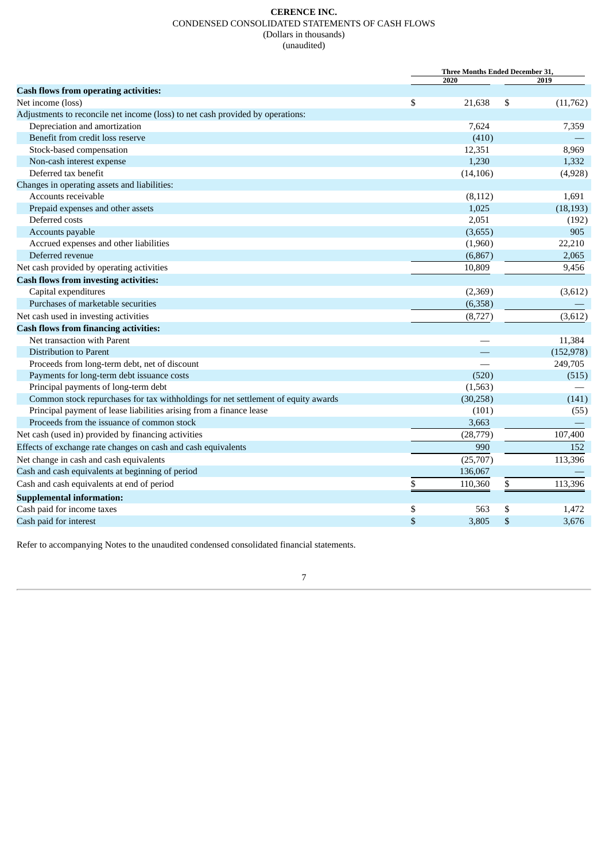# **CERENCE INC.** CONDENSED CONSOLIDATED STATEMENTS OF CASH FLOWS (Dollars in thousands) (unaudited)

<span id="page-8-0"></span>

|                                                                                   | Three Months Ended December 31, |    |            |  |
|-----------------------------------------------------------------------------------|---------------------------------|----|------------|--|
|                                                                                   | 2020                            |    | 2019       |  |
| <b>Cash flows from operating activities:</b>                                      |                                 |    |            |  |
| Net income (loss)                                                                 | \$<br>21,638                    | \$ | (11,762)   |  |
| Adjustments to reconcile net income (loss) to net cash provided by operations:    |                                 |    |            |  |
| Depreciation and amortization                                                     | 7,624                           |    | 7,359      |  |
| Benefit from credit loss reserve                                                  | (410)                           |    |            |  |
| Stock-based compensation                                                          | 12,351                          |    | 8,969      |  |
| Non-cash interest expense                                                         | 1,230                           |    | 1,332      |  |
| Deferred tax benefit                                                              | (14, 106)                       |    | (4,928)    |  |
| Changes in operating assets and liabilities:                                      |                                 |    |            |  |
| Accounts receivable                                                               | (8, 112)                        |    | 1,691      |  |
| Prepaid expenses and other assets                                                 | 1,025                           |    | (18, 193)  |  |
| Deferred costs                                                                    | 2,051                           |    | (192)      |  |
| Accounts payable                                                                  | (3,655)                         |    | 905        |  |
| Accrued expenses and other liabilities                                            | (1,960)                         |    | 22,210     |  |
| Deferred revenue                                                                  | (6, 867)                        |    | 2,065      |  |
| Net cash provided by operating activities                                         | 10,809                          |    | 9,456      |  |
| <b>Cash flows from investing activities:</b>                                      |                                 |    |            |  |
| Capital expenditures                                                              | (2,369)                         |    | (3,612)    |  |
| Purchases of marketable securities                                                | (6,358)                         |    |            |  |
| Net cash used in investing activities                                             | (8,727)                         |    | (3,612)    |  |
| <b>Cash flows from financing activities:</b>                                      |                                 |    |            |  |
| Net transaction with Parent                                                       |                                 |    | 11,384     |  |
| <b>Distribution to Parent</b>                                                     |                                 |    | (152, 978) |  |
| Proceeds from long-term debt, net of discount                                     |                                 |    | 249,705    |  |
| Payments for long-term debt issuance costs                                        | (520)                           |    | (515)      |  |
| Principal payments of long-term debt                                              | (1, 563)                        |    |            |  |
| Common stock repurchases for tax withholdings for net settlement of equity awards | (30, 258)                       |    | (141)      |  |
| Principal payment of lease liabilities arising from a finance lease               | (101)                           |    | (55)       |  |
| Proceeds from the issuance of common stock                                        | 3,663                           |    |            |  |
| Net cash (used in) provided by financing activities                               | (28, 779)                       |    | 107,400    |  |
| Effects of exchange rate changes on cash and cash equivalents                     | 990                             |    | 152        |  |
| Net change in cash and cash equivalents                                           | (25,707)                        |    | 113,396    |  |
| Cash and cash equivalents at beginning of period                                  | 136,067                         |    |            |  |
| Cash and cash equivalents at end of period                                        | \$<br>110,360                   | \$ | 113,396    |  |
| <b>Supplemental information:</b>                                                  |                                 |    |            |  |
| Cash paid for income taxes                                                        | \$<br>563                       | \$ | 1,472      |  |
| Cash paid for interest                                                            | \$<br>3,805                     | \$ | 3,676      |  |
|                                                                                   |                                 |    |            |  |

Refer to accompanying Notes to the unaudited condensed consolidated financial statements.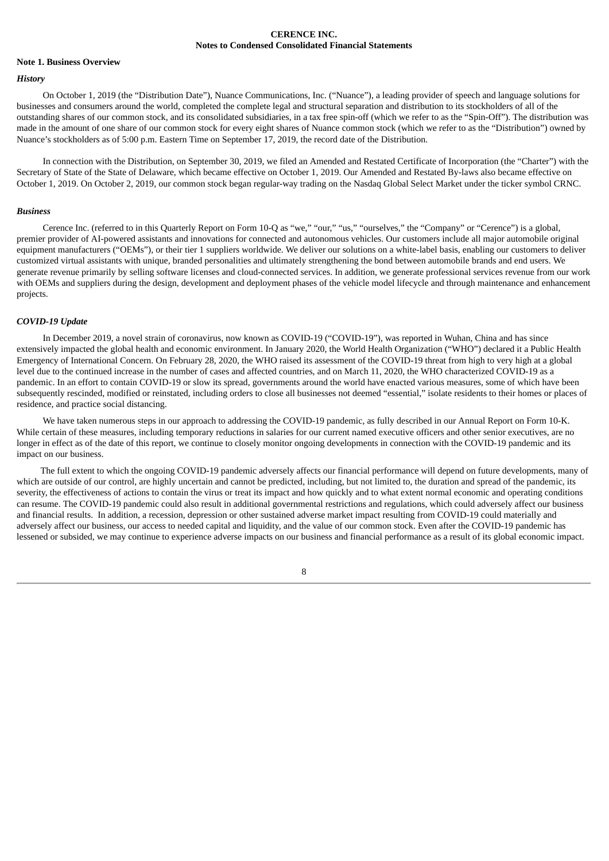#### **CERENCE INC. Notes to Condensed Consolidated Financial Statements**

#### <span id="page-9-0"></span>**Note 1. Business Overview**

#### *History*

On October 1, 2019 (the "Distribution Date"), Nuance Communications, Inc. ("Nuance"), a leading provider of speech and language solutions for businesses and consumers around the world, completed the complete legal and structural separation and distribution to its stockholders of all of the outstanding shares of our common stock, and its consolidated subsidiaries, in a tax free spin-off (which we refer to as the "Spin-Off"). The distribution was made in the amount of one share of our common stock for every eight shares of Nuance common stock (which we refer to as the "Distribution") owned by Nuance's stockholders as of 5:00 p.m. Eastern Time on September 17, 2019, the record date of the Distribution.

In connection with the Distribution, on September 30, 2019, we filed an Amended and Restated Certificate of Incorporation (the "Charter") with the Secretary of State of the State of Delaware, which became effective on October 1, 2019. Our Amended and Restated By-laws also became effective on October 1, 2019. On October 2, 2019, our common stock began regular-way trading on the Nasdaq Global Select Market under the ticker symbol CRNC.

#### *Business*

Cerence Inc. (referred to in this Quarterly Report on Form 10-Q as "we," "our," "us," "ourselves," the "Company" or "Cerence") is a global, premier provider of AI-powered assistants and innovations for connected and autonomous vehicles. Our customers include all major automobile original equipment manufacturers ("OEMs"), or their tier 1 suppliers worldwide. We deliver our solutions on a white-label basis, enabling our customers to deliver customized virtual assistants with unique, branded personalities and ultimately strengthening the bond between automobile brands and end users. We generate revenue primarily by selling software licenses and cloud-connected services. In addition, we generate professional services revenue from our work with OEMs and suppliers during the design, development and deployment phases of the vehicle model lifecycle and through maintenance and enhancement projects.

#### *COVID-19 Update*

In December 2019, a novel strain of coronavirus, now known as COVID-19 ("COVID-19"), was reported in Wuhan, China and has since extensively impacted the global health and economic environment. In January 2020, the World Health Organization ("WHO") declared it a Public Health Emergency of International Concern. On February 28, 2020, the WHO raised its assessment of the COVID-19 threat from high to very high at a global level due to the continued increase in the number of cases and affected countries, and on March 11, 2020, the WHO characterized COVID-19 as a pandemic. In an effort to contain COVID-19 or slow its spread, governments around the world have enacted various measures, some of which have been subsequently rescinded, modified or reinstated, including orders to close all businesses not deemed "essential," isolate residents to their homes or places of residence, and practice social distancing.

We have taken numerous steps in our approach to addressing the COVID-19 pandemic, as fully described in our Annual Report on Form 10-K. While certain of these measures, including temporary reductions in salaries for our current named executive officers and other senior executives, are no longer in effect as of the date of this report, we continue to closely monitor ongoing developments in connection with the COVID-19 pandemic and its impact on our business.

The full extent to which the ongoing COVID-19 pandemic adversely affects our financial performance will depend on future developments, many of which are outside of our control, are highly uncertain and cannot be predicted, including, but not limited to, the duration and spread of the pandemic, its severity, the effectiveness of actions to contain the virus or treat its impact and how quickly and to what extent normal economic and operating conditions can resume. The COVID-19 pandemic could also result in additional governmental restrictions and regulations, which could adversely affect our business and financial results. In addition, a recession, depression or other sustained adverse market impact resulting from COVID-19 could materially and adversely affect our business, our access to needed capital and liquidity, and the value of our common stock. Even after the COVID-19 pandemic has lessened or subsided, we may continue to experience adverse impacts on our business and financial performance as a result of its global economic impact.

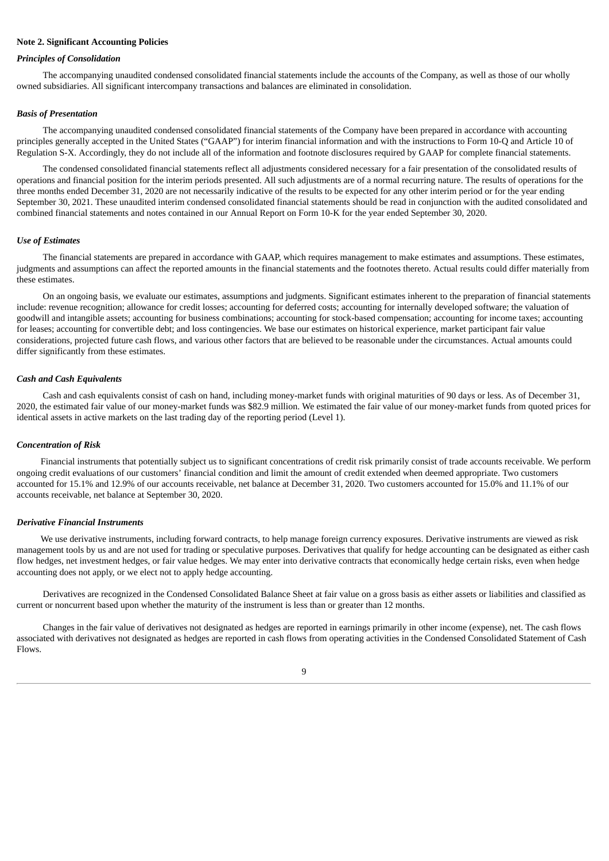#### **Note 2. Significant Accounting Policies**

# *Principles of Consolidation*

The accompanying unaudited condensed consolidated financial statements include the accounts of the Company, as well as those of our wholly owned subsidiaries. All significant intercompany transactions and balances are eliminated in consolidation.

#### *Basis of Presentation*

The accompanying unaudited condensed consolidated financial statements of the Company have been prepared in accordance with accounting principles generally accepted in the United States ("GAAP") for interim financial information and with the instructions to Form 10-Q and Article 10 of Regulation S-X. Accordingly, they do not include all of the information and footnote disclosures required by GAAP for complete financial statements.

The condensed consolidated financial statements reflect all adjustments considered necessary for a fair presentation of the consolidated results of operations and financial position for the interim periods presented. All such adjustments are of a normal recurring nature. The results of operations for the three months ended December 31, 2020 are not necessarily indicative of the results to be expected for any other interim period or for the year ending September 30, 2021. These unaudited interim condensed consolidated financial statements should be read in conjunction with the audited consolidated and combined financial statements and notes contained in our Annual Report on Form 10-K for the year ended September 30, 2020.

#### *Use of Estimates*

The financial statements are prepared in accordance with GAAP, which requires management to make estimates and assumptions. These estimates, judgments and assumptions can affect the reported amounts in the financial statements and the footnotes thereto. Actual results could differ materially from these estimates.

On an ongoing basis, we evaluate our estimates, assumptions and judgments. Significant estimates inherent to the preparation of financial statements include: revenue recognition; allowance for credit losses; accounting for deferred costs; accounting for internally developed software; the valuation of goodwill and intangible assets; accounting for business combinations; accounting for stock-based compensation; accounting for income taxes; accounting for leases; accounting for convertible debt; and loss contingencies. We base our estimates on historical experience, market participant fair value considerations, projected future cash flows, and various other factors that are believed to be reasonable under the circumstances. Actual amounts could differ significantly from these estimates.

#### *Cash and Cash Equivalents*

Cash and cash equivalents consist of cash on hand, including money-market funds with original maturities of 90 days or less. As of December 31, 2020, the estimated fair value of our money-market funds was \$82.9 million. We estimated the fair value of our money-market funds from quoted prices for identical assets in active markets on the last trading day of the reporting period (Level 1).

#### *Concentration of Risk*

Financial instruments that potentially subject us to significant concentrations of credit risk primarily consist of trade accounts receivable. We perform ongoing credit evaluations of our customers' financial condition and limit the amount of credit extended when deemed appropriate. Two customers accounted for 15.1% and 12.9% of our accounts receivable, net balance at December 31, 2020. Two customers accounted for 15.0% and 11.1% of our accounts receivable, net balance at September 30, 2020.

#### *Derivative Financial Instruments*

We use derivative instruments, including forward contracts, to help manage foreign currency exposures. Derivative instruments are viewed as risk management tools by us and are not used for trading or speculative purposes. Derivatives that qualify for hedge accounting can be designated as either cash flow hedges, net investment hedges, or fair value hedges. We may enter into derivative contracts that economically hedge certain risks, even when hedge accounting does not apply, or we elect not to apply hedge accounting.

Derivatives are recognized in the Condensed Consolidated Balance Sheet at fair value on a gross basis as either assets or liabilities and classified as current or noncurrent based upon whether the maturity of the instrument is less than or greater than 12 months.

Changes in the fair value of derivatives not designated as hedges are reported in earnings primarily in other income (expense), net. The cash flows associated with derivatives not designated as hedges are reported in cash flows from operating activities in the Condensed Consolidated Statement of Cash Flows.

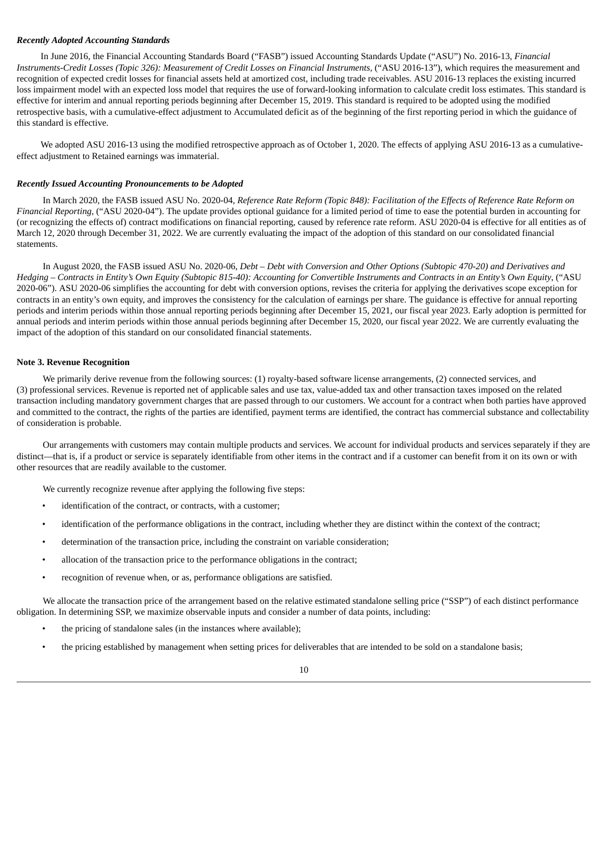#### *Recently Adopted Accounting Standards*

In June 2016, the Financial Accounting Standards Board ("FASB") issued Accounting Standards Update ("ASU") No. 2016-13, *Financial Instruments-Credit Losses (Topic 326): Measurement of Credit Losses on Financial Instruments*, ("ASU 2016-13"), which requires the measurement and recognition of expected credit losses for financial assets held at amortized cost, including trade receivables. ASU 2016-13 replaces the existing incurred loss impairment model with an expected loss model that requires the use of forward-looking information to calculate credit loss estimates. This standard is effective for interim and annual reporting periods beginning after December 15, 2019. This standard is required to be adopted using the modified retrospective basis, with a cumulative-effect adjustment to Accumulated deficit as of the beginning of the first reporting period in which the guidance of this standard is effective.

We adopted ASU 2016-13 using the modified retrospective approach as of October 1, 2020. The effects of applying ASU 2016-13 as a cumulativeeffect adjustment to Retained earnings was immaterial.

#### *Recently Issued Accounting Pronouncements to be Adopted*

In March 2020, the FASB issued ASU No. 2020-04, Reference Rate Reform (Topic 848): Facilitation of the Effects of Reference Rate Reform on *Financial Reporting*, ("ASU 2020-04"). The update provides optional guidance for a limited period of time to ease the potential burden in accounting for (or recognizing the effects of) contract modifications on financial reporting, caused by reference rate reform. ASU 2020-04 is effective for all entities as of March 12, 2020 through December 31, 2022. We are currently evaluating the impact of the adoption of this standard on our consolidated financial statements.

In August 2020, the FASB issued ASU No. 2020-06, *Debt – Debt with Conversion and Other Options (Subtopic 470-20) and Derivatives and* Hedging - Contracts in Entity's Own Equity (Subtopic 815-40): Accounting for Convertible Instruments and Contracts in an Entity's Own Equity, ("ASU 2020-06"). ASU 2020-06 simplifies the accounting for debt with conversion options, revises the criteria for applying the derivatives scope exception for contracts in an entity's own equity, and improves the consistency for the calculation of earnings per share. The guidance is effective for annual reporting periods and interim periods within those annual reporting periods beginning after December 15, 2021, our fiscal year 2023. Early adoption is permitted for annual periods and interim periods within those annual periods beginning after December 15, 2020, our fiscal year 2022. We are currently evaluating the impact of the adoption of this standard on our consolidated financial statements.

#### **Note 3. Revenue Recognition**

We primarily derive revenue from the following sources: (1) royalty-based software license arrangements, (2) connected services, and (3) professional services. Revenue is reported net of applicable sales and use tax, value-added tax and other transaction taxes imposed on the related transaction including mandatory government charges that are passed through to our customers. We account for a contract when both parties have approved and committed to the contract, the rights of the parties are identified, payment terms are identified, the contract has commercial substance and collectability of consideration is probable.

Our arrangements with customers may contain multiple products and services. We account for individual products and services separately if they are distinct—that is, if a product or service is separately identifiable from other items in the contract and if a customer can benefit from it on its own or with other resources that are readily available to the customer.

We currently recognize revenue after applying the following five steps:

- identification of the contract, or contracts, with a customer;
- identification of the performance obligations in the contract, including whether they are distinct within the context of the contract;
- determination of the transaction price, including the constraint on variable consideration;
- allocation of the transaction price to the performance obligations in the contract;
- recognition of revenue when, or as, performance obligations are satisfied.

We allocate the transaction price of the arrangement based on the relative estimated standalone selling price ("SSP") of each distinct performance obligation. In determining SSP, we maximize observable inputs and consider a number of data points, including:

- the pricing of standalone sales (in the instances where available);
- the pricing established by management when setting prices for deliverables that are intended to be sold on a standalone basis;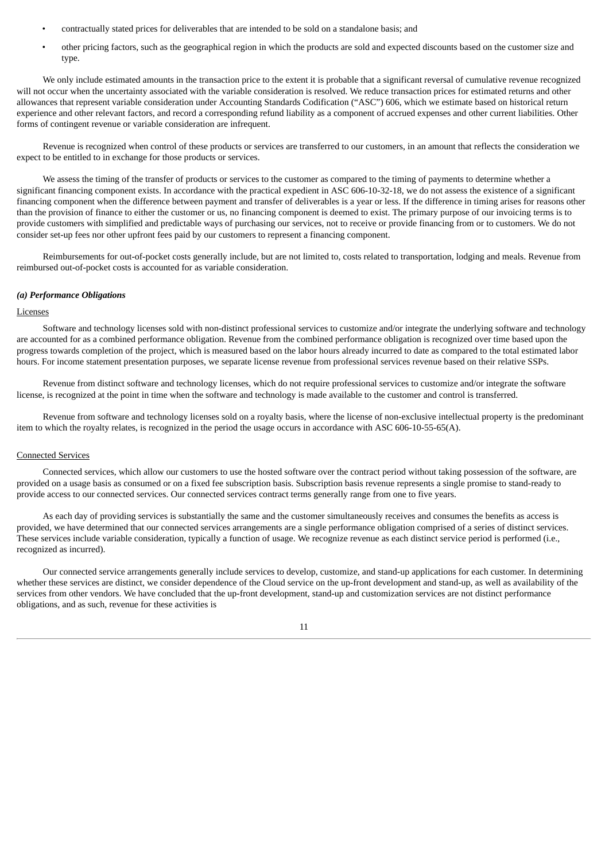- contractually stated prices for deliverables that are intended to be sold on a standalone basis; and
- other pricing factors, such as the geographical region in which the products are sold and expected discounts based on the customer size and type.

We only include estimated amounts in the transaction price to the extent it is probable that a significant reversal of cumulative revenue recognized will not occur when the uncertainty associated with the variable consideration is resolved. We reduce transaction prices for estimated returns and other allowances that represent variable consideration under Accounting Standards Codification ("ASC") 606, which we estimate based on historical return experience and other relevant factors, and record a corresponding refund liability as a component of accrued expenses and other current liabilities. Other forms of contingent revenue or variable consideration are infrequent.

Revenue is recognized when control of these products or services are transferred to our customers, in an amount that reflects the consideration we expect to be entitled to in exchange for those products or services.

We assess the timing of the transfer of products or services to the customer as compared to the timing of payments to determine whether a significant financing component exists. In accordance with the practical expedient in ASC 606-10-32-18, we do not assess the existence of a significant financing component when the difference between payment and transfer of deliverables is a year or less. If the difference in timing arises for reasons other than the provision of finance to either the customer or us, no financing component is deemed to exist. The primary purpose of our invoicing terms is to provide customers with simplified and predictable ways of purchasing our services, not to receive or provide financing from or to customers. We do not consider set-up fees nor other upfront fees paid by our customers to represent a financing component.

Reimbursements for out-of-pocket costs generally include, but are not limited to, costs related to transportation, lodging and meals. Revenue from reimbursed out-of-pocket costs is accounted for as variable consideration.

#### *(a) Performance Obligations*

#### Licenses

Software and technology licenses sold with non-distinct professional services to customize and/or integrate the underlying software and technology are accounted for as a combined performance obligation. Revenue from the combined performance obligation is recognized over time based upon the progress towards completion of the project, which is measured based on the labor hours already incurred to date as compared to the total estimated labor hours. For income statement presentation purposes, we separate license revenue from professional services revenue based on their relative SSPs.

Revenue from distinct software and technology licenses, which do not require professional services to customize and/or integrate the software license, is recognized at the point in time when the software and technology is made available to the customer and control is transferred.

Revenue from software and technology licenses sold on a royalty basis, where the license of non-exclusive intellectual property is the predominant item to which the royalty relates, is recognized in the period the usage occurs in accordance with ASC 606-10-55-65(A).

#### Connected Services

Connected services, which allow our customers to use the hosted software over the contract period without taking possession of the software, are provided on a usage basis as consumed or on a fixed fee subscription basis. Subscription basis revenue represents a single promise to stand-ready to provide access to our connected services. Our connected services contract terms generally range from one to five years.

As each day of providing services is substantially the same and the customer simultaneously receives and consumes the benefits as access is provided, we have determined that our connected services arrangements are a single performance obligation comprised of a series of distinct services. These services include variable consideration, typically a function of usage. We recognize revenue as each distinct service period is performed (i.e., recognized as incurred).

Our connected service arrangements generally include services to develop, customize, and stand-up applications for each customer. In determining whether these services are distinct, we consider dependence of the Cloud service on the up-front development and stand-up, as well as availability of the services from other vendors. We have concluded that the up-front development, stand-up and customization services are not distinct performance obligations, and as such, revenue for these activities is

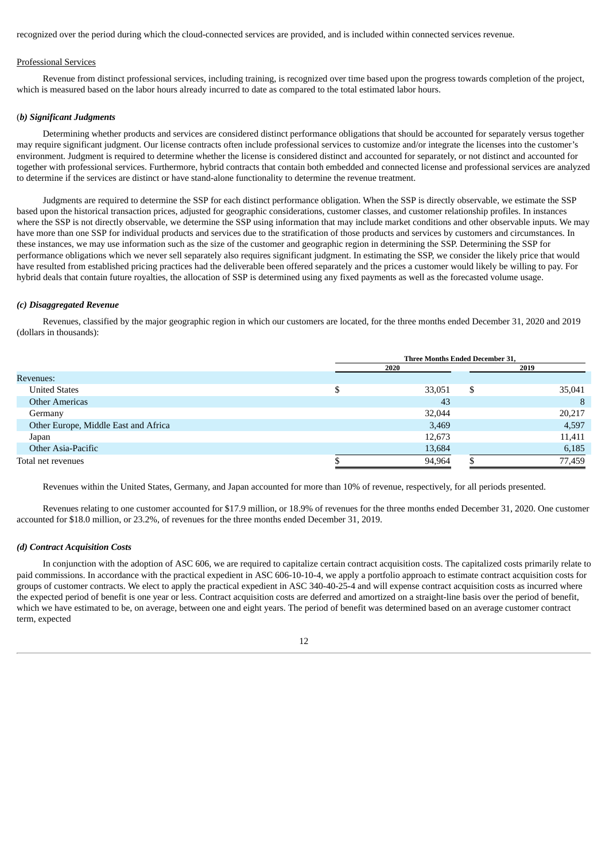recognized over the period during which the cloud-connected services are provided, and is included within connected services revenue.

#### Professional Services

Revenue from distinct professional services, including training, is recognized over time based upon the progress towards completion of the project, which is measured based on the labor hours already incurred to date as compared to the total estimated labor hours.

#### (*b) Significant Judgments*

Determining whether products and services are considered distinct performance obligations that should be accounted for separately versus together may require significant judgment. Our license contracts often include professional services to customize and/or integrate the licenses into the customer's environment. Judgment is required to determine whether the license is considered distinct and accounted for separately, or not distinct and accounted for together with professional services. Furthermore, hybrid contracts that contain both embedded and connected license and professional services are analyzed to determine if the services are distinct or have stand-alone functionality to determine the revenue treatment.

Judgments are required to determine the SSP for each distinct performance obligation. When the SSP is directly observable, we estimate the SSP based upon the historical transaction prices, adjusted for geographic considerations, customer classes, and customer relationship profiles. In instances where the SSP is not directly observable, we determine the SSP using information that may include market conditions and other observable inputs. We may have more than one SSP for individual products and services due to the stratification of those products and services by customers and circumstances. In these instances, we may use information such as the size of the customer and geographic region in determining the SSP. Determining the SSP for performance obligations which we never sell separately also requires significant judgment. In estimating the SSP, we consider the likely price that would have resulted from established pricing practices had the deliverable been offered separately and the prices a customer would likely be willing to pay. For hybrid deals that contain future royalties, the allocation of SSP is determined using any fixed payments as well as the forecasted volume usage.

#### *(c) Disaggregated Revenue*

Revenues, classified by the major geographic region in which our customers are located, for the three months ended December 31, 2020 and 2019 (dollars in thousands):

|                                      | Three Months Ended December 31, |        |    |        |  |  |  |
|--------------------------------------|---------------------------------|--------|----|--------|--|--|--|
|                                      |                                 | 2020   |    | 2019   |  |  |  |
| Revenues:                            |                                 |        |    |        |  |  |  |
| <b>United States</b>                 | \$                              | 33,051 | -S | 35,041 |  |  |  |
| <b>Other Americas</b>                |                                 | 43     |    | 8      |  |  |  |
| Germany                              |                                 | 32,044 |    | 20,217 |  |  |  |
| Other Europe, Middle East and Africa |                                 | 3,469  |    | 4,597  |  |  |  |
| Japan                                |                                 | 12,673 |    | 11,411 |  |  |  |
| Other Asia-Pacific                   |                                 | 13,684 |    | 6,185  |  |  |  |
| Total net revenues                   |                                 | 94,964 |    | 77,459 |  |  |  |

Revenues within the United States, Germany, and Japan accounted for more than 10% of revenue, respectively, for all periods presented.

Revenues relating to one customer accounted for \$17.9 million, or 18.9% of revenues for the three months ended December 31, 2020. One customer accounted for \$18.0 million, or 23.2%, of revenues for the three months ended December 31, 2019.

#### *(d) Contract Acquisition Costs*

In conjunction with the adoption of ASC 606, we are required to capitalize certain contract acquisition costs. The capitalized costs primarily relate to paid commissions. In accordance with the practical expedient in ASC 606-10-10-4, we apply a portfolio approach to estimate contract acquisition costs for groups of customer contracts. We elect to apply the practical expedient in ASC 340-40-25-4 and will expense contract acquisition costs as incurred where the expected period of benefit is one year or less. Contract acquisition costs are deferred and amortized on a straight-line basis over the period of benefit, which we have estimated to be, on average, between one and eight years. The period of benefit was determined based on an average customer contract term, expected

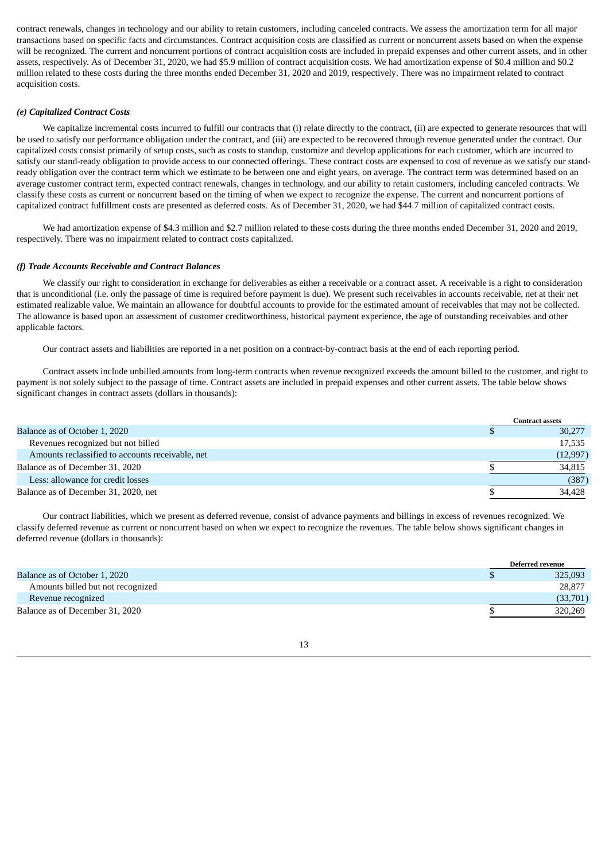contract renewals, changes in technology and our ability to retain customers, including canceled contracts. We assess the amortization term for all major transactions based on specific facts and circumstances. Contract acquisition costs are classified as current or noncurrent assets based on when the expense will be recognized. The current and noncurrent portions of contract acquisition costs are included in prepaid expenses and other current assets, and in other assets, respectively. As of December 31, 2020, we had \$5.9 million of contract acquisition costs. We had amortization expense of \$0.4 million and \$0.2 million related to these costs during the three months ended December 31, 2020 and 2019, respectively. There was no impairment related to contract acquisition costs.

#### *(e) Capitalized Contract Costs*

We capitalize incremental costs incurred to fulfill our contracts that (i) relate directly to the contract, (ii) are expected to generate resources that will be used to satisfy our performance obligation under the contract, and (iii) are expected to be recovered through revenue generated under the contract. Our capitalized costs consist primarily of setup costs, such as costs to standup, customize and develop applications for each customer, which are incurred to satisfy our stand-ready obligation to provide access to our connected offerings. These contract costs are expensed to cost of revenue as we satisfy our standready obligation over the contract term which we estimate to be between one and eight years, on average. The contract term was determined based on an average customer contract term, expected contract renewals, changes in technology, and our ability to retain customers, including canceled contracts. We classify these costs as current or noncurrent based on the timing of when we expect to recognize the expense. The current and noncurrent portions of capitalized contract fulfillment costs are presented as deferred costs. As of December 31, 2020, we had \$44.7 million of capitalized contract costs.

We had amortization expense of \$4.3 million and \$2.7 million related to these costs during the three months ended December 31, 2020 and 2019, respectively. There was no impairment related to contract costs capitalized.

#### *(f) Trade Accounts Receivable and Contract Balances*

We classify our right to consideration in exchange for deliverables as either a receivable or a contract asset. A receivable is a right to consideration that is unconditional (i.e. only the passage of time is required before payment is due). We present such receivables in accounts receivable, net at their net estimated realizable value. We maintain an allowance for doubtful accounts to provide for the estimated amount of receivables that may not be collected. The allowance is based upon an assessment of customer creditworthiness, historical payment experience, the age of outstanding receivables and other applicable factors.

Our contract assets and liabilities are reported in a net position on a contract-by-contract basis at the end of each reporting period.

Contract assets include unbilled amounts from long-term contracts when revenue recognized exceeds the amount billed to the customer, and right to payment is not solely subject to the passage of time. Contract assets are included in prepaid expenses and other current assets. The table below shows significant changes in contract assets (dollars in thousands):

|                                                  | <b>Contract assets</b> |
|--------------------------------------------------|------------------------|
| Balance as of October 1, 2020                    | 30,277                 |
| Revenues recognized but not billed               | 17,535                 |
| Amounts reclassified to accounts receivable, net | (12, 997)              |
| Balance as of December 31, 2020                  | 34,815                 |
| Less: allowance for credit losses                | (387)                  |
| Balance as of December 31, 2020, net             | 34,428                 |

Our contract liabilities, which we present as deferred revenue, consist of advance payments and billings in excess of revenues recognized. We classify deferred revenue as current or noncurrent based on when we expect to recognize the revenues. The table below shows significant changes in deferred revenue (dollars in thousands):

|                                   | Deferred revenue |
|-----------------------------------|------------------|
| Balance as of October 1, 2020     | 325,093          |
| Amounts billed but not recognized | 28,877           |
| Revenue recognized                | (33,701)         |
| Balance as of December 31, 2020   | 320,269          |

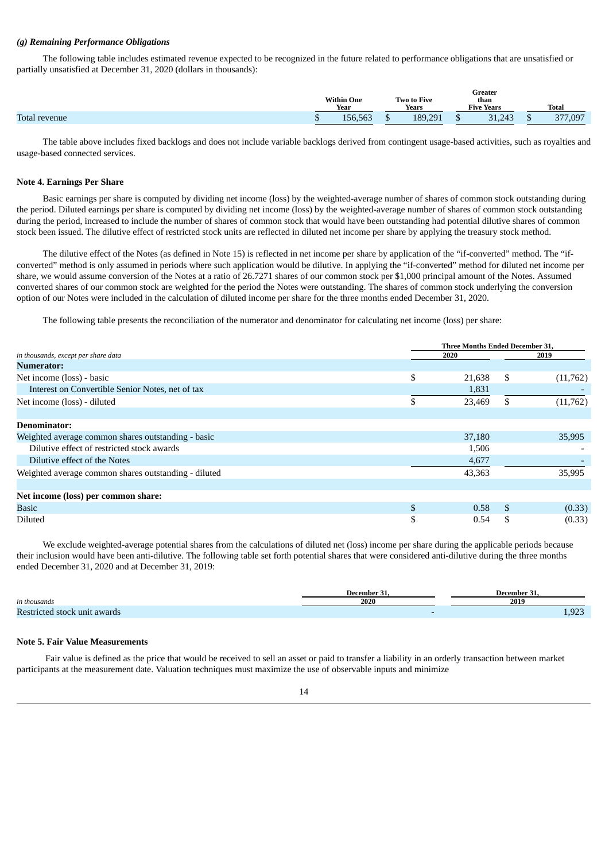#### *(g) Remaining Performance Obligations*

The following table includes estimated revenue expected to be recognized in the future related to performance obligations that are unsatisfied or partially unsatisfied at December 31, 2020 (dollars in thousands):

|               |                           |         |       |         |                   | Greater |              |                    |  |  |  |
|---------------|---------------------------|---------|-------|---------|-------------------|---------|--------------|--------------------|--|--|--|
|               | <b>Within One</b><br>Year |         |       |         | Two to Five       |         | than         |                    |  |  |  |
|               |                           |         | Years |         | <b>Five Years</b> |         | <b>Total</b> |                    |  |  |  |
| Total revenue |                           | 156.563 | ш     | 189.291 |                   | 31,243  |              | ,097<br>277<br>، ب |  |  |  |

The table above includes fixed backlogs and does not include variable backlogs derived from contingent usage-based activities, such as royalties and usage-based connected services.

#### **Note 4. Earnings Per Share**

Basic earnings per share is computed by dividing net income (loss) by the weighted-average number of shares of common stock outstanding during the period. Diluted earnings per share is computed by dividing net income (loss) by the weighted-average number of shares of common stock outstanding during the period, increased to include the number of shares of common stock that would have been outstanding had potential dilutive shares of common stock been issued. The dilutive effect of restricted stock units are reflected in diluted net income per share by applying the treasury stock method.

The dilutive effect of the Notes (as defined in Note 15) is reflected in net income per share by application of the "if-converted" method. The "ifconverted" method is only assumed in periods where such application would be dilutive. In applying the "if-converted" method for diluted net income per share, we would assume conversion of the Notes at a ratio of 26.7271 shares of our common stock per \$1,000 principal amount of the Notes. Assumed converted shares of our common stock are weighted for the period the Notes were outstanding. The shares of common stock underlying the conversion option of our Notes were included in the calculation of diluted income per share for the three months ended December 31, 2020.

The following table presents the reconciliation of the numerator and denominator for calculating net income (loss) per share:

|                                                      | <b>Three Months Ended December 31,</b> |        |               |          |  |
|------------------------------------------------------|----------------------------------------|--------|---------------|----------|--|
| in thousands, except per share data                  |                                        | 2020   |               | 2019     |  |
| Numerator:                                           |                                        |        |               |          |  |
| Net income (loss) - basic                            | \$                                     | 21,638 | -S            | (11,762) |  |
| Interest on Convertible Senior Notes, net of tax     |                                        | 1,831  |               |          |  |
| Net income (loss) - diluted                          | \$                                     | 23,469 | \$            | (11,762) |  |
| Denominator:                                         |                                        |        |               |          |  |
| Weighted average common shares outstanding - basic   |                                        | 37,180 |               | 35,995   |  |
| Dilutive effect of restricted stock awards           |                                        | 1,506  |               |          |  |
| Dilutive effect of the Notes                         |                                        | 4,677  |               |          |  |
| Weighted average common shares outstanding - diluted |                                        | 43,363 |               | 35,995   |  |
|                                                      |                                        |        |               |          |  |
| Net income (loss) per common share:                  |                                        |        |               |          |  |
| <b>Basic</b>                                         | \$                                     | 0.58   | <sup>\$</sup> | (0.33)   |  |
| <b>Diluted</b>                                       | \$                                     | 0.54   | £.            | (0.33)   |  |

We exclude weighted-average potential shares from the calculations of diluted net (loss) income per share during the applicable periods because their inclusion would have been anti-dilutive. The following table set forth potential shares that were considered anti-dilutive during the three months ended December 31, 2020 and at December 31, 2019:

|                                    | December | Jecember       |
|------------------------------------|----------|----------------|
| in thousands                       | 2020     | 2019           |
| Restricted<br>i stock unit awards. | -        | noo.<br>ل∟∠ل,⊥ |

#### **Note 5. Fair Value Measurements**

Fair value is defined as the price that would be received to sell an asset or paid to transfer a liability in an orderly transaction between market participants at the measurement date. Valuation techniques must maximize the use of observable inputs and minimize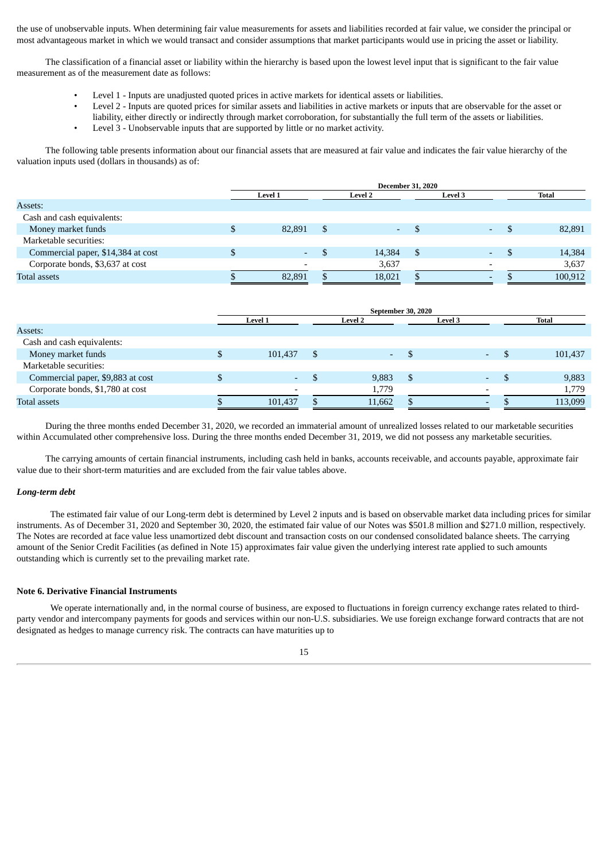the use of unobservable inputs. When determining fair value measurements for assets and liabilities recorded at fair value, we consider the principal or most advantageous market in which we would transact and consider assumptions that market participants would use in pricing the asset or liability.

The classification of a financial asset or liability within the hierarchy is based upon the lowest level input that is significant to the fair value measurement as of the measurement date as follows:

- Level 1 Inputs are unadjusted quoted prices in active markets for identical assets or liabilities.
- Level 2 Inputs are quoted prices for similar assets and liabilities in active markets or inputs that are observable for the asset or liability, either directly or indirectly through market corroboration, for substantially the full term of the assets or liabilities.
- Level 3 Unobservable inputs that are supported by little or no market activity.

The following table presents information about our financial assets that are measured at fair value and indicates the fair value hierarchy of the valuation inputs used (dollars in thousands) as of:

|                                    | <b>December 31, 2020</b> |    |                          |     |                          |   |              |  |  |
|------------------------------------|--------------------------|----|--------------------------|-----|--------------------------|---|--------------|--|--|
|                                    | Level 1                  |    | <b>Level 2</b>           |     | Level 3                  |   | <b>Total</b> |  |  |
| Assets:                            |                          |    |                          |     |                          |   |              |  |  |
| Cash and cash equivalents:         |                          |    |                          |     |                          |   |              |  |  |
| Money market funds                 | 82,891                   | -S | $\overline{\phantom{0}}$ |     | $\overline{\phantom{0}}$ | D | 82,891       |  |  |
| Marketable securities:             |                          |    |                          |     |                          |   |              |  |  |
| Commercial paper, \$14,384 at cost | <b>THE R</b>             |    | 14,384                   | -\$ | ۰.                       |   | 14,384       |  |  |
| Corporate bonds, \$3,637 at cost   |                          |    | 3,637                    |     |                          |   | 3,637        |  |  |
| <b>Total assets</b>                | 82,891                   |    | 18,021                   |     |                          |   | 100,912      |  |  |

|                                   | <b>September 30, 2020</b> |                          |   |                          |    |                |                          |  |              |
|-----------------------------------|---------------------------|--------------------------|---|--------------------------|----|----------------|--------------------------|--|--------------|
|                                   |                           | Level 1                  |   | <b>Level 2</b>           |    | <b>Level 3</b> |                          |  | <b>Total</b> |
| Assets:                           |                           |                          |   |                          |    |                |                          |  |              |
| Cash and cash equivalents:        |                           |                          |   |                          |    |                |                          |  |              |
| Money market funds                |                           | 101,437                  | S | $\overline{\phantom{0}}$ | S  |                | $\overline{\phantom{a}}$ |  | 101,437      |
| Marketable securities:            |                           |                          |   |                          |    |                |                          |  |              |
| Commercial paper, \$9,883 at cost |                           | $\overline{\phantom{a}}$ |   | 9,883                    | \$ |                | $\overline{\phantom{0}}$ |  | 9,883        |
| Corporate bonds, \$1,780 at cost  |                           | -                        |   | 1,779                    |    |                | $\overline{\phantom{0}}$ |  | 1,779        |
| Total assets                      |                           | 101,437                  |   | 11,662                   |    |                | $\overline{\phantom{0}}$ |  | 113,099      |

During the three months ended December 31, 2020, we recorded an immaterial amount of unrealized losses related to our marketable securities within Accumulated other comprehensive loss. During the three months ended December 31, 2019, we did not possess any marketable securities.

The carrying amounts of certain financial instruments, including cash held in banks, accounts receivable, and accounts payable, approximate fair value due to their short-term maturities and are excluded from the fair value tables above.

#### *Long-term debt*

The estimated fair value of our Long-term debt is determined by Level 2 inputs and is based on observable market data including prices for similar instruments. As of December 31, 2020 and September 30, 2020, the estimated fair value of our Notes was \$501.8 million and \$271.0 million, respectively. The Notes are recorded at face value less unamortized debt discount and transaction costs on our condensed consolidated balance sheets. The carrying amount of the Senior Credit Facilities (as defined in Note 15) approximates fair value given the underlying interest rate applied to such amounts outstanding which is currently set to the prevailing market rate.

#### **Note 6. Derivative Financial Instruments**

We operate internationally and, in the normal course of business, are exposed to fluctuations in foreign currency exchange rates related to thirdparty vendor and intercompany payments for goods and services within our non-U.S. subsidiaries. We use foreign exchange forward contracts that are not designated as hedges to manage currency risk. The contracts can have maturities up to

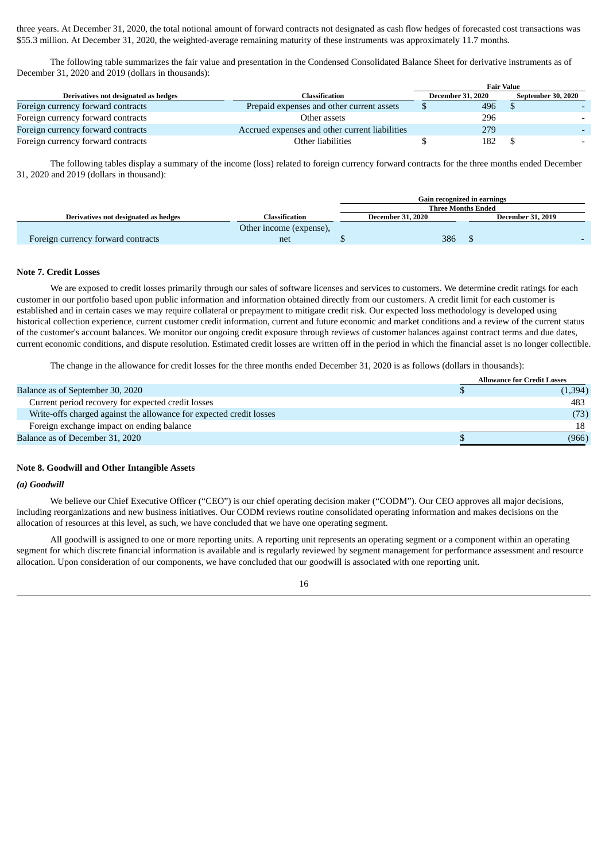three years. At December 31, 2020, the total notional amount of forward contracts not designated as cash flow hedges of forecasted cost transactions was \$55.3 million. At December 31, 2020, the weighted-average remaining maturity of these instruments was approximately 11.7 months.

The following table summarizes the fair value and presentation in the Condensed Consolidated Balance Sheet for derivative instruments as of December 31, 2020 and 2019 (dollars in thousands):

|                                      |                                                |  |                          | <b>Fair Value</b> |                           |
|--------------------------------------|------------------------------------------------|--|--------------------------|-------------------|---------------------------|
| Derivatives not designated as hedges | Classification                                 |  | <b>December 31, 2020</b> |                   | <b>September 30, 2020</b> |
| Foreign currency forward contracts   | Prepaid expenses and other current assets      |  | 496                      |                   |                           |
| Foreign currency forward contracts   | Other assets                                   |  | 296                      |                   |                           |
| Foreign currency forward contracts   | Accrued expenses and other current liabilities |  | 279                      |                   |                           |
| Foreign currency forward contracts   | Other liabilities                              |  | 182                      |                   |                           |

The following tables display a summary of the income (loss) related to foreign currency forward contracts for the three months ended December 31, 2020 and 2019 (dollars in thousand):

|                                      |                         | <b>Gain recognized in earnings</b> |                          |     |  |                          |  |
|--------------------------------------|-------------------------|------------------------------------|--------------------------|-----|--|--------------------------|--|
|                                      |                         | <b>Three Months Ended</b>          |                          |     |  |                          |  |
| Derivatives not designated as hedges | Classification          |                                    | <b>December 31, 2020</b> |     |  | <b>December 31, 2019</b> |  |
|                                      | Other income (expense), |                                    |                          |     |  |                          |  |
| Foreign currency forward contracts   | net                     |                                    |                          | 386 |  |                          |  |

#### **Note 7. Credit Losses**

We are exposed to credit losses primarily through our sales of software licenses and services to customers. We determine credit ratings for each customer in our portfolio based upon public information and information obtained directly from our customers. A credit limit for each customer is established and in certain cases we may require collateral or prepayment to mitigate credit risk. Our expected loss methodology is developed using historical collection experience, current customer credit information, current and future economic and market conditions and a review of the current status of the customer's account balances. We monitor our ongoing credit exposure through reviews of customer balances against contract terms and due dates, current economic conditions, and dispute resolution. Estimated credit losses are written off in the period in which the financial asset is no longer collectible.

The change in the allowance for credit losses for the three months ended December 31, 2020 is as follows (dollars in thousands):

|                                                                     | <b>Allowance for Credit Losses</b> |
|---------------------------------------------------------------------|------------------------------------|
| Balance as of September 30, 2020                                    | (1, 394)                           |
| Current period recovery for expected credit losses                  | 483                                |
| Write-offs charged against the allowance for expected credit losses | (73)                               |
| Foreign exchange impact on ending balance                           |                                    |
| Balance as of December 31, 2020                                     | (966)                              |

#### **Note 8. Goodwill and Other Intangible Assets**

#### *(a) Goodwill*

We believe our Chief Executive Officer ("CEO") is our chief operating decision maker ("CODM"). Our CEO approves all major decisions, including reorganizations and new business initiatives. Our CODM reviews routine consolidated operating information and makes decisions on the allocation of resources at this level, as such, we have concluded that we have one operating segment.

All goodwill is assigned to one or more reporting units. A reporting unit represents an operating segment or a component within an operating segment for which discrete financial information is available and is regularly reviewed by segment management for performance assessment and resource allocation. Upon consideration of our components, we have concluded that our goodwill is associated with one reporting unit.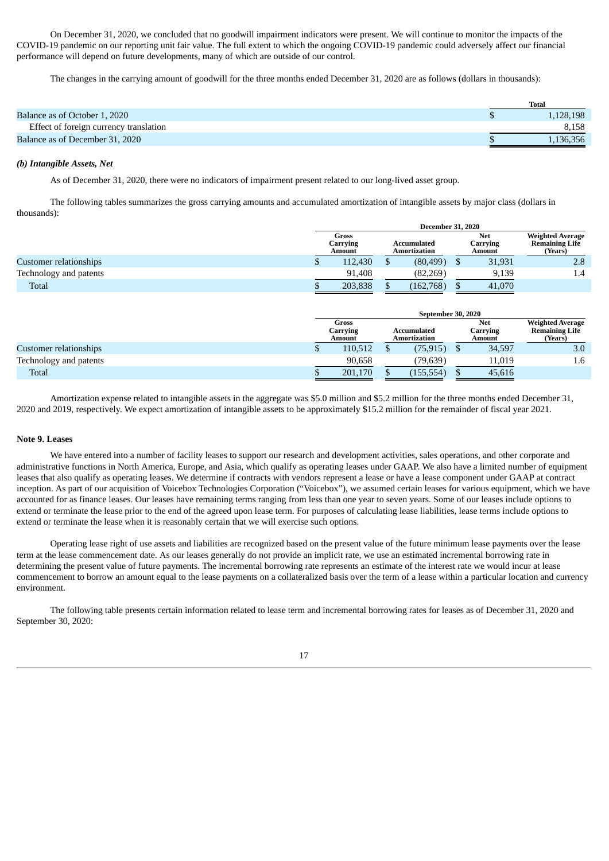On December 31, 2020, we concluded that no goodwill impairment indicators were present. We will continue to monitor the impacts of the COVID-19 pandemic on our reporting unit fair value. The full extent to which the ongoing COVID-19 pandemic could adversely affect our financial performance will depend on future developments, many of which are outside of our control.

The changes in the carrying amount of goodwill for the three months ended December 31, 2020 are as follows (dollars in thousands):

|                                        | <b>Total</b> |
|----------------------------------------|--------------|
| Balance as of October 1, 2020          | 1,128,198    |
| Effect of foreign currency translation | 8,158        |
| Balance as of December 31, 2020        | 1,136,356    |

# *(b) Intangible Assets, Net*

As of December 31, 2020, there were no indicators of impairment present related to our long-lived asset group.

The following tables summarizes the gross carrying amounts and accumulated amortization of intangible assets by major class (dollars in thousands):

|                        | <b>December 31, 2020</b> |                                    |             |                                    |                                                  |                           |                                                             |
|------------------------|--------------------------|------------------------------------|-------------|------------------------------------|--------------------------------------------------|---------------------------|-------------------------------------------------------------|
|                        |                          | <b>Gross</b><br>Carrying<br>Amount |             | Accumulated<br><b>Amortization</b> |                                                  | Net<br>Carrying<br>Amount | <b>Weighted Average</b><br><b>Remaining Life</b><br>(Years) |
| Customer relationships | D.                       | 112,430                            | S           | (80, 499)                          | \$                                               | 31,931                    | 2.8                                                         |
| Technology and patents |                          | 91,408                             |             | (82,269)                           |                                                  | 9,139                     | 1.4                                                         |
| Total                  |                          | 203,838                            | \$          | (162,768)                          |                                                  | 41,070                    |                                                             |
|                        |                          |                                    |             | <b>September 30, 2020</b>          |                                                  |                           |                                                             |
|                        |                          | <b>Gross</b><br>Carrying<br>Amount | Accumulated |                                    | <b>Net</b><br>Carrying<br>Amortization<br>Amount |                           | <b>Weighted Average</b><br><b>Remaining Life</b><br>(Years) |
|                        |                          |                                    |             |                                    |                                                  |                           |                                                             |
| Customer relationships | Ж                        | 110,512                            | S           | (75, 915)                          | <sup>\$</sup>                                    | 34,597                    | 3.0                                                         |
| Technology and patents |                          | 90,658                             |             | (79, 639)                          |                                                  | 11,019                    | 1.6                                                         |
| <b>Total</b>           |                          | 201,170                            |             | (155, 554)                         |                                                  | 45,616                    |                                                             |

Amortization expense related to intangible assets in the aggregate was \$5.0 million and \$5.2 million for the three months ended December 31, 2020 and 2019, respectively. We expect amortization of intangible assets to be approximately \$15.2 million for the remainder of fiscal year 2021.

#### **Note 9. Leases**

We have entered into a number of facility leases to support our research and development activities, sales operations, and other corporate and administrative functions in North America, Europe, and Asia, which qualify as operating leases under GAAP. We also have a limited number of equipment leases that also qualify as operating leases. We determine if contracts with vendors represent a lease or have a lease component under GAAP at contract inception. As part of our acquisition of Voicebox Technologies Corporation ("Voicebox"), we assumed certain leases for various equipment, which we have accounted for as finance leases. Our leases have remaining terms ranging from less than one year to seven years. Some of our leases include options to extend or terminate the lease prior to the end of the agreed upon lease term. For purposes of calculating lease liabilities, lease terms include options to extend or terminate the lease when it is reasonably certain that we will exercise such options.

Operating lease right of use assets and liabilities are recognized based on the present value of the future minimum lease payments over the lease term at the lease commencement date. As our leases generally do not provide an implicit rate, we use an estimated incremental borrowing rate in determining the present value of future payments. The incremental borrowing rate represents an estimate of the interest rate we would incur at lease commencement to borrow an amount equal to the lease payments on a collateralized basis over the term of a lease within a particular location and currency environment.

The following table presents certain information related to lease term and incremental borrowing rates for leases as of December 31, 2020 and September 30, 2020:

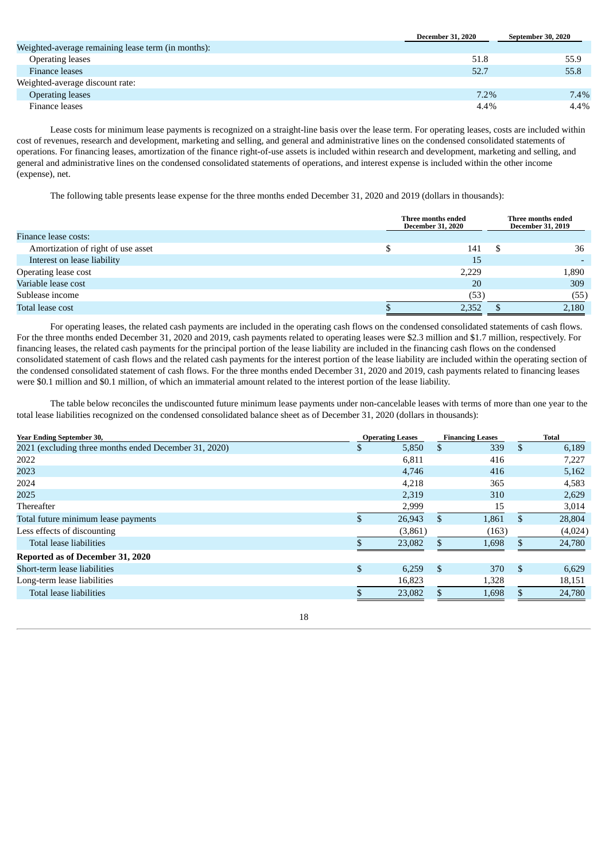|                                                    | <b>December 31, 2020</b> | September 30, 2020 |
|----------------------------------------------------|--------------------------|--------------------|
| Weighted-average remaining lease term (in months): |                          |                    |
| <b>Operating leases</b>                            | 51.8                     | 55.9               |
| Finance leases                                     | 52.7                     | 55.8               |
| Weighted-average discount rate:                    |                          |                    |
| <b>Operating leases</b>                            | $7.2\%$                  | 7.4%               |
| Finance leases                                     | 4.4%                     | 4.4%               |

Lease costs for minimum lease payments is recognized on a straight-line basis over the lease term. For operating leases, costs are included within cost of revenues, research and development, marketing and selling, and general and administrative lines on the condensed consolidated statements of operations. For financing leases, amortization of the finance right-of-use assets is included within research and development, marketing and selling, and general and administrative lines on the condensed consolidated statements of operations, and interest expense is included within the other income (expense), net.

The following table presents lease expense for the three months ended December 31, 2020 and 2019 (dollars in thousands):

| Finance lease costs:               |  | Three months ended<br><b>December 31, 2019</b> |  |       |  |
|------------------------------------|--|------------------------------------------------|--|-------|--|
|                                    |  |                                                |  |       |  |
| Amortization of right of use asset |  | 141                                            |  | 36    |  |
| Interest on lease liability        |  | 15                                             |  |       |  |
| Operating lease cost               |  | 2,229                                          |  | 1,890 |  |
| Variable lease cost                |  | 20                                             |  | 309   |  |
| Sublease income                    |  | (53)                                           |  | (55)  |  |
| Total lease cost                   |  | 2.352                                          |  | 2,180 |  |

For operating leases, the related cash payments are included in the operating cash flows on the condensed consolidated statements of cash flows. For the three months ended December 31, 2020 and 2019, cash payments related to operating leases were \$2.3 million and \$1.7 million, respectively. For financing leases, the related cash payments for the principal portion of the lease liability are included in the financing cash flows on the condensed consolidated statement of cash flows and the related cash payments for the interest portion of the lease liability are included within the operating section of the condensed consolidated statement of cash flows. For the three months ended December 31, 2020 and 2019, cash payments related to financing leases were \$0.1 million and \$0.1 million, of which an immaterial amount related to the interest portion of the lease liability.

The table below reconciles the undiscounted future minimum lease payments under non-cancelable leases with terms of more than one year to the total lease liabilities recognized on the condensed consolidated balance sheet as of December 31, 2020 (dollars in thousands):

| <b>Year Ending September 30,</b>                      | <b>Operating Leases</b><br><b>Financing Leases</b> |         |    | <b>Total</b> |               |         |
|-------------------------------------------------------|----------------------------------------------------|---------|----|--------------|---------------|---------|
| 2021 (excluding three months ended December 31, 2020) | \$                                                 | 5,850   | \$ | 339          | \$            | 6,189   |
| 2022                                                  |                                                    | 6,811   |    | 416          |               | 7,227   |
| 2023                                                  |                                                    | 4,746   |    | 416          |               | 5,162   |
| 2024                                                  |                                                    | 4,218   |    | 365          |               | 4,583   |
| 2025                                                  |                                                    | 2,319   |    | 310          |               | 2,629   |
| Thereafter                                            |                                                    | 2,999   |    | 15           |               | 3,014   |
| Total future minimum lease payments                   |                                                    | 26,943  | \$ | 1,861        | \$            | 28,804  |
| Less effects of discounting                           |                                                    | (3,861) |    | (163)        |               | (4,024) |
| Total lease liabilities                               |                                                    | 23,082  |    | 1,698        | \$.           | 24,780  |
| Reported as of December 31, 2020                      |                                                    |         |    |              |               |         |
| Short-term lease liabilities                          | $\mathbb{S}$                                       | 6,259   | -S | 370          | -S            | 6,629   |
| Long-term lease liabilities                           |                                                    | 16,823  |    | 1,328        |               | 18,151  |
| Total lease liabilities                               |                                                    | 23,082  |    | 1,698        | $\mathcal{S}$ | 24,780  |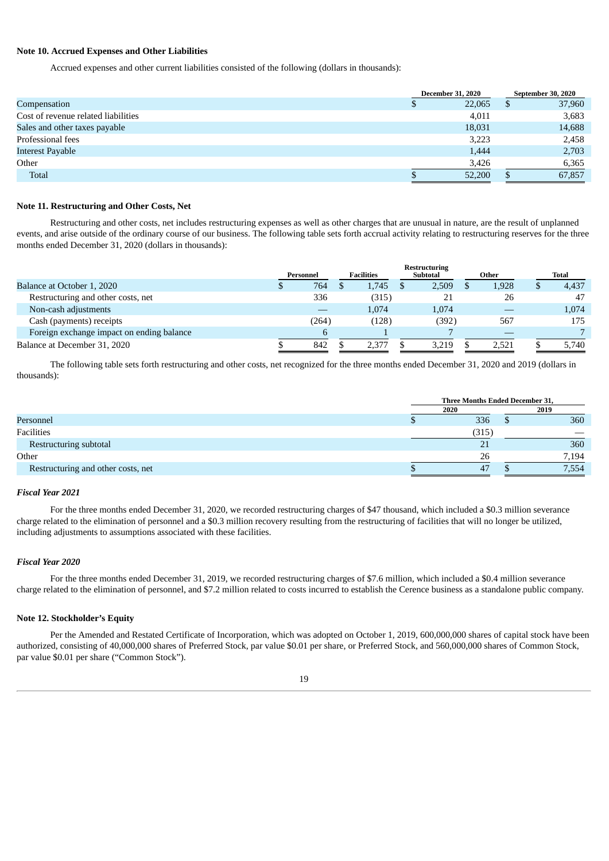## **Note 10. Accrued Expenses and Other Liabilities**

Accrued expenses and other current liabilities consisted of the following (dollars in thousands):

|                                     | <b>December 31, 2020</b> |        | September 30, 2020 |        |
|-------------------------------------|--------------------------|--------|--------------------|--------|
| Compensation                        |                          | 22,065 |                    | 37,960 |
| Cost of revenue related liabilities |                          | 4,011  |                    | 3,683  |
| Sales and other taxes payable       |                          | 18,031 |                    | 14,688 |
| Professional fees                   |                          | 3,223  |                    | 2,458  |
| <b>Interest Payable</b>             |                          | 1,444  |                    | 2,703  |
| Other                               |                          | 3,426  |                    | 6,365  |
| <b>Total</b>                        |                          | 52,200 |                    | 67,857 |

#### **Note 11. Restructuring and Other Costs, Net**

Restructuring and other costs, net includes restructuring expenses as well as other charges that are unusual in nature, are the result of unplanned events, and arise outside of the ordinary course of our business. The following table sets forth accrual activity relating to restructuring reserves for the three months ended December 31, 2020 (dollars in thousands):

|                                           |           |                   | <b>Restructuring</b> |       |              |
|-------------------------------------------|-----------|-------------------|----------------------|-------|--------------|
|                                           | Personnel | <b>Facilities</b> | <b>Subtotal</b>      | Other | <b>Total</b> |
| Balance at October 1, 2020                | 764       | 1.745             | 2,509                | 1,928 | 4,437        |
| Restructuring and other costs, net        | 336       | (315)             | 21                   | 26    | 47           |
| Non-cash adjustments                      |           | 1,074             | 1.074                |       | 1,074        |
| Cash (payments) receipts                  | (264)     | (128)             | (392)                | 567   | 175          |
| Foreign exchange impact on ending balance | b         |                   |                      |       |              |
| Balance at December 31, 2020              | 842       | 2.377             | 3.219                | 2.521 | 5,740        |

The following table sets forth restructuring and other costs, net recognized for the three months ended December 31, 2020 and 2019 (dollars in thousands):

|                                    | Three Months Ended December 31, |       |  |       |
|------------------------------------|---------------------------------|-------|--|-------|
|                                    | 2020                            |       |  | 2019  |
| Personnel                          |                                 | 336   |  | 360   |
| Facilities                         |                                 | (315) |  |       |
| Restructuring subtotal             |                                 |       |  | 360   |
| Other                              |                                 | 26    |  | 7.194 |
| Restructuring and other costs, net |                                 | 47    |  | 7,554 |

#### *Fiscal Year 2021*

For the three months ended December 31, 2020, we recorded restructuring charges of \$47 thousand, which included a \$0.3 million severance charge related to the elimination of personnel and a \$0.3 million recovery resulting from the restructuring of facilities that will no longer be utilized, including adjustments to assumptions associated with these facilities.

#### *Fiscal Year 2020*

For the three months ended December 31, 2019, we recorded restructuring charges of \$7.6 million, which included a \$0.4 million severance charge related to the elimination of personnel, and \$7.2 million related to costs incurred to establish the Cerence business as a standalone public company.

#### **Note 12. Stockholder's Equity**

Per the Amended and Restated Certificate of Incorporation, which was adopted on October 1, 2019, 600,000,000 shares of capital stock have been authorized, consisting of 40,000,000 shares of Preferred Stock, par value \$0.01 per share, or Preferred Stock, and 560,000,000 shares of Common Stock, par value \$0.01 per share ("Common Stock").

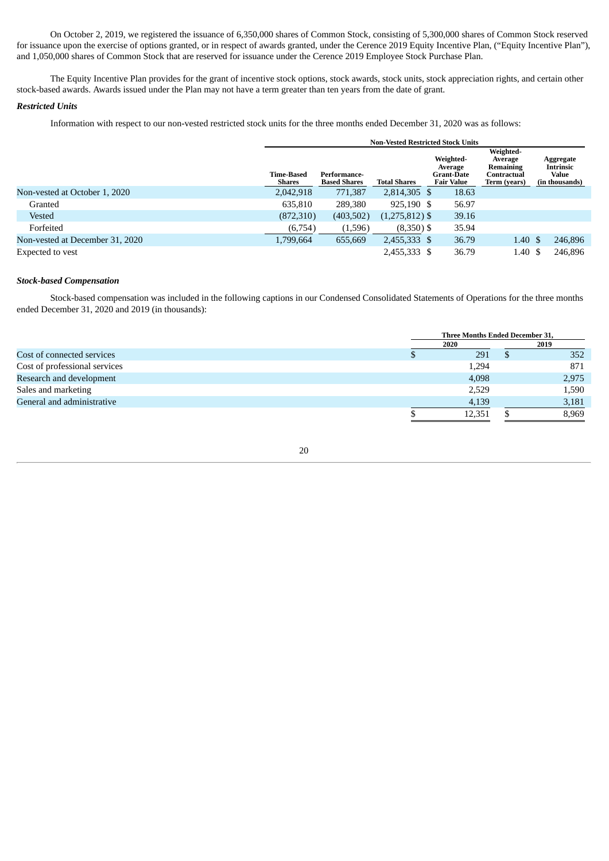On October 2, 2019, we registered the issuance of 6,350,000 shares of Common Stock, consisting of 5,300,000 shares of Common Stock reserved for issuance upon the exercise of options granted, or in respect of awards granted, under the Cerence 2019 Equity Incentive Plan, ("Equity Incentive Plan"), and 1,050,000 shares of Common Stock that are reserved for issuance under the Cerence 2019 Employee Stock Purchase Plan.

The Equity Incentive Plan provides for the grant of incentive stock options, stock awards, stock units, stock appreciation rights, and certain other stock-based awards. Awards issued under the Plan may not have a term greater than ten years from the date of grant.

# *Restricted Units*

Information with respect to our non-vested restricted stock units for the three months ended December 31, 2020 was as follows:

|                                 | <b>Non-Vested Restricted Stock Units</b> |                                            |                     |                                                                |                                                                         |                                                   |  |  |  |
|---------------------------------|------------------------------------------|--------------------------------------------|---------------------|----------------------------------------------------------------|-------------------------------------------------------------------------|---------------------------------------------------|--|--|--|
|                                 | <b>Time-Based</b><br>Shares              | <b>Performance-</b><br><b>Based Shares</b> | <b>Total Shares</b> | Weighted-<br>Average<br><b>Grant-Date</b><br><b>Fair Value</b> | Weighted-<br>Average<br><b>Remaining</b><br>Contractual<br>Term (vears) | Aggregate<br>Intrinsic<br>Value<br>(in thousands) |  |  |  |
| Non-vested at October 1, 2020   | 2,042,918                                | 771,387                                    | 2,814,305 \$        | 18.63                                                          |                                                                         |                                                   |  |  |  |
| Granted                         | 635.810                                  | 289,380                                    | 925,190 \$          | 56.97                                                          |                                                                         |                                                   |  |  |  |
| Vested                          | (872,310)                                | (403,502)                                  | $(1,275,812)$ \$    | 39.16                                                          |                                                                         |                                                   |  |  |  |
| Forfeited                       | (6,754)                                  | (1,596)                                    | $(8,350)$ \$        | 35.94                                                          |                                                                         |                                                   |  |  |  |
| Non-vested at December 31, 2020 | 1,799,664                                | 655,669                                    | 2,455,333 \$        | 36.79                                                          | 1.40                                                                    | 246,896<br>-S                                     |  |  |  |
| Expected to vest                |                                          |                                            | 2,455,333 \$        | 36.79                                                          | 1.40                                                                    | 246,896                                           |  |  |  |

#### *Stock-based Compensation*

Stock-based compensation was included in the following captions in our Condensed Consolidated Statements of Operations for the three months ended December 31, 2020 and 2019 (in thousands):

|                               | Three Months Ended December 31. |  |       |  |
|-------------------------------|---------------------------------|--|-------|--|
|                               | 2020                            |  | 2019  |  |
| Cost of connected services    | 291                             |  | 352   |  |
| Cost of professional services | 1,294                           |  | 871   |  |
| Research and development      | 4,098                           |  | 2,975 |  |
| Sales and marketing           | 2,529                           |  | 1,590 |  |
| General and administrative    | 4,139                           |  | 3,181 |  |
|                               | 12,351                          |  | 8.969 |  |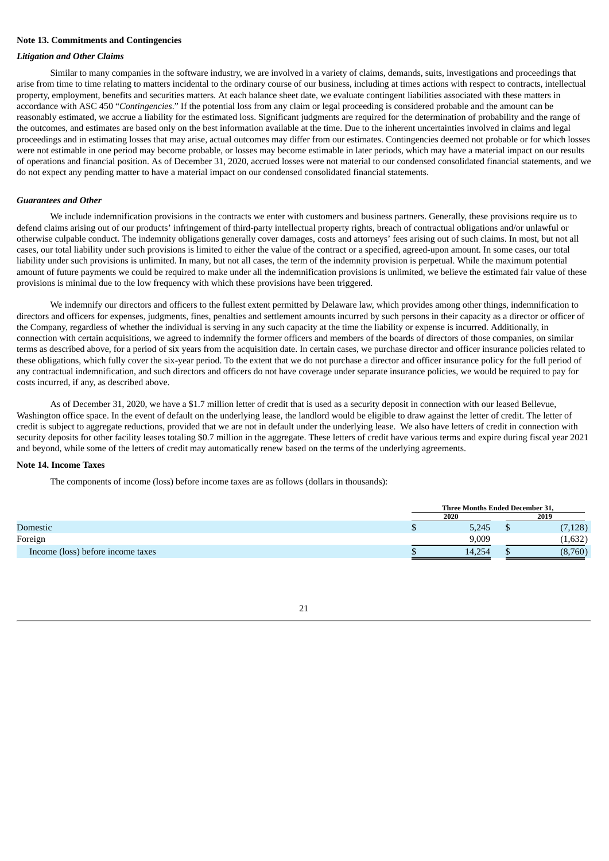#### **Note 13. Commitments and Contingencies**

#### *Litigation and Other Claims*

Similar to many companies in the software industry, we are involved in a variety of claims, demands, suits, investigations and proceedings that arise from time to time relating to matters incidental to the ordinary course of our business, including at times actions with respect to contracts, intellectual property, employment, benefits and securities matters. At each balance sheet date, we evaluate contingent liabilities associated with these matters in accordance with ASC 450 "*Contingencies*." If the potential loss from any claim or legal proceeding is considered probable and the amount can be reasonably estimated, we accrue a liability for the estimated loss. Significant judgments are required for the determination of probability and the range of the outcomes, and estimates are based only on the best information available at the time. Due to the inherent uncertainties involved in claims and legal proceedings and in estimating losses that may arise, actual outcomes may differ from our estimates. Contingencies deemed not probable or for which losses were not estimable in one period may become probable, or losses may become estimable in later periods, which may have a material impact on our results of operations and financial position. As of December 31, 2020, accrued losses were not material to our condensed consolidated financial statements, and we do not expect any pending matter to have a material impact on our condensed consolidated financial statements.

#### *Guarantees and Other*

We include indemnification provisions in the contracts we enter with customers and business partners. Generally, these provisions require us to defend claims arising out of our products' infringement of third-party intellectual property rights, breach of contractual obligations and/or unlawful or otherwise culpable conduct. The indemnity obligations generally cover damages, costs and attorneys' fees arising out of such claims. In most, but not all cases, our total liability under such provisions is limited to either the value of the contract or a specified, agreed-upon amount. In some cases, our total liability under such provisions is unlimited. In many, but not all cases, the term of the indemnity provision is perpetual. While the maximum potential amount of future payments we could be required to make under all the indemnification provisions is unlimited, we believe the estimated fair value of these provisions is minimal due to the low frequency with which these provisions have been triggered.

We indemnify our directors and officers to the fullest extent permitted by Delaware law, which provides among other things, indemnification to directors and officers for expenses, judgments, fines, penalties and settlement amounts incurred by such persons in their capacity as a director or officer of the Company, regardless of whether the individual is serving in any such capacity at the time the liability or expense is incurred. Additionally, in connection with certain acquisitions, we agreed to indemnify the former officers and members of the boards of directors of those companies, on similar terms as described above, for a period of six years from the acquisition date. In certain cases, we purchase director and officer insurance policies related to these obligations, which fully cover the six-year period. To the extent that we do not purchase a director and officer insurance policy for the full period of any contractual indemnification, and such directors and officers do not have coverage under separate insurance policies, we would be required to pay for costs incurred, if any, as described above.

As of December 31, 2020, we have a \$1.7 million letter of credit that is used as a security deposit in connection with our leased Bellevue, Washington office space. In the event of default on the underlying lease, the landlord would be eligible to draw against the letter of credit. The letter of credit is subject to aggregate reductions, provided that we are not in default under the underlying lease. We also have letters of credit in connection with security deposits for other facility leases totaling \$0.7 million in the aggregate. These letters of credit have various terms and expire during fiscal year 2021 and beyond, while some of the letters of credit may automatically renew based on the terms of the underlying agreements.

## **Note 14. Income Taxes**

The components of income (loss) before income taxes are as follows (dollars in thousands):

|                                   | <b>Three Months Ended December 31.</b> |  |         |  |
|-----------------------------------|----------------------------------------|--|---------|--|
|                                   | 2020                                   |  | 2019    |  |
| Domestic                          | 5,245                                  |  | ,128)   |  |
| Foreign                           | 9,009                                  |  | 1,632   |  |
| Income (loss) before income taxes | 14,254                                 |  | (8,760) |  |

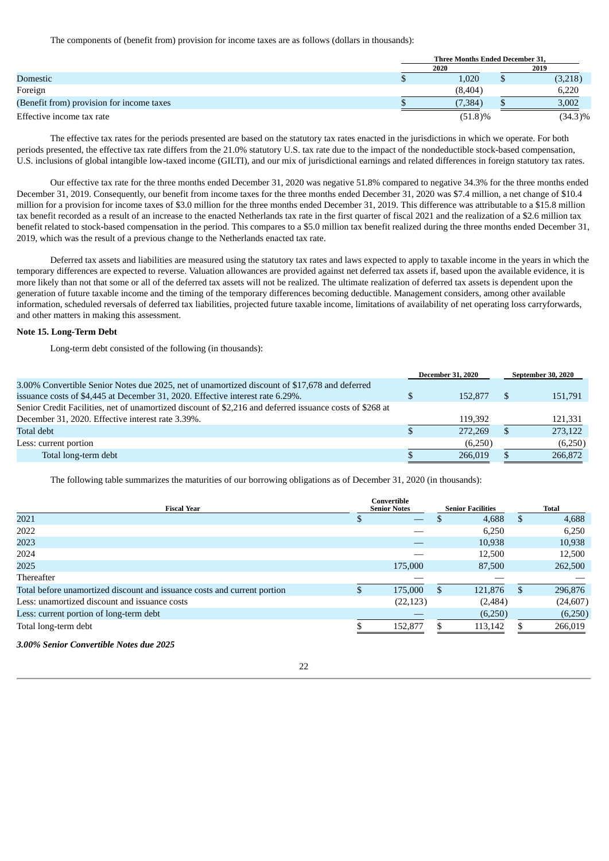The components of (benefit from) provision for income taxes are as follows (dollars in thousands):

|                                           | <b>Three Months Ended December 31.</b> |  |         |  |  |  |
|-------------------------------------------|----------------------------------------|--|---------|--|--|--|
|                                           | 2020                                   |  | 2019    |  |  |  |
| Domestic                                  | 1,020                                  |  | (3,218) |  |  |  |
| Foreign                                   | (8, 404)                               |  | 6.220   |  |  |  |
| (Benefit from) provision for income taxes | (7, 384)                               |  | 3,002   |  |  |  |
| Effective income tax rate                 | $(51.8)\%$                             |  | (34.3)% |  |  |  |

The effective tax rates for the periods presented are based on the statutory tax rates enacted in the jurisdictions in which we operate. For both periods presented, the effective tax rate differs from the 21.0% statutory U.S. tax rate due to the impact of the nondeductible stock-based compensation, U.S. inclusions of global intangible low-taxed income (GILTI), and our mix of jurisdictional earnings and related differences in foreign statutory tax rates.

Our effective tax rate for the three months ended December 31, 2020 was negative 51.8% compared to negative 34.3% for the three months ended December 31, 2019. Consequently, our benefit from income taxes for the three months ended December 31, 2020 was \$7.4 million, a net change of \$10.4 million for a provision for income taxes of \$3.0 million for the three months ended December 31, 2019. This difference was attributable to a \$15.8 million tax benefit recorded as a result of an increase to the enacted Netherlands tax rate in the first quarter of fiscal 2021 and the realization of a \$2.6 million tax benefit related to stock-based compensation in the period. This compares to a \$5.0 million tax benefit realized during the three months ended December 31, 2019, which was the result of a previous change to the Netherlands enacted tax rate.

Deferred tax assets and liabilities are measured using the statutory tax rates and laws expected to apply to taxable income in the years in which the temporary differences are expected to reverse. Valuation allowances are provided against net deferred tax assets if, based upon the available evidence, it is more likely than not that some or all of the deferred tax assets will not be realized. The ultimate realization of deferred tax assets is dependent upon the generation of future taxable income and the timing of the temporary differences becoming deductible. Management considers, among other available information, scheduled reversals of deferred tax liabilities, projected future taxable income, limitations of availability of net operating loss carryforwards, and other matters in making this assessment.

#### **Note 15. Long-Term Debt**

Long-term debt consisted of the following (in thousands):

|                                                                                                                                                                                 | <b>December 31, 2020</b> |         | September 30, 2020 |
|---------------------------------------------------------------------------------------------------------------------------------------------------------------------------------|--------------------------|---------|--------------------|
| 3.00% Convertible Senior Notes due 2025, net of unamortized discount of \$17,678 and deferred<br>issuance costs of \$4,445 at December 31, 2020. Effective interest rate 6.29%. |                          | 152,877 | 151,791            |
| Senior Credit Facilities, net of unamortized discount of \$2,216 and deferred issuance costs of \$268 at                                                                        |                          |         |                    |
| December 31, 2020. Effective interest rate 3.39%.                                                                                                                               |                          | 119,392 | 121,331            |
| Total debt                                                                                                                                                                      |                          | 272.269 | 273,122            |
| Less: current portion                                                                                                                                                           |                          | (6,250) | (6,250)            |
| Total long-term debt                                                                                                                                                            |                          | 266,019 | 266,872            |

The following table summarizes the maturities of our borrowing obligations as of December 31, 2020 (in thousands):

| <b>Fiscal Year</b>                                                       | Convertible<br><b>Senior Notes</b> | <b>Senior Facilities</b> |    | Total     |
|--------------------------------------------------------------------------|------------------------------------|--------------------------|----|-----------|
| 2021                                                                     | D                                  | 4,688                    | -S | 4,688     |
| 2022                                                                     |                                    | 6,250                    |    | 6,250     |
| 2023                                                                     |                                    | 10,938                   |    | 10,938    |
| 2024                                                                     |                                    | 12,500                   |    | 12,500    |
| 2025                                                                     | 175,000                            | 87,500                   |    | 262,500   |
| Thereafter                                                               |                                    |                          |    |           |
| Total before unamortized discount and issuance costs and current portion | 175,000                            | 121,876<br>S.            | -S | 296,876   |
| Less: unamortized discount and issuance costs                            | (22, 123)                          | (2,484)                  |    | (24, 607) |
| Less: current portion of long-term debt                                  |                                    | (6,250)                  |    | (6,250)   |
| Total long-term debt                                                     | 152,877                            | 113,142                  |    | 266,019   |

*3.00% Senior Convertible Notes due 2025*

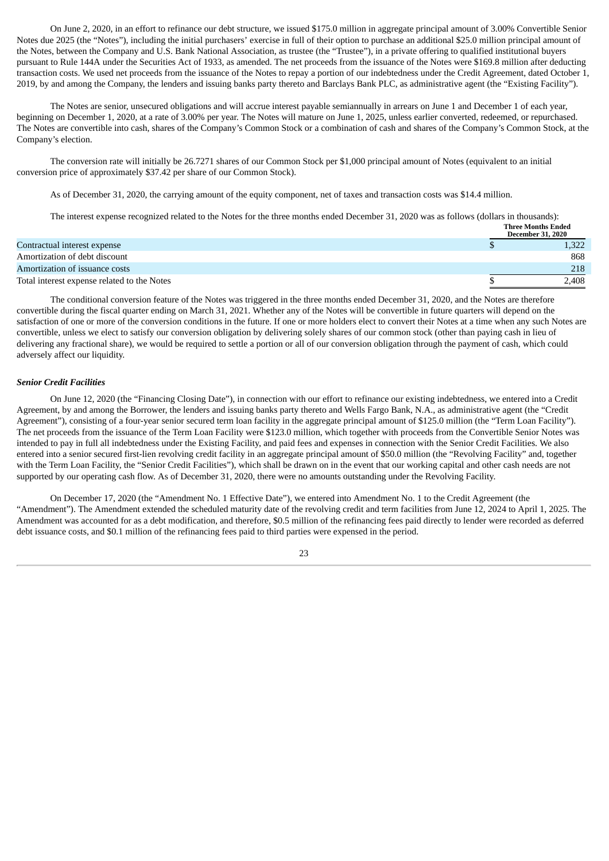On June 2, 2020, in an effort to refinance our debt structure, we issued \$175.0 million in aggregate principal amount of 3.00% Convertible Senior Notes due 2025 (the "Notes"), including the initial purchasers' exercise in full of their option to purchase an additional \$25.0 million principal amount of the Notes, between the Company and U.S. Bank National Association, as trustee (the "Trustee"), in a private offering to qualified institutional buyers pursuant to Rule 144A under the Securities Act of 1933, as amended. The net proceeds from the issuance of the Notes were \$169.8 million after deducting transaction costs. We used net proceeds from the issuance of the Notes to repay a portion of our indebtedness under the Credit Agreement, dated October 1, 2019, by and among the Company, the lenders and issuing banks party thereto and Barclays Bank PLC, as administrative agent (the "Existing Facility").

The Notes are senior, unsecured obligations and will accrue interest payable semiannually in arrears on June 1 and December 1 of each year, beginning on December 1, 2020, at a rate of 3.00% per year. The Notes will mature on June 1, 2025, unless earlier converted, redeemed, or repurchased. The Notes are convertible into cash, shares of the Company's Common Stock or a combination of cash and shares of the Company's Common Stock, at the Company's election.

The conversion rate will initially be 26.7271 shares of our Common Stock per \$1,000 principal amount of Notes (equivalent to an initial conversion price of approximately \$37.42 per share of our Common Stock).

As of December 31, 2020, the carrying amount of the equity component, net of taxes and transaction costs was \$14.4 million.

The interest expense recognized related to the Notes for the three months ended December 31, 2020 was as follows (dollars in thousands):

**Three Months Ended**

|                                             | тигес монар еписа<br><b>December 31, 2020</b> |
|---------------------------------------------|-----------------------------------------------|
| Contractual interest expense                |                                               |
| Amortization of debt discount               | 868                                           |
| Amortization of issuance costs              | 218                                           |
| Total interest expense related to the Notes | 2.408                                         |

The conditional conversion feature of the Notes was triggered in the three months ended December 31, 2020, and the Notes are therefore convertible during the fiscal quarter ending on March 31, 2021. Whether any of the Notes will be convertible in future quarters will depend on the satisfaction of one or more of the conversion conditions in the future. If one or more holders elect to convert their Notes at a time when any such Notes are convertible, unless we elect to satisfy our conversion obligation by delivering solely shares of our common stock (other than paying cash in lieu of delivering any fractional share), we would be required to settle a portion or all of our conversion obligation through the payment of cash, which could adversely affect our liquidity.

#### *Senior Credit Facilities*

On June 12, 2020 (the "Financing Closing Date"), in connection with our effort to refinance our existing indebtedness, we entered into a Credit Agreement, by and among the Borrower, the lenders and issuing banks party thereto and Wells Fargo Bank, N.A., as administrative agent (the "Credit Agreement"), consisting of a four-year senior secured term loan facility in the aggregate principal amount of \$125.0 million (the "Term Loan Facility"). The net proceeds from the issuance of the Term Loan Facility were \$123.0 million, which together with proceeds from the Convertible Senior Notes was intended to pay in full all indebtedness under the Existing Facility, and paid fees and expenses in connection with the Senior Credit Facilities. We also entered into a senior secured first-lien revolving credit facility in an aggregate principal amount of \$50.0 million (the "Revolving Facility" and, together with the Term Loan Facility, the "Senior Credit Facilities"), which shall be drawn on in the event that our working capital and other cash needs are not supported by our operating cash flow. As of December 31, 2020, there were no amounts outstanding under the Revolving Facility.

On December 17, 2020 (the "Amendment No. 1 Effective Date"), we entered into Amendment No. 1 to the Credit Agreement (the "Amendment"). The Amendment extended the scheduled maturity date of the revolving credit and term facilities from June 12, 2024 to April 1, 2025. The Amendment was accounted for as a debt modification, and therefore, \$0.5 million of the refinancing fees paid directly to lender were recorded as deferred debt issuance costs, and \$0.1 million of the refinancing fees paid to third parties were expensed in the period.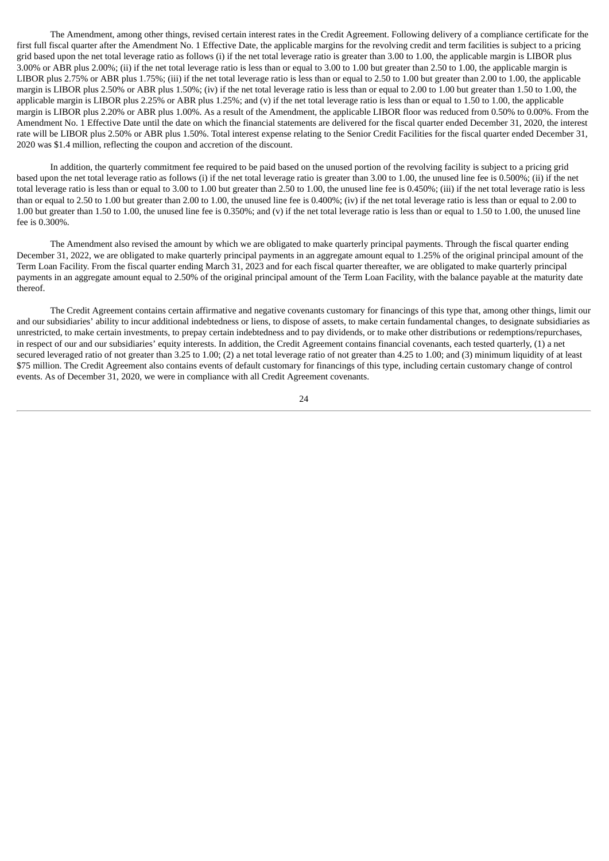The Amendment, among other things, revised certain interest rates in the Credit Agreement. Following delivery of a compliance certificate for the first full fiscal quarter after the Amendment No. 1 Effective Date, the applicable margins for the revolving credit and term facilities is subject to a pricing grid based upon the net total leverage ratio as follows (i) if the net total leverage ratio is greater than 3.00 to 1.00, the applicable margin is LIBOR plus 3.00% or ABR plus 2.00%; (ii) if the net total leverage ratio is less than or equal to 3.00 to 1.00 but greater than 2.50 to 1.00, the applicable margin is LIBOR plus 2.75% or ABR plus 1.75%; (iii) if the net total leverage ratio is less than or equal to 2.50 to 1.00 but greater than 2.00 to 1.00, the applicable margin is LIBOR plus 2.50% or ABR plus 1.50%; (iv) if the net total leverage ratio is less than or equal to 2.00 to 1.00 but greater than 1.50 to 1.00, the applicable margin is LIBOR plus 2.25% or ABR plus 1.25%; and (v) if the net total leverage ratio is less than or equal to 1.50 to 1.00, the applicable margin is LIBOR plus 2.20% or ABR plus 1.00%. As a result of the Amendment, the applicable LIBOR floor was reduced from 0.50% to 0.00%. From the Amendment No. 1 Effective Date until the date on which the financial statements are delivered for the fiscal quarter ended December 31, 2020, the interest rate will be LIBOR plus 2.50% or ABR plus 1.50%. Total interest expense relating to the Senior Credit Facilities for the fiscal quarter ended December 31, 2020 was \$1.4 million, reflecting the coupon and accretion of the discount.

In addition, the quarterly commitment fee required to be paid based on the unused portion of the revolving facility is subject to a pricing grid based upon the net total leverage ratio as follows (i) if the net total leverage ratio is greater than 3.00 to 1.00, the unused line fee is 0.500%; (ii) if the net total leverage ratio is less than or equal to 3.00 to 1.00 but greater than 2.50 to 1.00, the unused line fee is 0.450%; (iii) if the net total leverage ratio is less than or equal to 2.50 to 1.00 but greater than 2.00 to 1.00, the unused line fee is 0.400%; (iv) if the net total leverage ratio is less than or equal to 2.00 to 1.00 but greater than 1.50 to 1.00, the unused line fee is 0.350%; and (v) if the net total leverage ratio is less than or equal to 1.50 to 1.00, the unused line fee is 0.300%.

The Amendment also revised the amount by which we are obligated to make quarterly principal payments. Through the fiscal quarter ending December 31, 2022, we are obligated to make quarterly principal payments in an aggregate amount equal to 1.25% of the original principal amount of the Term Loan Facility. From the fiscal quarter ending March 31, 2023 and for each fiscal quarter thereafter, we are obligated to make quarterly principal payments in an aggregate amount equal to 2.50% of the original principal amount of the Term Loan Facility, with the balance payable at the maturity date thereof.

The Credit Agreement contains certain affirmative and negative covenants customary for financings of this type that, among other things, limit our and our subsidiaries' ability to incur additional indebtedness or liens, to dispose of assets, to make certain fundamental changes, to designate subsidiaries as unrestricted, to make certain investments, to prepay certain indebtedness and to pay dividends, or to make other distributions or redemptions/repurchases, in respect of our and our subsidiaries' equity interests. In addition, the Credit Agreement contains financial covenants, each tested quarterly, (1) a net secured leveraged ratio of not greater than 3.25 to 1.00; (2) a net total leverage ratio of not greater than 4.25 to 1.00; and (3) minimum liquidity of at least \$75 million. The Credit Agreement also contains events of default customary for financings of this type, including certain customary change of control events. As of December 31, 2020, we were in compliance with all Credit Agreement covenants.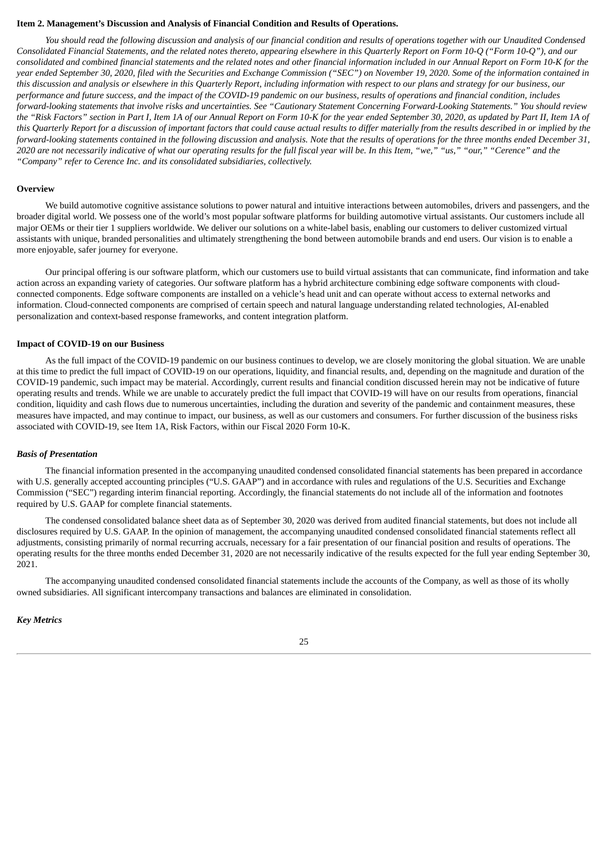#### <span id="page-26-0"></span>**Item 2. Management's Discussion and Analysis of Financial Condition and Results of Operations.**

You should read the following discussion and analysis of our financial condition and results of operations together with our Unaudited Condensed Consolidated Financial Statements, and the related notes thereto, appearing elsewhere in this Quarterly Report on Form 10-Q ("Form 10-Q"), and our consolidated and combined financial statements and the related notes and other financial information included in our Annual Report on Form 10-K for the year ended September 30, 2020, filed with the Securities and Exchange Commission ("SEC") on November 19, 2020. Some of the information contained in this discussion and analysis or elsewhere in this Quarterly Report, including information with respect to our plans and strategy for our business, our performance and future success, and the impact of the COVID-19 pandemic on our business, results of operations and financial condition, includes forward-looking statements that involve risks and uncertainties. See "Cautionary Statement Concerning Forward-Looking Statements." You should review the "Risk Factors" section in Part I, Item 1A of our Annual Report on Form 10-K for the year ended September 30, 2020, as updated by Part II, Item 1A of this Quarterly Report for a discussion of important factors that could cause actual results to differ materially from the results described in or implied by the forward-looking statements contained in the following discussion and analysis. Note that the results of operations for the three months ended December 31, 2020 are not necessarily indicative of what our operating results for the full fiscal year will be. In this Item, "we," "us," "our," "Cerence" and the *"Company" refer to Cerence Inc. and its consolidated subsidiaries, collectively.*

#### **Overview**

We build automotive cognitive assistance solutions to power natural and intuitive interactions between automobiles, drivers and passengers, and the broader digital world. We possess one of the world's most popular software platforms for building automotive virtual assistants. Our customers include all major OEMs or their tier 1 suppliers worldwide. We deliver our solutions on a white-label basis, enabling our customers to deliver customized virtual assistants with unique, branded personalities and ultimately strengthening the bond between automobile brands and end users. Our vision is to enable a more enjoyable, safer journey for everyone.

Our principal offering is our software platform, which our customers use to build virtual assistants that can communicate, find information and take action across an expanding variety of categories. Our software platform has a hybrid architecture combining edge software components with cloudconnected components. Edge software components are installed on a vehicle's head unit and can operate without access to external networks and information. Cloud-connected components are comprised of certain speech and natural language understanding related technologies, AI-enabled personalization and context-based response frameworks, and content integration platform.

#### **Impact of COVID-19 on our Business**

As the full impact of the COVID-19 pandemic on our business continues to develop, we are closely monitoring the global situation. We are unable at this time to predict the full impact of COVID-19 on our operations, liquidity, and financial results, and, depending on the magnitude and duration of the COVID-19 pandemic, such impact may be material. Accordingly, current results and financial condition discussed herein may not be indicative of future operating results and trends. While we are unable to accurately predict the full impact that COVID-19 will have on our results from operations, financial condition, liquidity and cash flows due to numerous uncertainties, including the duration and severity of the pandemic and containment measures, these measures have impacted, and may continue to impact, our business, as well as our customers and consumers. For further discussion of the business risks associated with COVID-19, see Item 1A, Risk Factors, within our Fiscal 2020 Form 10-K.

#### *Basis of Presentation*

The financial information presented in the accompanying unaudited condensed consolidated financial statements has been prepared in accordance with U.S. generally accepted accounting principles ("U.S. GAAP") and in accordance with rules and regulations of the U.S. Securities and Exchange Commission ("SEC") regarding interim financial reporting. Accordingly, the financial statements do not include all of the information and footnotes required by U.S. GAAP for complete financial statements.

The condensed consolidated balance sheet data as of September 30, 2020 was derived from audited financial statements, but does not include all disclosures required by U.S. GAAP. In the opinion of management, the accompanying unaudited condensed consolidated financial statements reflect all adjustments, consisting primarily of normal recurring accruals, necessary for a fair presentation of our financial position and results of operations. The operating results for the three months ended December 31, 2020 are not necessarily indicative of the results expected for the full year ending September 30, 2021.

The accompanying unaudited condensed consolidated financial statements include the accounts of the Company, as well as those of its wholly owned subsidiaries. All significant intercompany transactions and balances are eliminated in consolidation.

*Key Metrics*

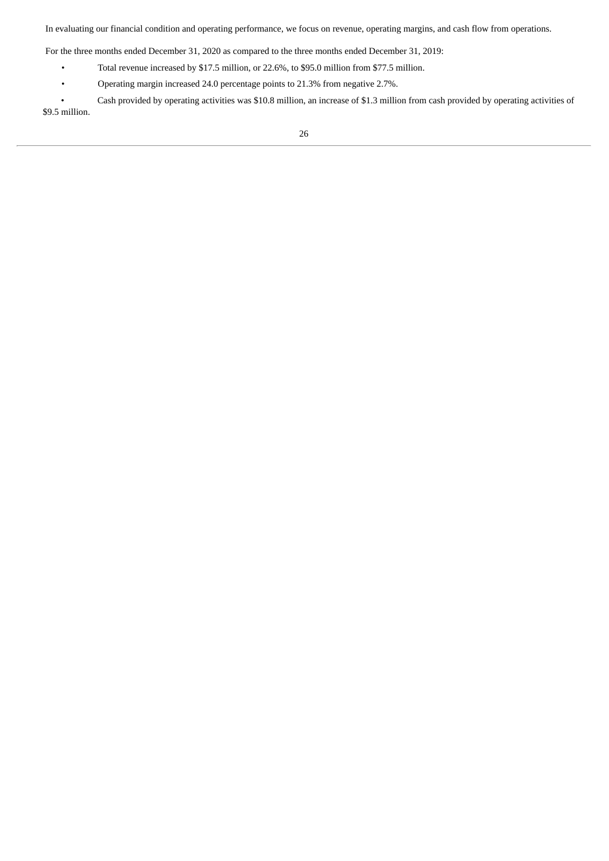In evaluating our financial condition and operating performance, we focus on revenue, operating margins, and cash flow from operations.

For the three months ended December 31, 2020 as compared to the three months ended December 31, 2019:

- Total revenue increased by \$17.5 million, or 22.6%, to \$95.0 million from \$77.5 million.
- Operating margin increased 24.0 percentage points to 21.3% from negative 2.7%.

• Cash provided by operating activities was \$10.8 million, an increase of \$1.3 million from cash provided by operating activities of \$9.5 million.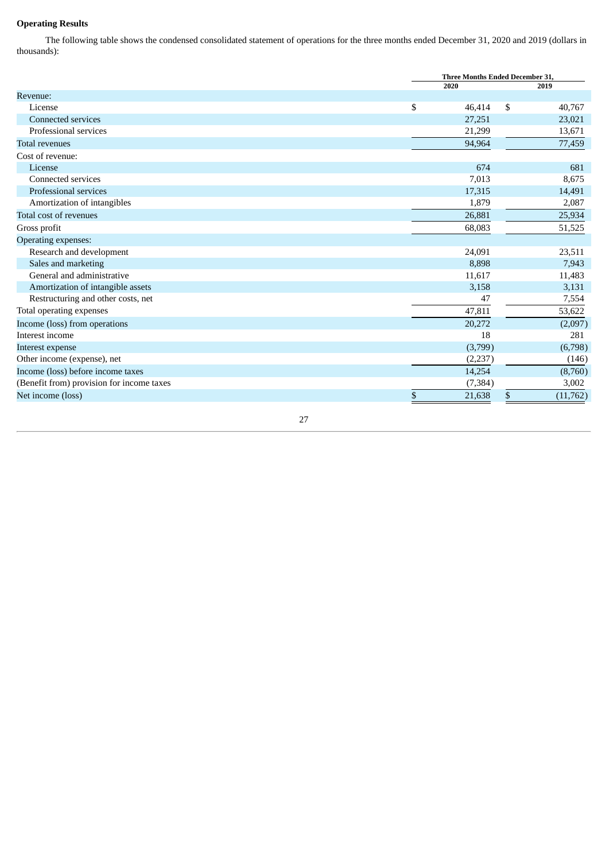# **Operating Results**

The following table shows the condensed consolidated statement of operations for the three months ended December 31, 2020 and 2019 (dollars in thousands):

|                                           |              | Three Months Ended December 31, |
|-------------------------------------------|--------------|---------------------------------|
|                                           | 2020         | 2019                            |
| Revenue:                                  |              |                                 |
| License                                   | \$<br>46,414 | \$<br>40,767                    |
| <b>Connected services</b>                 | 27,251       | 23,021                          |
| Professional services                     | 21,299       | 13,671                          |
| <b>Total revenues</b>                     | 94,964       | 77,459                          |
| Cost of revenue:                          |              |                                 |
| License                                   | 674          | 681                             |
| Connected services                        | 7,013        | 8,675                           |
| Professional services                     | 17,315       | 14,491                          |
| Amortization of intangibles               | 1,879        | 2,087                           |
| Total cost of revenues                    | 26,881       | 25,934                          |
| Gross profit                              | 68,083       | 51,525                          |
| Operating expenses:                       |              |                                 |
| Research and development                  | 24,091       | 23,511                          |
| Sales and marketing                       | 8,898        | 7,943                           |
| General and administrative                | 11,617       | 11,483                          |
| Amortization of intangible assets         | 3,158        | 3,131                           |
| Restructuring and other costs, net        | 47           | 7,554                           |
| Total operating expenses                  | 47,811       | 53,622                          |
| Income (loss) from operations             | 20,272       | (2,097)                         |
| Interest income                           | 18           | 281                             |
| Interest expense                          | (3,799)      | (6,798)                         |
| Other income (expense), net               | (2,237)      | (146)                           |
| Income (loss) before income taxes         | 14,254       | (8,760)                         |
| (Benefit from) provision for income taxes | (7, 384)     | 3,002                           |
| Net income (loss)                         | \$<br>21,638 | \$<br>(11,762)                  |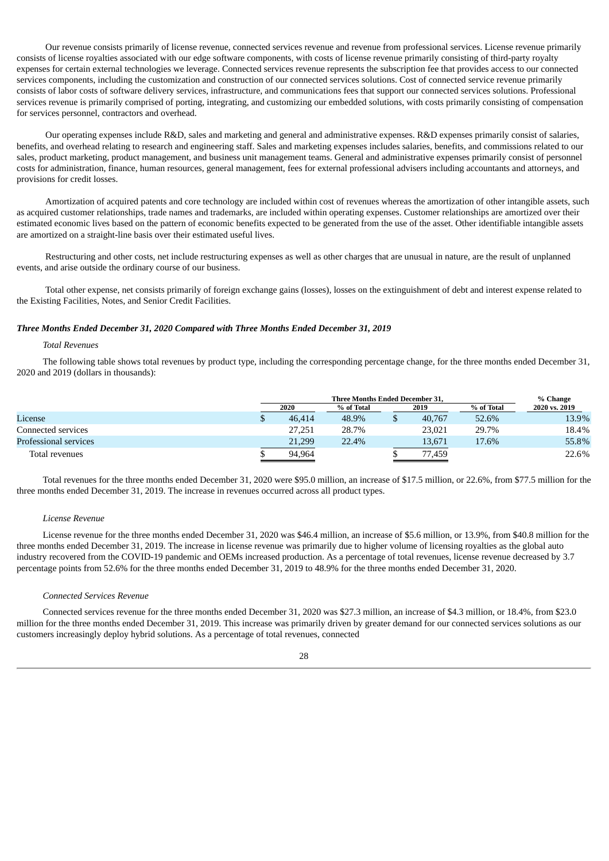Our revenue consists primarily of license revenue, connected services revenue and revenue from professional services. License revenue primarily consists of license royalties associated with our edge software components, with costs of license revenue primarily consisting of third-party royalty expenses for certain external technologies we leverage. Connected services revenue represents the subscription fee that provides access to our connected services components, including the customization and construction of our connected services solutions. Cost of connected service revenue primarily consists of labor costs of software delivery services, infrastructure, and communications fees that support our connected services solutions. Professional services revenue is primarily comprised of porting, integrating, and customizing our embedded solutions, with costs primarily consisting of compensation for services personnel, contractors and overhead.

Our operating expenses include R&D, sales and marketing and general and administrative expenses. R&D expenses primarily consist of salaries, benefits, and overhead relating to research and engineering staff. Sales and marketing expenses includes salaries, benefits, and commissions related to our sales, product marketing, product management, and business unit management teams. General and administrative expenses primarily consist of personnel costs for administration, finance, human resources, general management, fees for external professional advisers including accountants and attorneys, and provisions for credit losses.

Amortization of acquired patents and core technology are included within cost of revenues whereas the amortization of other intangible assets, such as acquired customer relationships, trade names and trademarks, are included within operating expenses. Customer relationships are amortized over their estimated economic lives based on the pattern of economic benefits expected to be generated from the use of the asset. Other identifiable intangible assets are amortized on a straight-line basis over their estimated useful lives.

Restructuring and other costs, net include restructuring expenses as well as other charges that are unusual in nature, are the result of unplanned events, and arise outside the ordinary course of our business.

Total other expense, net consists primarily of foreign exchange gains (losses), losses on the extinguishment of debt and interest expense related to the Existing Facilities, Notes, and Senior Credit Facilities.

#### *Three Months Ended December 31, 2020 Compared with Three Months Ended December 31, 2019*

#### *Total Revenues*

The following table shows total revenues by product type, including the corresponding percentage change, for the three months ended December 31, 2020 and 2019 (dollars in thousands):

|                       |        | % Change   |        |            |               |
|-----------------------|--------|------------|--------|------------|---------------|
|                       | 2020   | % of Total | 2019   | % of Total | 2020 vs. 2019 |
| License               | 46.414 | 48.9%      | 40,767 | 52.6%      | 13.9%         |
| Connected services    | 27,251 | 28.7%      | 23.021 | 29.7%      | 18.4%         |
| Professional services | 21,299 | 22.4%      | 13.671 | 17.6%      | 55.8%         |
| Total revenues        | 94,964 |            | 77.459 |            | 22.6%         |

Total revenues for the three months ended December 31, 2020 were \$95.0 million, an increase of \$17.5 million, or 22.6%, from \$77.5 million for the three months ended December 31, 2019. The increase in revenues occurred across all product types.

#### *License Revenue*

License revenue for the three months ended December 31, 2020 was \$46.4 million, an increase of \$5.6 million, or 13.9%, from \$40.8 million for the three months ended December 31, 2019. The increase in license revenue was primarily due to higher volume of licensing royalties as the global auto industry recovered from the COVID-19 pandemic and OEMs increased production. As a percentage of total revenues, license revenue decreased by 3.7 percentage points from 52.6% for the three months ended December 31, 2019 to 48.9% for the three months ended December 31, 2020.

#### *Connected Services Revenue*

Connected services revenue for the three months ended December 31, 2020 was \$27.3 million, an increase of \$4.3 million, or 18.4%, from \$23.0 million for the three months ended December 31, 2019. This increase was primarily driven by greater demand for our connected services solutions as our customers increasingly deploy hybrid solutions. As a percentage of total revenues, connected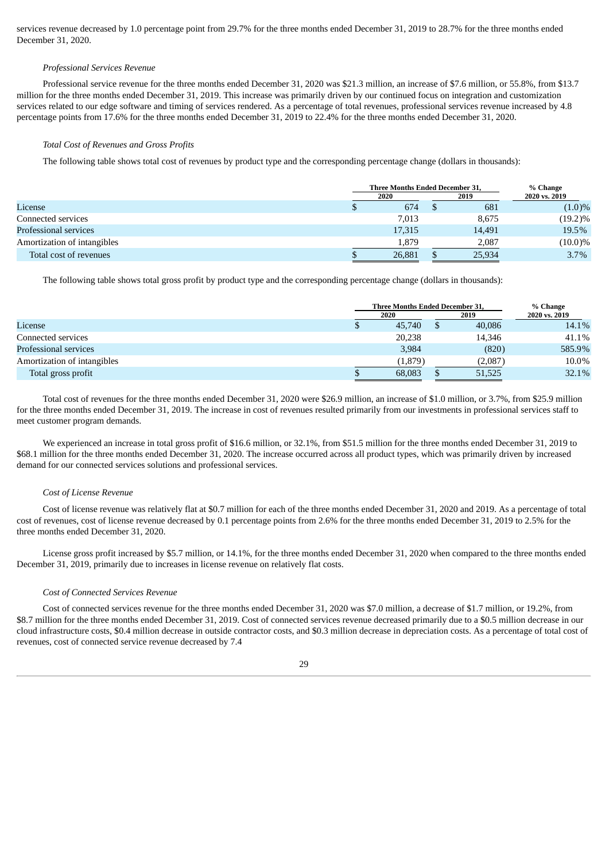services revenue decreased by 1.0 percentage point from 29.7% for the three months ended December 31, 2019 to 28.7% for the three months ended December 31, 2020.

#### *Professional Services Revenue*

Professional service revenue for the three months ended December 31, 2020 was \$21.3 million, an increase of \$7.6 million, or 55.8%, from \$13.7 million for the three months ended December 31, 2019. This increase was primarily driven by our continued focus on integration and customization services related to our edge software and timing of services rendered. As a percentage of total revenues, professional services revenue increased by 4.8 percentage points from 17.6% for the three months ended December 31, 2019 to 22.4% for the three months ended December 31, 2020.

#### *Total Cost of Revenues and Gross Profits*

The following table shows total cost of revenues by product type and the corresponding percentage change (dollars in thousands):

|                             |  | <b>Three Months Ended December 31,</b> |        | % Change      |
|-----------------------------|--|----------------------------------------|--------|---------------|
|                             |  | 2020                                   | 2019   | 2020 vs. 2019 |
| License                     |  | 674                                    | 681    | $(1.0)\%$     |
| Connected services          |  | 7,013                                  | 8,675  | $(19.2)\%$    |
| Professional services       |  | 17,315                                 | 14,491 | 19.5%         |
| Amortization of intangibles |  | 1,879                                  | 2,087  | $(10.0)\%$    |
| Total cost of revenues      |  | 26,881                                 | 25,934 | 3.7%          |

The following table shows total gross profit by product type and the corresponding percentage change (dollars in thousands):

|                             |      | <b>Three Months Ended December 31.</b> |      | % Change |               |  |
|-----------------------------|------|----------------------------------------|------|----------|---------------|--|
|                             | 2020 |                                        | 2019 |          | 2020 vs. 2019 |  |
| License                     | Φ    | 45,740                                 |      | 40,086   | 14.1%         |  |
| Connected services          |      | 20,238                                 |      | 14,346   | 41.1%         |  |
| Professional services       |      | 3,984                                  |      | (820)    | 585.9%        |  |
| Amortization of intangibles |      | (1, 879)                               |      | (2,087)  | 10.0%         |  |
| Total gross profit          |      | 68,083                                 |      | 51,525   | 32.1%         |  |

Total cost of revenues for the three months ended December 31, 2020 were \$26.9 million, an increase of \$1.0 million, or 3.7%, from \$25.9 million for the three months ended December 31, 2019. The increase in cost of revenues resulted primarily from our investments in professional services staff to meet customer program demands.

We experienced an increase in total gross profit of \$16.6 million, or 32.1%, from \$51.5 million for the three months ended December 31, 2019 to \$68.1 million for the three months ended December 31, 2020. The increase occurred across all product types, which was primarily driven by increased demand for our connected services solutions and professional services.

#### *Cost of License Revenue*

Cost of license revenue was relatively flat at \$0.7 million for each of the three months ended December 31, 2020 and 2019. As a percentage of total cost of revenues, cost of license revenue decreased by 0.1 percentage points from 2.6% for the three months ended December 31, 2019 to 2.5% for the three months ended December 31, 2020.

License gross profit increased by \$5.7 million, or 14.1%, for the three months ended December 31, 2020 when compared to the three months ended December 31, 2019, primarily due to increases in license revenue on relatively flat costs.

#### *Cost of Connected Services Revenue*

Cost of connected services revenue for the three months ended December 31, 2020 was \$7.0 million, a decrease of \$1.7 million, or 19.2%, from \$8.7 million for the three months ended December 31, 2019. Cost of connected services revenue decreased primarily due to a \$0.5 million decrease in our cloud infrastructure costs, \$0.4 million decrease in outside contractor costs, and \$0.3 million decrease in depreciation costs. As a percentage of total cost of revenues, cost of connected service revenue decreased by 7.4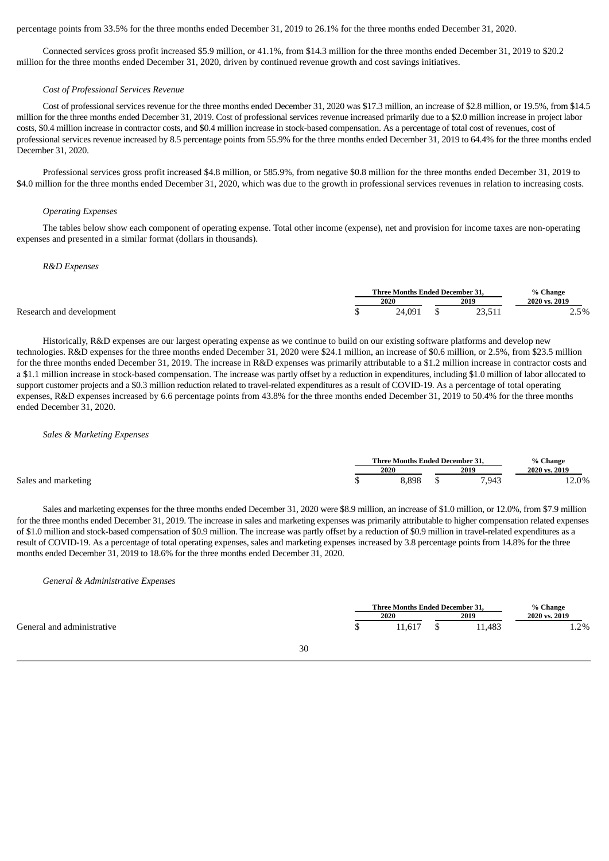### percentage points from 33.5% for the three months ended December 31, 2019 to 26.1% for the three months ended December 31, 2020.

Connected services gross profit increased \$5.9 million, or 41.1%, from \$14.3 million for the three months ended December 31, 2019 to \$20.2 million for the three months ended December 31, 2020, driven by continued revenue growth and cost savings initiatives.

#### *Cost of Professional Services Revenue*

Cost of professional services revenue for the three months ended December 31, 2020 was \$17.3 million, an increase of \$2.8 million, or 19.5%, from \$14.5 million for the three months ended December 31, 2019. Cost of professional services revenue increased primarily due to a \$2.0 million increase in project labor costs, \$0.4 million increase in contractor costs, and \$0.4 million increase in stock-based compensation. As a percentage of total cost of revenues, cost of professional services revenue increased by 8.5 percentage points from 55.9% for the three months ended December 31, 2019 to 64.4% for the three months ended December 31, 2020.

Professional services gross profit increased \$4.8 million, or 585.9%, from negative \$0.8 million for the three months ended December 31, 2019 to \$4.0 million for the three months ended December 31, 2020, which was due to the growth in professional services revenues in relation to increasing costs.

#### *Operating Expenses*

The tables below show each component of operating expense. Total other income (expense), net and provision for income taxes are non-operating expenses and presented in a similar format (dollars in thousands).

#### *R&D Expenses*

|  |  | Three Months Ended December 31. |      |  | % Change      |  |
|--|--|---------------------------------|------|--|---------------|--|
|  |  | 2020                            | 2019 |  | 2020 vs. 2019 |  |
|  |  | 24.091                          |      |  | 2.5%          |  |

Historically, R&D expenses are our largest operating expense as we continue to build on our existing software platforms and develop new technologies. R&D expenses for the three months ended December 31, 2020 were \$24.1 million, an increase of \$0.6 million, or 2.5%, from \$23.5 million for the three months ended December 31, 2019. The increase in R&D expenses was primarily attributable to a \$1.2 million increase in contractor costs and a \$1.1 million increase in stock-based compensation. The increase was partly offset by a reduction in expenditures, including \$1.0 million of labor allocated to support customer projects and a \$0.3 million reduction related to travel-related expenditures as a result of COVID-19. As a percentage of total operating expenses, R&D expenses increased by 6.6 percentage points from 43.8% for the three months ended December 31, 2019 to 50.4% for the three months ended December 31, 2020.

#### *Sales & Marketing Expenses*

|                     |  | <b>Three Months Ended December 31.</b> |  |       | % Change      |  |
|---------------------|--|----------------------------------------|--|-------|---------------|--|
|                     |  | 2020                                   |  | 2019  | 2020 vs. 2019 |  |
| Sales and marketing |  | 8.898                                  |  | 7,943 | 12.0%         |  |

Sales and marketing expenses for the three months ended December 31, 2020 were \$8.9 million, an increase of \$1.0 million, or 12.0%, from \$7.9 million for the three months ended December 31, 2019. The increase in sales and marketing expenses was primarily attributable to higher compensation related expenses of \$1.0 million and stock-based compensation of \$0.9 million. The increase was partly offset by a reduction of \$0.9 million in travel-related expenditures as a result of COVID-19. As a percentage of total operating expenses, sales and marketing expenses increased by 3.8 percentage points from 14.8% for the three months ended December 31, 2019 to 18.6% for the three months ended December 31, 2020.

#### *General & Administrative Expenses*

|                            |               | Three Months Ended December 31, |  | % Change |               |
|----------------------------|---------------|---------------------------------|--|----------|---------------|
|                            |               | 2020                            |  | 2019     | 2020 vs. 2019 |
| General and administrative |               | 11.617                          |  | 11,483   | 1.2%          |
|                            | $\sim$ $\sim$ |                                 |  |          |               |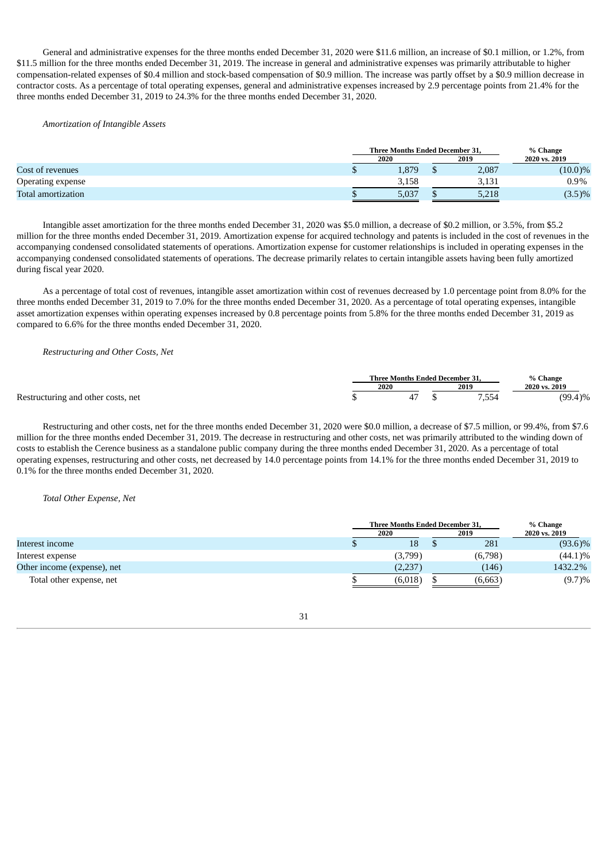General and administrative expenses for the three months ended December 31, 2020 were \$11.6 million, an increase of \$0.1 million, or 1.2%, from \$11.5 million for the three months ended December 31, 2019. The increase in general and administrative expenses was primarily attributable to higher compensation-related expenses of \$0.4 million and stock-based compensation of \$0.9 million. The increase was partly offset by a \$0.9 million decrease in contractor costs. As a percentage of total operating expenses, general and administrative expenses increased by 2.9 percentage points from 21.4% for the three months ended December 31, 2019 to 24.3% for the three months ended December 31, 2020.

### *Amortization of Intangible Assets*

|                    | <b>Three Months Ended December 31.</b> |  | % Change |               |
|--------------------|----------------------------------------|--|----------|---------------|
|                    | 2020                                   |  | 2019     | 2020 vs. 2019 |
| Cost of revenues   | 1,879                                  |  | 2,087    | $(10.0)\%$    |
| Operating expense  | 3,158                                  |  | 3,131    | $0.9\%$       |
| Total amortization | 5,037                                  |  | 5,218    | $(3.5)\%$     |

Intangible asset amortization for the three months ended December 31, 2020 was \$5.0 million, a decrease of \$0.2 million, or 3.5%, from \$5.2 million for the three months ended December 31, 2019. Amortization expense for acquired technology and patents is included in the cost of revenues in the accompanying condensed consolidated statements of operations. Amortization expense for customer relationships is included in operating expenses in the accompanying condensed consolidated statements of operations. The decrease primarily relates to certain intangible assets having been fully amortized during fiscal year 2020.

As a percentage of total cost of revenues, intangible asset amortization within cost of revenues decreased by 1.0 percentage point from 8.0% for the three months ended December 31, 2019 to 7.0% for the three months ended December 31, 2020. As a percentage of total operating expenses, intangible asset amortization expenses within operating expenses increased by 0.8 percentage points from 5.8% for the three months ended December 31, 2019 as compared to 6.6% for the three months ended December 31, 2020.

#### *Restructuring and Other Costs, Net*

|                                    | <b>Three Months Ended December 31.</b> |      | % Change      |
|------------------------------------|----------------------------------------|------|---------------|
|                                    | 2020                                   | 2019 | 2020 vs. 2019 |
| Restructuring and other costs, net |                                        |      | $(99.4)\%$    |

Restructuring and other costs, net for the three months ended December 31, 2020 were \$0.0 million, a decrease of \$7.5 million, or 99.4%, from \$7.6 million for the three months ended December 31, 2019. The decrease in restructuring and other costs, net was primarily attributed to the winding down of costs to establish the Cerence business as a standalone public company during the three months ended December 31, 2020. As a percentage of total operating expenses, restructuring and other costs, net decreased by 14.0 percentage points from 14.1% for the three months ended December 31, 2019 to 0.1% for the three months ended December 31, 2020.

#### *Total Other Expense, Net*

|                             | <b>Three Months Ended December 31.</b> | % Change |               |  |
|-----------------------------|----------------------------------------|----------|---------------|--|
|                             | 2020                                   | 2019     | 2020 vs. 2019 |  |
| Interest income             | 18                                     | 281      | $(93.6)\%$    |  |
| Interest expense            | (3,799)                                | (6,798)  | $(44.1)\%$    |  |
| Other income (expense), net | (2, 237)                               | (146)    | 1432.2%       |  |
| Total other expense, net    | (6,018)                                | (6,663)  | (9.7)%        |  |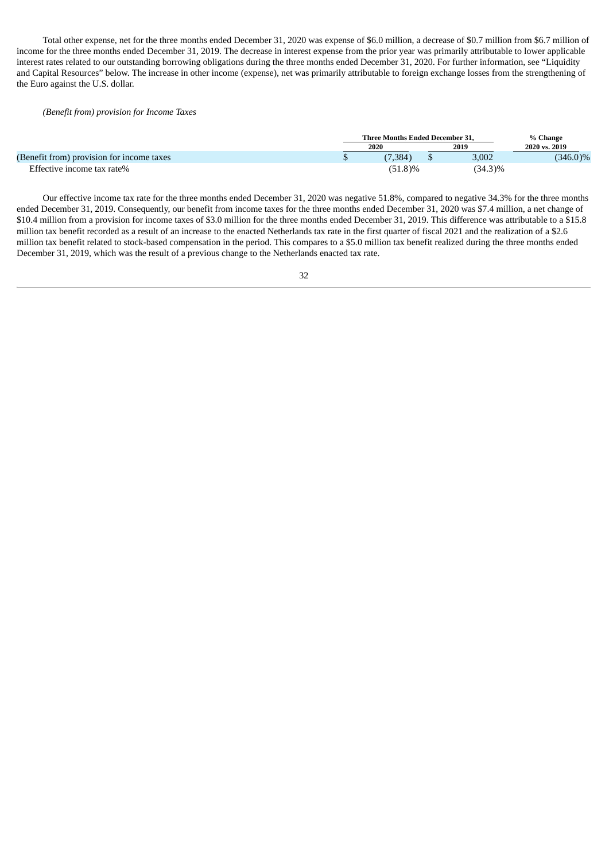Total other expense, net for the three months ended December 31, 2020 was expense of \$6.0 million, a decrease of \$0.7 million from \$6.7 million of income for the three months ended December 31, 2019. The decrease in interest expense from the prior year was primarily attributable to lower applicable interest rates related to our outstanding borrowing obligations during the three months ended December 31, 2020. For further information, see "Liquidity and Capital Resources" below. The increase in other income (expense), net was primarily attributable to foreign exchange losses from the strengthening of the Euro against the U.S. dollar.

## *(Benefit from) provision for Income Taxes*

|                                           |  | <b>Three Months Ended December 31.</b> |  | % Change   |               |
|-------------------------------------------|--|----------------------------------------|--|------------|---------------|
|                                           |  | 2020                                   |  | 2019       | 2020 vs. 2019 |
| (Benefit from) provision for income taxes |  | (7.384)                                |  | 3,002      | $(346.0)\%$   |
| Effective income tax rate%                |  | $(51.8)\%$                             |  | $(34.3)\%$ |               |

Our effective income tax rate for the three months ended December 31, 2020 was negative 51.8%, compared to negative 34.3% for the three months ended December 31, 2019. Consequently, our benefit from income taxes for the three months ended December 31, 2020 was \$7.4 million, a net change of \$10.4 million from a provision for income taxes of \$3.0 million for the three months ended December 31, 2019. This difference was attributable to a \$15.8 million tax benefit recorded as a result of an increase to the enacted Netherlands tax rate in the first quarter of fiscal 2021 and the realization of a \$2.6 million tax benefit related to stock-based compensation in the period. This compares to a \$5.0 million tax benefit realized during the three months ended December 31, 2019, which was the result of a previous change to the Netherlands enacted tax rate.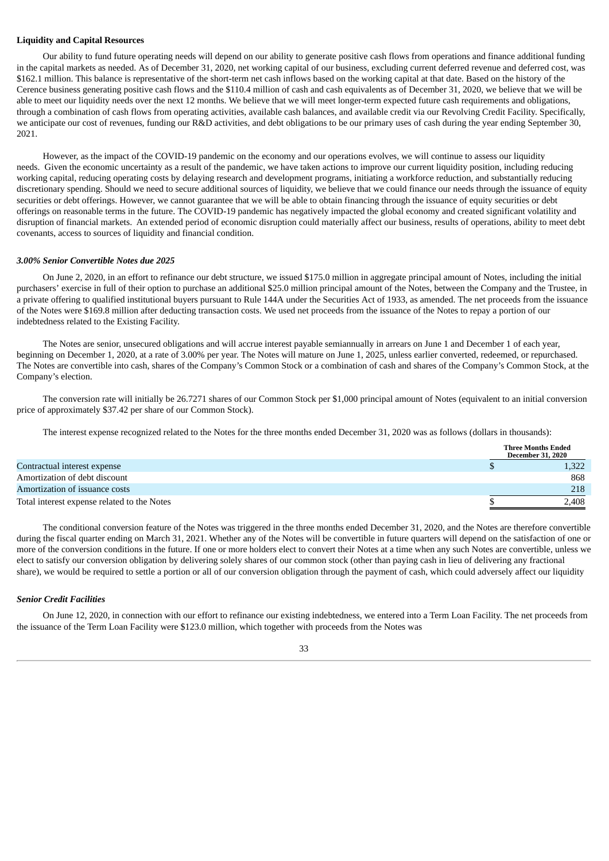#### **Liquidity and Capital Resources**

Our ability to fund future operating needs will depend on our ability to generate positive cash flows from operations and finance additional funding in the capital markets as needed. As of December 31, 2020, net working capital of our business, excluding current deferred revenue and deferred cost, was \$162.1 million. This balance is representative of the short-term net cash inflows based on the working capital at that date. Based on the history of the Cerence business generating positive cash flows and the \$110.4 million of cash and cash equivalents as of December 31, 2020, we believe that we will be able to meet our liquidity needs over the next 12 months. We believe that we will meet longer-term expected future cash requirements and obligations, through a combination of cash flows from operating activities, available cash balances, and available credit via our Revolving Credit Facility. Specifically, we anticipate our cost of revenues, funding our R&D activities, and debt obligations to be our primary uses of cash during the year ending September 30, 2021.

However, as the impact of the COVID-19 pandemic on the economy and our operations evolves, we will continue to assess our liquidity needs. Given the economic uncertainty as a result of the pandemic, we have taken actions to improve our current liquidity position, including reducing working capital, reducing operating costs by delaying research and development programs, initiating a workforce reduction, and substantially reducing discretionary spending. Should we need to secure additional sources of liquidity, we believe that we could finance our needs through the issuance of equity securities or debt offerings. However, we cannot guarantee that we will be able to obtain financing through the issuance of equity securities or debt offerings on reasonable terms in the future. The COVID-19 pandemic has negatively impacted the global economy and created significant volatility and disruption of financial markets. An extended period of economic disruption could materially affect our business, results of operations, ability to meet debt covenants, access to sources of liquidity and financial condition.

#### *3.00% Senior Convertible Notes due 2025*

On June 2, 2020, in an effort to refinance our debt structure, we issued \$175.0 million in aggregate principal amount of Notes, including the initial purchasers' exercise in full of their option to purchase an additional \$25.0 million principal amount of the Notes, between the Company and the Trustee, in a private offering to qualified institutional buyers pursuant to Rule 144A under the Securities Act of 1933, as amended. The net proceeds from the issuance of the Notes were \$169.8 million after deducting transaction costs. We used net proceeds from the issuance of the Notes to repay a portion of our indebtedness related to the Existing Facility.

The Notes are senior, unsecured obligations and will accrue interest payable semiannually in arrears on June 1 and December 1 of each year, beginning on December 1, 2020, at a rate of 3.00% per year. The Notes will mature on June 1, 2025, unless earlier converted, redeemed, or repurchased. The Notes are convertible into cash, shares of the Company's Common Stock or a combination of cash and shares of the Company's Common Stock, at the Company's election.

The conversion rate will initially be 26.7271 shares of our Common Stock per \$1,000 principal amount of Notes (equivalent to an initial conversion price of approximately \$37.42 per share of our Common Stock).

The interest expense recognized related to the Notes for the three months ended December 31, 2020 was as follows (dollars in thousands):

|                                             | <b>Three Months Ended</b><br><b>December 31, 2020</b> |
|---------------------------------------------|-------------------------------------------------------|
| Contractual interest expense                | 1,322                                                 |
| Amortization of debt discount               | 868                                                   |
| Amortization of issuance costs              | 218                                                   |
| Total interest expense related to the Notes | 2,408                                                 |

The conditional conversion feature of the Notes was triggered in the three months ended December 31, 2020, and the Notes are therefore convertible during the fiscal quarter ending on March 31, 2021. Whether any of the Notes will be convertible in future quarters will depend on the satisfaction of one or more of the conversion conditions in the future. If one or more holders elect to convert their Notes at a time when any such Notes are convertible, unless we elect to satisfy our conversion obligation by delivering solely shares of our common stock (other than paying cash in lieu of delivering any fractional share), we would be required to settle a portion or all of our conversion obligation through the payment of cash, which could adversely affect our liquidity

### *Senior Credit Facilities*

On June 12, 2020, in connection with our effort to refinance our existing indebtedness, we entered into a Term Loan Facility. The net proceeds from the issuance of the Term Loan Facility were \$123.0 million, which together with proceeds from the Notes was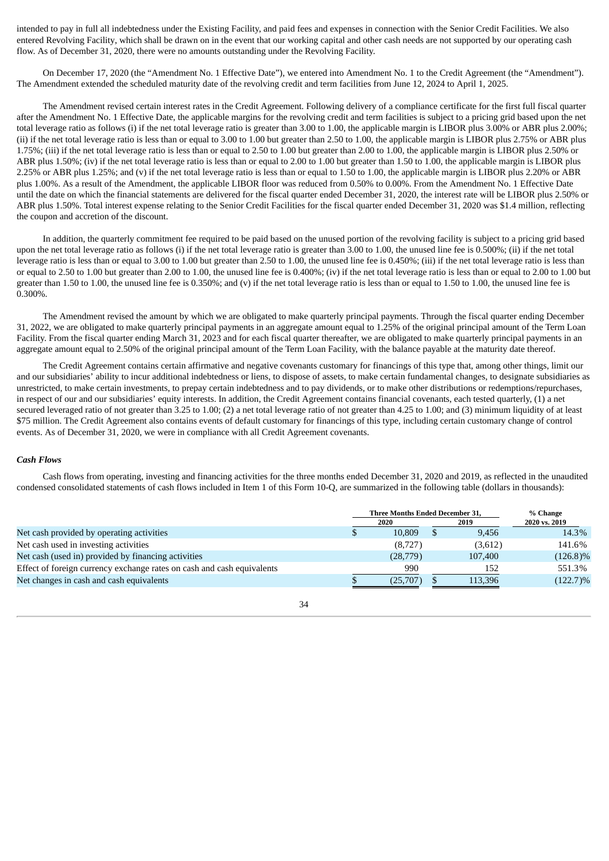intended to pay in full all indebtedness under the Existing Facility, and paid fees and expenses in connection with the Senior Credit Facilities. We also entered Revolving Facility, which shall be drawn on in the event that our working capital and other cash needs are not supported by our operating cash flow. As of December 31, 2020, there were no amounts outstanding under the Revolving Facility.

On December 17, 2020 (the "Amendment No. 1 Effective Date"), we entered into Amendment No. 1 to the Credit Agreement (the "Amendment"). The Amendment extended the scheduled maturity date of the revolving credit and term facilities from June 12, 2024 to April 1, 2025.

The Amendment revised certain interest rates in the Credit Agreement. Following delivery of a compliance certificate for the first full fiscal quarter after the Amendment No. 1 Effective Date, the applicable margins for the revolving credit and term facilities is subject to a pricing grid based upon the net total leverage ratio as follows (i) if the net total leverage ratio is greater than 3.00 to 1.00, the applicable margin is LIBOR plus 3.00% or ABR plus 2.00%; (ii) if the net total leverage ratio is less than or equal to 3.00 to 1.00 but greater than 2.50 to 1.00, the applicable margin is LIBOR plus 2.75% or ABR plus 1.75%; (iii) if the net total leverage ratio is less than or equal to 2.50 to 1.00 but greater than 2.00 to 1.00, the applicable margin is LIBOR plus 2.50% or ABR plus 1.50%; (iv) if the net total leverage ratio is less than or equal to 2.00 to 1.00 but greater than 1.50 to 1.00, the applicable margin is LIBOR plus 2.25% or ABR plus 1.25%; and (v) if the net total leverage ratio is less than or equal to 1.50 to 1.00, the applicable margin is LIBOR plus 2.20% or ABR plus 1.00%. As a result of the Amendment, the applicable LIBOR floor was reduced from 0.50% to 0.00%. From the Amendment No. 1 Effective Date until the date on which the financial statements are delivered for the fiscal quarter ended December 31, 2020, the interest rate will be LIBOR plus 2.50% or ABR plus 1.50%. Total interest expense relating to the Senior Credit Facilities for the fiscal quarter ended December 31, 2020 was \$1.4 million, reflecting the coupon and accretion of the discount.

In addition, the quarterly commitment fee required to be paid based on the unused portion of the revolving facility is subject to a pricing grid based upon the net total leverage ratio as follows (i) if the net total leverage ratio is greater than 3.00 to 1.00, the unused line fee is 0.500%; (ii) if the net total leverage ratio is less than or equal to 3.00 to 1.00 but greater than 2.50 to 1.00, the unused line fee is 0.450%; (iii) if the net total leverage ratio is less than or equal to 2.50 to 1.00 but greater than 2.00 to 1.00, the unused line fee is 0.400%; (iv) if the net total leverage ratio is less than or equal to 2.00 to 1.00 but greater than 1.50 to 1.00, the unused line fee is 0.350%; and (v) if the net total leverage ratio is less than or equal to 1.50 to 1.00, the unused line fee is 0.300%.

The Amendment revised the amount by which we are obligated to make quarterly principal payments. Through the fiscal quarter ending December 31, 2022, we are obligated to make quarterly principal payments in an aggregate amount equal to 1.25% of the original principal amount of the Term Loan Facility. From the fiscal quarter ending March 31, 2023 and for each fiscal quarter thereafter, we are obligated to make quarterly principal payments in an aggregate amount equal to 2.50% of the original principal amount of the Term Loan Facility, with the balance payable at the maturity date thereof.

The Credit Agreement contains certain affirmative and negative covenants customary for financings of this type that, among other things, limit our and our subsidiaries' ability to incur additional indebtedness or liens, to dispose of assets, to make certain fundamental changes, to designate subsidiaries as unrestricted, to make certain investments, to prepay certain indebtedness and to pay dividends, or to make other distributions or redemptions/repurchases, in respect of our and our subsidiaries' equity interests. In addition, the Credit Agreement contains financial covenants, each tested quarterly, (1) a net secured leveraged ratio of not greater than 3.25 to 1.00; (2) a net total leverage ratio of not greater than 4.25 to 1.00; and (3) minimum liquidity of at least \$75 million. The Credit Agreement also contains events of default customary for financings of this type, including certain customary change of control events. As of December 31, 2020, we were in compliance with all Credit Agreement covenants.

#### *Cash Flows*

Cash flows from operating, investing and financing activities for the three months ended December 31, 2020 and 2019, as reflected in the unaudited condensed consolidated statements of cash flows included in Item 1 of this Form 10-Q, are summarized in the following table (dollars in thousands):

|                                                                        | Three Months Ended December 31, |      | % Change |               |
|------------------------------------------------------------------------|---------------------------------|------|----------|---------------|
|                                                                        | 2020                            | 2019 |          | 2020 vs. 2019 |
| Net cash provided by operating activities                              | 10.809                          |      | 9.456    | 14.3%         |
| Net cash used in investing activities                                  | (8,727)                         |      | (3,612)  | 141.6%        |
| Net cash (used in) provided by financing activities                    | (28,779)                        |      | 107,400  | $(126.8)\%$   |
| Effect of foreign currency exchange rates on cash and cash equivalents | 990                             |      | 152      | 551.3%        |
| Net changes in cash and cash equivalents                               | (25,707)                        |      | 113.396  | $(122.7)\%$   |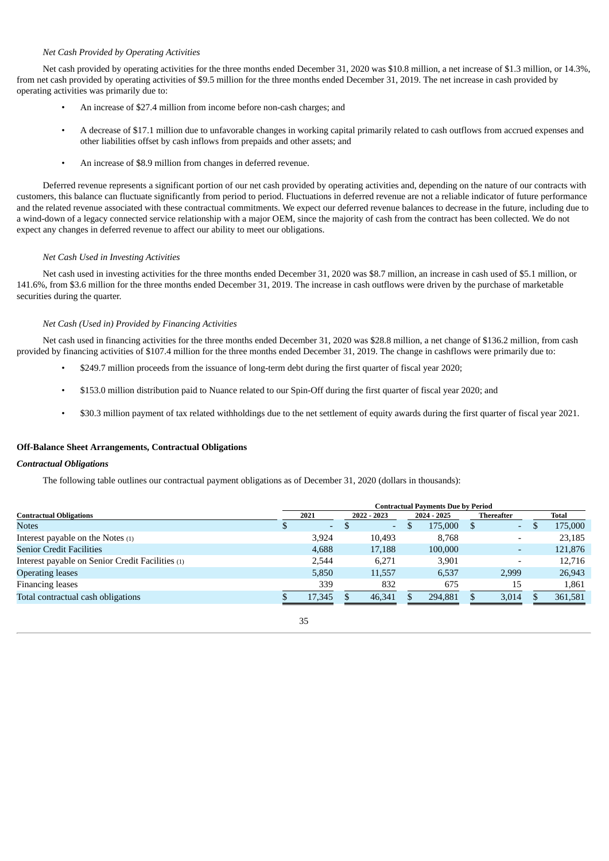### *Net Cash Provided by Operating Activities*

Net cash provided by operating activities for the three months ended December 31, 2020 was \$10.8 million, a net increase of \$1.3 million, or 14.3%, from net cash provided by operating activities of \$9.5 million for the three months ended December 31, 2019. The net increase in cash provided by operating activities was primarily due to:

- An increase of \$27.4 million from income before non-cash charges; and
- A decrease of \$17.1 million due to unfavorable changes in working capital primarily related to cash outflows from accrued expenses and other liabilities offset by cash inflows from prepaids and other assets; and
- An increase of \$8.9 million from changes in deferred revenue.

Deferred revenue represents a significant portion of our net cash provided by operating activities and, depending on the nature of our contracts with customers, this balance can fluctuate significantly from period to period. Fluctuations in deferred revenue are not a reliable indicator of future performance and the related revenue associated with these contractual commitments. We expect our deferred revenue balances to decrease in the future, including due to a wind-down of a legacy connected service relationship with a major OEM, since the majority of cash from the contract has been collected. We do not expect any changes in deferred revenue to affect our ability to meet our obligations.

#### *Net Cash Used in Investing Activities*

Net cash used in investing activities for the three months ended December 31, 2020 was \$8.7 million, an increase in cash used of \$5.1 million, or 141.6%, from \$3.6 million for the three months ended December 31, 2019. The increase in cash outflows were driven by the purchase of marketable securities during the quarter.

#### *Net Cash (Used in) Provided by Financing Activities*

Net cash used in financing activities for the three months ended December 31, 2020 was \$28.8 million, a net change of \$136.2 million, from cash provided by financing activities of \$107.4 million for the three months ended December 31, 2019. The change in cashflows were primarily due to:

- \$249.7 million proceeds from the issuance of long-term debt during the first quarter of fiscal year 2020;
- \$153.0 million distribution paid to Nuance related to our Spin-Off during the first quarter of fiscal year 2020; and
- \$30.3 million payment of tax related withholdings due to the net settlement of equity awards during the first quarter of fiscal year 2021.

#### **Off-Balance Sheet Arrangements, Contractual Obligations**

#### *Contractual Obligations*

The following table outlines our contractual payment obligations as of December 31, 2020 (dollars in thousands):

|                                                  | <b>Contractual Payments Due by Period</b> |        |  |                          |  |               |                   |       |  |              |
|--------------------------------------------------|-------------------------------------------|--------|--|--------------------------|--|---------------|-------------------|-------|--|--------------|
| <b>Contractual Obligations</b>                   |                                           | 2021   |  | $2022 - 2023$            |  | $2024 - 2025$ | <b>Thereafter</b> |       |  | <b>Total</b> |
| <b>Notes</b>                                     |                                           | ٠      |  | $\overline{\phantom{a}}$ |  | 175,000       |                   | н.    |  | 175,000      |
| Interest payable on the Notes (1)                |                                           | 3,924  |  | 10,493                   |  | 8.768         |                   | -     |  | 23,185       |
| <b>Senior Credit Facilities</b>                  |                                           | 4,688  |  | 17,188                   |  | 100,000       |                   |       |  | 121,876      |
| Interest payable on Senior Credit Facilities (1) |                                           | 2,544  |  | 6.271                    |  | 3,901         |                   |       |  | 12,716       |
| <b>Operating leases</b>                          |                                           | 5,850  |  | 11,557                   |  | 6.537         |                   | 2.999 |  | 26,943       |
| Financing leases                                 |                                           | 339    |  | 832                      |  | 675           |                   | 15    |  | 1,861        |
| Total contractual cash obligations               |                                           | 17.345 |  | 46.341                   |  | 294.881       |                   | 3.014 |  | 361,581      |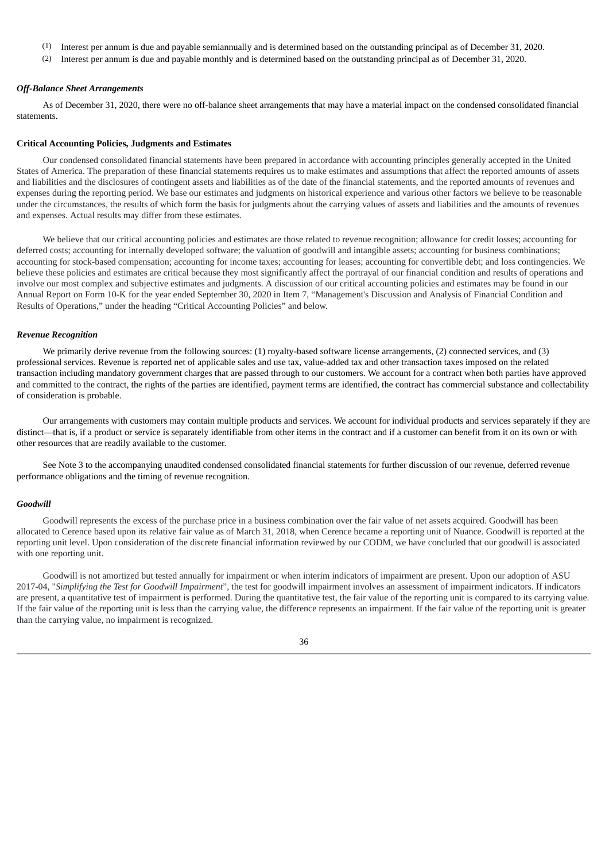- (1) Interest per annum is due and payable semiannually and is determined based on the outstanding principal as of December 31, 2020.
- (2) Interest per annum is due and payable monthly and is determined based on the outstanding principal as of December 31, 2020.

#### *Off-Balance Sheet Arrangements*

As of December 31, 2020, there were no off-balance sheet arrangements that may have a material impact on the condensed consolidated financial statements.

#### **Critical Accounting Policies, Judgments and Estimates**

Our condensed consolidated financial statements have been prepared in accordance with accounting principles generally accepted in the United States of America. The preparation of these financial statements requires us to make estimates and assumptions that affect the reported amounts of assets and liabilities and the disclosures of contingent assets and liabilities as of the date of the financial statements, and the reported amounts of revenues and expenses during the reporting period. We base our estimates and judgments on historical experience and various other factors we believe to be reasonable under the circumstances, the results of which form the basis for judgments about the carrying values of assets and liabilities and the amounts of revenues and expenses. Actual results may differ from these estimates.

We believe that our critical accounting policies and estimates are those related to revenue recognition; allowance for credit losses; accounting for deferred costs; accounting for internally developed software; the valuation of goodwill and intangible assets; accounting for business combinations; accounting for stock-based compensation; accounting for income taxes; accounting for leases; accounting for convertible debt; and loss contingencies. We believe these policies and estimates are critical because they most significantly affect the portrayal of our financial condition and results of operations and involve our most complex and subjective estimates and judgments. A discussion of our critical accounting policies and estimates may be found in our Annual Report on Form 10-K for the year ended September 30, 2020 in Item 7, "Management's Discussion and Analysis of Financial Condition and Results of Operations," under the heading "Critical Accounting Policies" and below.

#### *Revenue Recognition*

We primarily derive revenue from the following sources: (1) royalty-based software license arrangements, (2) connected services, and (3) professional services. Revenue is reported net of applicable sales and use tax, value-added tax and other transaction taxes imposed on the related transaction including mandatory government charges that are passed through to our customers. We account for a contract when both parties have approved and committed to the contract, the rights of the parties are identified, payment terms are identified, the contract has commercial substance and collectability of consideration is probable.

Our arrangements with customers may contain multiple products and services. We account for individual products and services separately if they are distinct—that is, if a product or service is separately identifiable from other items in the contract and if a customer can benefit from it on its own or with other resources that are readily available to the customer.

See Note 3 to the accompanying unaudited condensed consolidated financial statements for further discussion of our revenue, deferred revenue performance obligations and the timing of revenue recognition.

#### *Goodwill*

Goodwill represents the excess of the purchase price in a business combination over the fair value of net assets acquired. Goodwill has been allocated to Cerence based upon its relative fair value as of March 31, 2018, when Cerence became a reporting unit of Nuance. Goodwill is reported at the reporting unit level. Upon consideration of the discrete financial information reviewed by our CODM, we have concluded that our goodwill is associated with one reporting unit.

Goodwill is not amortized but tested annually for impairment or when interim indicators of impairment are present. Upon our adoption of ASU 2017-04, "*Simplifying the Test for Goodwill Impairment*", the test for goodwill impairment involves an assessment of impairment indicators. If indicators are present, a quantitative test of impairment is performed. During the quantitative test, the fair value of the reporting unit is compared to its carrying value. If the fair value of the reporting unit is less than the carrying value, the difference represents an impairment. If the fair value of the reporting unit is greater than the carrying value, no impairment is recognized.

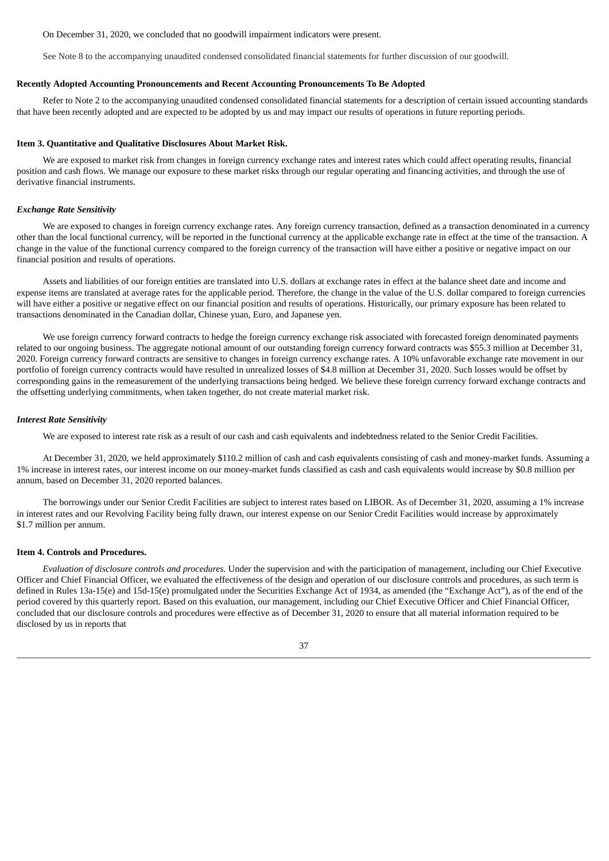On December 31, 2020, we concluded that no goodwill impairment indicators were present.

See Note 8 to the accompanying unaudited condensed consolidated financial statements for further discussion of our goodwill.

#### **Recently Adopted Accounting Pronouncements and Recent Accounting Pronouncements To Be Adopted**

Refer to Note 2 to the accompanying unaudited condensed consolidated financial statements for a description of certain issued accounting standards that have been recently adopted and are expected to be adopted by us and may impact our results of operations in future reporting periods.

#### <span id="page-38-0"></span>**Item 3. Quantitative and Qualitative Disclosures About Market Risk.**

We are exposed to market risk from changes in foreign currency exchange rates and interest rates which could affect operating results, financial position and cash flows. We manage our exposure to these market risks through our regular operating and financing activities, and through the use of derivative financial instruments.

#### *Exchange Rate Sensitivity*

We are exposed to changes in foreign currency exchange rates. Any foreign currency transaction, defined as a transaction denominated in a currency other than the local functional currency, will be reported in the functional currency at the applicable exchange rate in effect at the time of the transaction. A change in the value of the functional currency compared to the foreign currency of the transaction will have either a positive or negative impact on our financial position and results of operations.

Assets and liabilities of our foreign entities are translated into U.S. dollars at exchange rates in effect at the balance sheet date and income and expense items are translated at average rates for the applicable period. Therefore, the change in the value of the U.S. dollar compared to foreign currencies will have either a positive or negative effect on our financial position and results of operations. Historically, our primary exposure has been related to transactions denominated in the Canadian dollar, Chinese yuan, Euro, and Japanese yen.

We use foreign currency forward contracts to hedge the foreign currency exchange risk associated with forecasted foreign denominated payments related to our ongoing business. The aggregate notional amount of our outstanding foreign currency forward contracts was \$55.3 million at December 31, 2020. Foreign currency forward contracts are sensitive to changes in foreign currency exchange rates. A 10% unfavorable exchange rate movement in our portfolio of foreign currency contracts would have resulted in unrealized losses of \$4.8 million at December 31, 2020. Such losses would be offset by corresponding gains in the remeasurement of the underlying transactions being hedged. We believe these foreign currency forward exchange contracts and the offsetting underlying commitments, when taken together, do not create material market risk.

#### *Interest Rate Sensitivity*

We are exposed to interest rate risk as a result of our cash and cash equivalents and indebtedness related to the Senior Credit Facilities.

At December 31, 2020, we held approximately \$110.2 million of cash and cash equivalents consisting of cash and money-market funds. Assuming a 1% increase in interest rates, our interest income on our money-market funds classified as cash and cash equivalents would increase by \$0.8 million per annum, based on December 31, 2020 reported balances.

The borrowings under our Senior Credit Facilities are subject to interest rates based on LIBOR. As of December 31, 2020, assuming a 1% increase in interest rates and our Revolving Facility being fully drawn, our interest expense on our Senior Credit Facilities would increase by approximately \$1.7 million per annum.

#### <span id="page-38-1"></span>**Item 4. Controls and Procedures.**

*Evaluation of disclosure controls and procedures.* Under the supervision and with the participation of management, including our Chief Executive Officer and Chief Financial Officer, we evaluated the effectiveness of the design and operation of our disclosure controls and procedures, as such term is defined in Rules 13a-15(e) and 15d-15(e) promulgated under the Securities Exchange Act of 1934, as amended (the "Exchange Act"), as of the end of the period covered by this quarterly report. Based on this evaluation, our management, including our Chief Executive Officer and Chief Financial Officer, concluded that our disclosure controls and procedures were effective as of December 31, 2020 to ensure that all material information required to be disclosed by us in reports that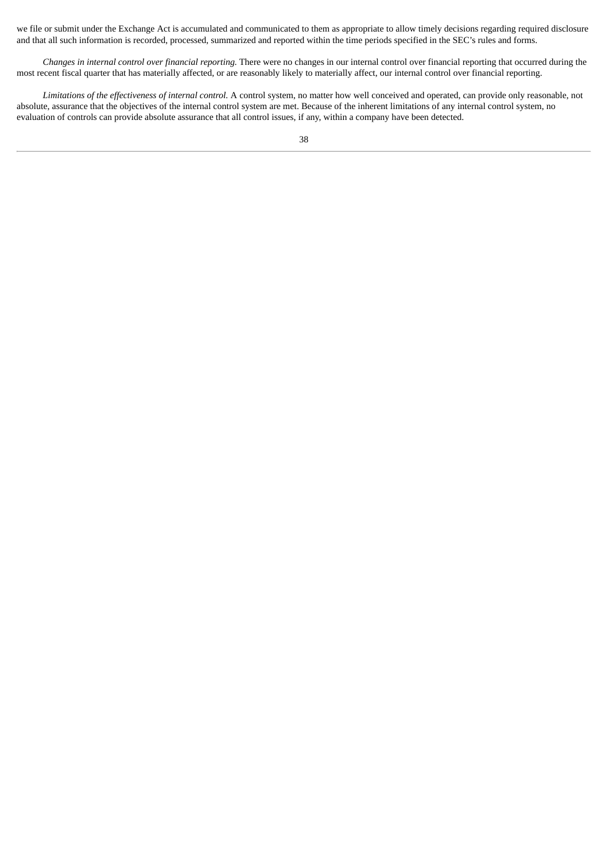we file or submit under the Exchange Act is accumulated and communicated to them as appropriate to allow timely decisions regarding required disclosure and that all such information is recorded, processed, summarized and reported within the time periods specified in the SEC's rules and forms.

*Changes in internal control over financial reporting.* There were no changes in our internal control over financial reporting that occurred during the most recent fiscal quarter that has materially affected, or are reasonably likely to materially affect, our internal control over financial reporting.

*Limitations of the effectiveness of internal control.* A control system, no matter how well conceived and operated, can provide only reasonable, not absolute, assurance that the objectives of the internal control system are met. Because of the inherent limitations of any internal control system, no evaluation of controls can provide absolute assurance that all control issues, if any, within a company have been detected.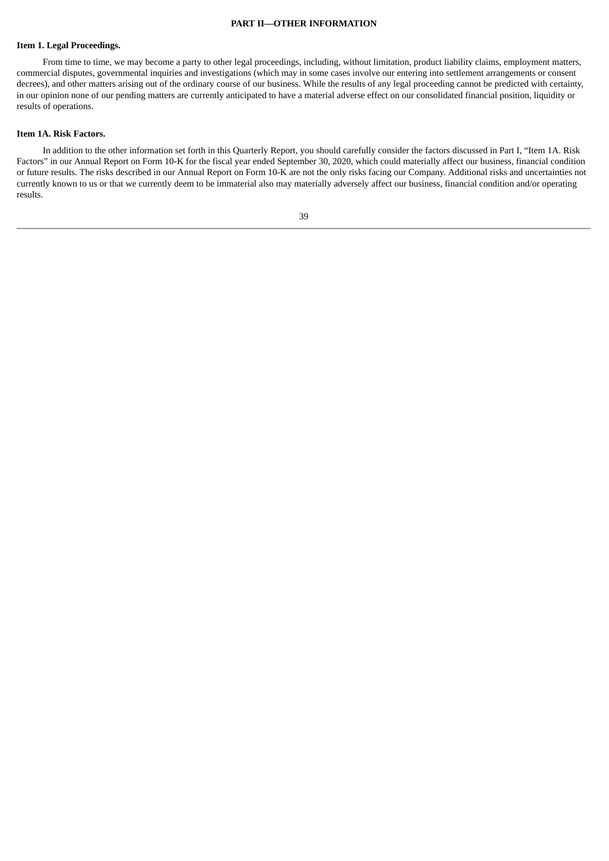## **PART II—OTHER INFORMATION**

#### <span id="page-40-1"></span><span id="page-40-0"></span>**Item 1. Legal Proceedings.**

From time to time, we may become a party to other legal proceedings, including, without limitation, product liability claims, employment matters, commercial disputes, governmental inquiries and investigations (which may in some cases involve our entering into settlement arrangements or consent decrees), and other matters arising out of the ordinary course of our business. While the results of any legal proceeding cannot be predicted with certainty, in our opinion none of our pending matters are currently anticipated to have a material adverse effect on our consolidated financial position, liquidity or results of operations.

#### <span id="page-40-2"></span>**Item 1A. Risk Factors.**

In addition to the other information set forth in this Quarterly Report, you should carefully consider the factors discussed in Part I, "Item 1A. Risk Factors" in our Annual Report on Form 10-K for the fiscal year ended September 30, 2020, which could materially affect our business, financial condition or future results. The risks described in our Annual Report on Form 10-K are not the only risks facing our Company. Additional risks and uncertainties not currently known to us or that we currently deem to be immaterial also may materially adversely affect our business, financial condition and/or operating results.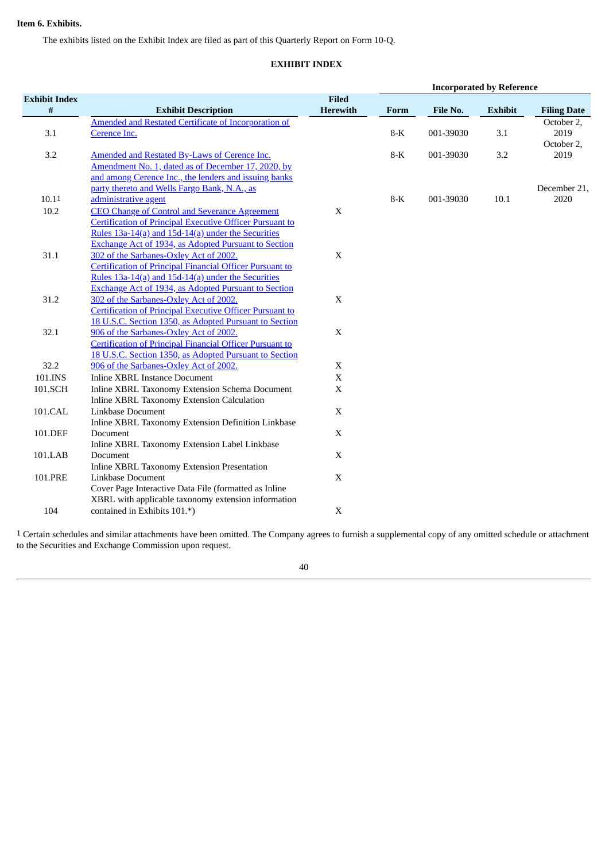# <span id="page-41-0"></span>**Item 6. Exhibits.**

The exhibits listed on the Exhibit Index are filed as part of this Quarterly Report on Form 10-Q.

# **EXHIBIT INDEX**

|                      |                                                                                     |              | <b>Incorporated by Reference</b> |           |                |                    |
|----------------------|-------------------------------------------------------------------------------------|--------------|----------------------------------|-----------|----------------|--------------------|
| <b>Exhibit Index</b> |                                                                                     | <b>Filed</b> |                                  |           |                |                    |
| $\#$                 | <b>Exhibit Description</b>                                                          | Herewith     | Form                             | File No.  | <b>Exhibit</b> | <b>Filing Date</b> |
|                      | <b>Amended and Restated Certificate of Incorporation of</b>                         |              |                                  |           |                | October 2,         |
| 3.1                  | Cerence Inc.                                                                        |              | 8-K                              | 001-39030 | 3.1            | 2019               |
|                      |                                                                                     |              |                                  |           |                | October 2,         |
| 3.2                  | Amended and Restated By-Laws of Cerence Inc.                                        |              | $8-K$                            | 001-39030 | 3.2            | 2019               |
|                      | Amendment No. 1, dated as of December 17, 2020, by                                  |              |                                  |           |                |                    |
|                      | and among Cerence Inc., the lenders and issuing banks                               |              |                                  |           |                |                    |
|                      | party thereto and Wells Fargo Bank, N.A., as                                        |              |                                  |           |                | December 21,       |
| 10.11                | administrative agent                                                                |              | $8-K$                            | 001-39030 | 10.1           | 2020               |
| 10.2                 | <b>CEO Change of Control and Severance Agreement</b>                                | X            |                                  |           |                |                    |
|                      | <b>Certification of Principal Executive Officer Pursuant to</b>                     |              |                                  |           |                |                    |
|                      | Rules 13a-14(a) and 15d-14(a) under the Securities                                  |              |                                  |           |                |                    |
|                      | Exchange Act of 1934, as Adopted Pursuant to Section                                |              |                                  |           |                |                    |
| 31.1                 | 302 of the Sarbanes-Oxley Act of 2002.                                              | $\mathbf X$  |                                  |           |                |                    |
|                      | <b>Certification of Principal Financial Officer Pursuant to</b>                     |              |                                  |           |                |                    |
|                      | Rules 13a-14(a) and 15d-14(a) under the Securities                                  |              |                                  |           |                |                    |
|                      | <b>Exchange Act of 1934, as Adopted Pursuant to Section</b>                         |              |                                  |           |                |                    |
| 31.2                 | 302 of the Sarbanes-Oxley Act of 2002.                                              | $\mathbf X$  |                                  |           |                |                    |
|                      | <b>Certification of Principal Executive Officer Pursuant to</b>                     |              |                                  |           |                |                    |
|                      | 18 U.S.C. Section 1350, as Adopted Pursuant to Section                              |              |                                  |           |                |                    |
| 32.1                 | 906 of the Sarbanes-Oxley Act of 2002.                                              | $\mathbf X$  |                                  |           |                |                    |
|                      | <b>Certification of Principal Financial Officer Pursuant to</b>                     |              |                                  |           |                |                    |
|                      | 18 U.S.C. Section 1350, as Adopted Pursuant to Section                              |              |                                  |           |                |                    |
| 32.2                 | 906 of the Sarbanes-Oxley Act of 2002.                                              | $\mathbf X$  |                                  |           |                |                    |
| 101.INS              | <b>Inline XBRL Instance Document</b>                                                | $\mathbf X$  |                                  |           |                |                    |
| 101.SCH              | Inline XBRL Taxonomy Extension Schema Document                                      | $\mathbf X$  |                                  |           |                |                    |
|                      | Inline XBRL Taxonomy Extension Calculation                                          |              |                                  |           |                |                    |
| 101.CAL              | <b>Linkbase Document</b>                                                            | $\mathbf X$  |                                  |           |                |                    |
|                      | Inline XBRL Taxonomy Extension Definition Linkbase                                  |              |                                  |           |                |                    |
| 101.DEF              | Document                                                                            | $\mathbf X$  |                                  |           |                |                    |
|                      | Inline XBRL Taxonomy Extension Label Linkbase                                       |              |                                  |           |                |                    |
| 101.LAB              | Document                                                                            | $\mathbf X$  |                                  |           |                |                    |
|                      | Inline XBRL Taxonomy Extension Presentation                                         |              |                                  |           |                |                    |
| 101.PRE              | <b>Linkbase Document</b>                                                            | $\mathbf X$  |                                  |           |                |                    |
|                      | Cover Page Interactive Data File (formatted as Inline                               |              |                                  |           |                |                    |
| 104                  | XBRL with applicable taxonomy extension information<br>contained in Exhibits 101.*) | $\mathbf X$  |                                  |           |                |                    |
|                      |                                                                                     |              |                                  |           |                |                    |
|                      |                                                                                     |              |                                  |           |                |                    |

 $1$  Certain schedules and similar attachments have been omitted. The Company agrees to furnish a supplemental copy of any omitted schedule or attachment to the Securities and Exchange Commission upon request.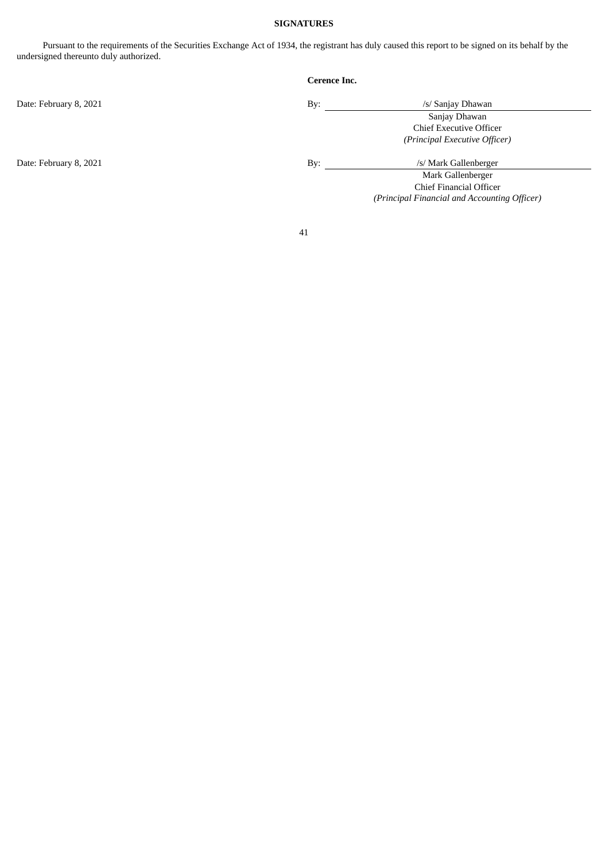# **SIGNATURES**

<span id="page-42-0"></span>Pursuant to the requirements of the Securities Exchange Act of 1934, the registrant has duly caused this report to be signed on its behalf by the undersigned thereunto duly authorized.

|                        | <b>Cerence Inc.</b> |                                              |  |  |
|------------------------|---------------------|----------------------------------------------|--|--|
| Date: February 8, 2021 | By:                 | /s/ Sanjay Dhawan                            |  |  |
|                        |                     | Sanjay Dhawan                                |  |  |
|                        |                     | <b>Chief Executive Officer</b>               |  |  |
|                        |                     | (Principal Executive Officer)                |  |  |
| Date: February 8, 2021 | By:                 | /s/ Mark Gallenberger                        |  |  |
|                        |                     | Mark Gallenberger                            |  |  |
|                        |                     | Chief Financial Officer                      |  |  |
|                        |                     | (Principal Financial and Accounting Officer) |  |  |
|                        |                     |                                              |  |  |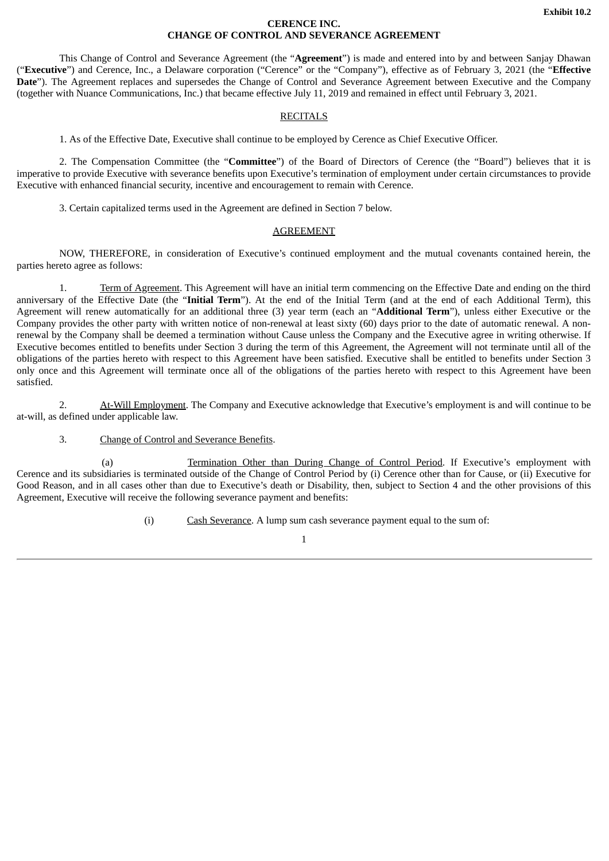# **CERENCE INC. CHANGE OF CONTROL AND SEVERANCE AGREEMENT**

<span id="page-43-0"></span>This Change of Control and Severance Agreement (the "**Agreement**") is made and entered into by and between Sanjay Dhawan ("**Executive**") and Cerence, Inc., a Delaware corporation ("Cerence" or the "Company"), effective as of February 3, 2021 (the "**Effective Date**"). The Agreement replaces and supersedes the Change of Control and Severance Agreement between Executive and the Company (together with Nuance Communications, Inc.) that became effective July 11, 2019 and remained in effect until February 3, 2021.

# **RECITALS**

1. As of the Effective Date, Executive shall continue to be employed by Cerence as Chief Executive Officer.

2. The Compensation Committee (the "**Committee**") of the Board of Directors of Cerence (the "Board") believes that it is imperative to provide Executive with severance benefits upon Executive's termination of employment under certain circumstances to provide Executive with enhanced financial security, incentive and encouragement to remain with Cerence.

3. Certain capitalized terms used in the Agreement are defined in Section 7 below.

# AGREEMENT

NOW, THEREFORE, in consideration of Executive's continued employment and the mutual covenants contained herein, the parties hereto agree as follows:

1. Term of Agreement. This Agreement will have an initial term commencing on the Effective Date and ending on the third anniversary of the Effective Date (the "**Initial Term**"). At the end of the Initial Term (and at the end of each Additional Term), this Agreement will renew automatically for an additional three (3) year term (each an "**Additional Term**"), unless either Executive or the Company provides the other party with written notice of non-renewal at least sixty (60) days prior to the date of automatic renewal. A nonrenewal by the Company shall be deemed a termination without Cause unless the Company and the Executive agree in writing otherwise. If Executive becomes entitled to benefits under Section 3 during the term of this Agreement, the Agreement will not terminate until all of the obligations of the parties hereto with respect to this Agreement have been satisfied. Executive shall be entitled to benefits under Section 3 only once and this Agreement will terminate once all of the obligations of the parties hereto with respect to this Agreement have been satisfied.

2. At-Will Employment. The Company and Executive acknowledge that Executive's employment is and will continue to be at-will, as defined under applicable law.

3. Change of Control and Severance Benefits.

(a) Termination Other than During Change of Control Period. If Executive's employment with Cerence and its subsidiaries is terminated outside of the Change of Control Period by (i) Cerence other than for Cause, or (ii) Executive for Good Reason, and in all cases other than due to Executive's death or Disability, then, subject to Section 4 and the other provisions of this Agreement, Executive will receive the following severance payment and benefits:

(i) Cash Severance. A lump sum cash severance payment equal to the sum of: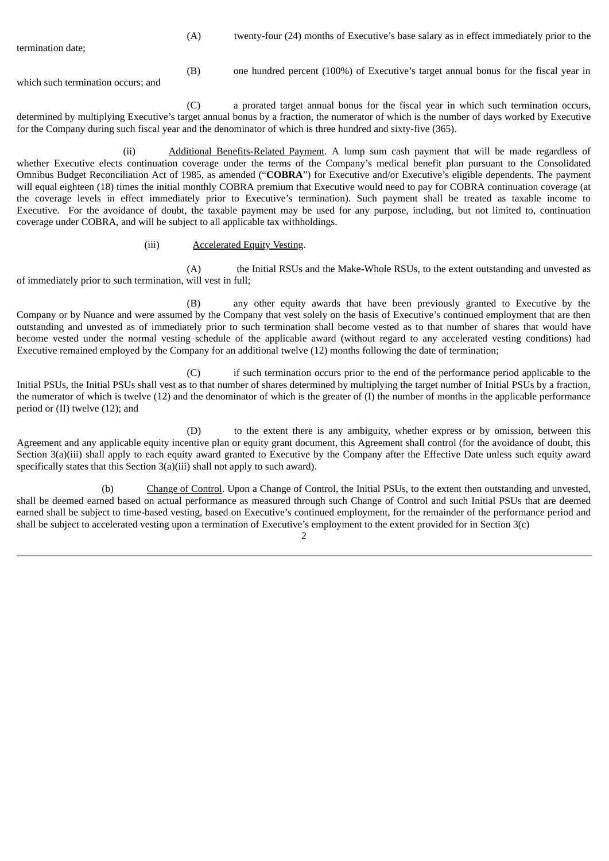termination date;

(A) twenty-four (24) months of Executive's base salary as in effect immediately prior to the

which such termination occurs; and

(B) one hundred percent (100%) of Executive's target annual bonus for the fiscal year in

(C) a prorated target annual bonus for the fiscal year in which such termination occurs, determined by multiplying Executive's target annual bonus by a fraction, the numerator of which is the number of days worked by Executive for the Company during such fiscal year and the denominator of which is three hundred and sixty-five (365).

(ii) Additional Benefits-Related Payment. A lump sum cash payment that will be made regardless of whether Executive elects continuation coverage under the terms of the Company's medical benefit plan pursuant to the Consolidated Omnibus Budget Reconciliation Act of 1985, as amended ("**COBRA**") for Executive and/or Executive's eligible dependents. The payment will equal eighteen (18) times the initial monthly COBRA premium that Executive would need to pay for COBRA continuation coverage (at the coverage levels in effect immediately prior to Executive's termination). Such payment shall be treated as taxable income to Executive. For the avoidance of doubt, the taxable payment may be used for any purpose, including, but not limited to, continuation coverage under COBRA, and will be subject to all applicable tax withholdings.

(iii) Accelerated Equity Vesting.

(A) the Initial RSUs and the Make-Whole RSUs, to the extent outstanding and unvested as of immediately prior to such termination, will vest in full;

(B) any other equity awards that have been previously granted to Executive by the Company or by Nuance and were assumed by the Company that vest solely on the basis of Executive's continued employment that are then outstanding and unvested as of immediately prior to such termination shall become vested as to that number of shares that would have become vested under the normal vesting schedule of the applicable award (without regard to any accelerated vesting conditions) had Executive remained employed by the Company for an additional twelve (12) months following the date of termination;

(C) if such termination occurs prior to the end of the performance period applicable to the Initial PSUs, the Initial PSUs shall vest as to that number of shares determined by multiplying the target number of Initial PSUs by a fraction, the numerator of which is twelve (12) and the denominator of which is the greater of (I) the number of months in the applicable performance period or (II) twelve (12); and

(D) to the extent there is any ambiguity, whether express or by omission, between this Agreement and any applicable equity incentive plan or equity grant document, this Agreement shall control (for the avoidance of doubt, this Section 3(a)(iii) shall apply to each equity award granted to Executive by the Company after the Effective Date unless such equity award specifically states that this Section 3(a)(iii) shall not apply to such award).

(b) Change of Control. Upon a Change of Control, the Initial PSUs, to the extent then outstanding and unvested, shall be deemed earned based on actual performance as measured through such Change of Control and such Initial PSUs that are deemed earned shall be subject to time-based vesting, based on Executive's continued employment, for the remainder of the performance period and shall be subject to accelerated vesting upon a termination of Executive's employment to the extent provided for in Section 3(c)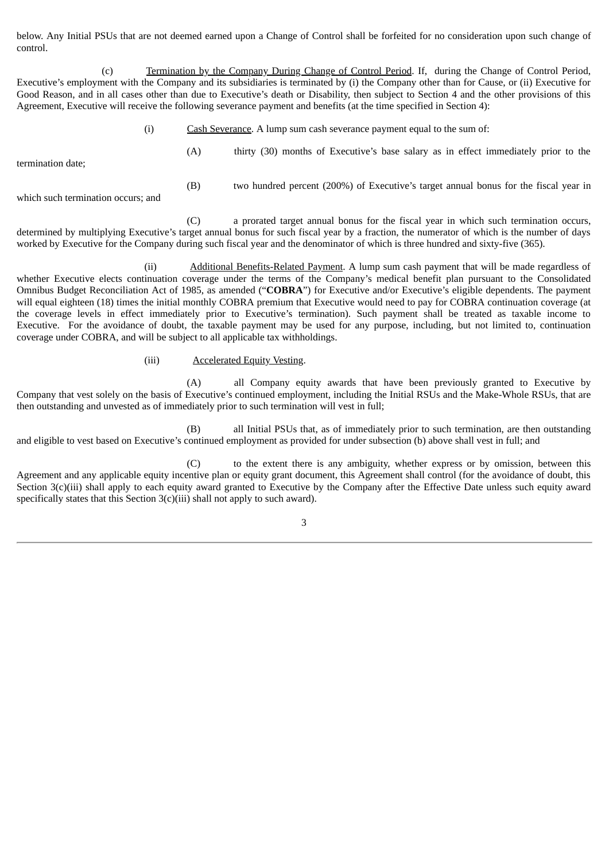below. Any Initial PSUs that are not deemed earned upon a Change of Control shall be forfeited for no consideration upon such change of control.

(c) Termination by the Company During Change of Control Period. If, during the Change of Control Period, Executive's employment with the Company and its subsidiaries is terminated by (i) the Company other than for Cause, or (ii) Executive for Good Reason, and in all cases other than due to Executive's death or Disability, then subject to Section 4 and the other provisions of this Agreement, Executive will receive the following severance payment and benefits (at the time specified in Section 4):

(i) Cash Severance. A lump sum cash severance payment equal to the sum of:

termination date;

(A) thirty (30) months of Executive's base salary as in effect immediately prior to the

(B) two hundred percent (200%) of Executive's target annual bonus for the fiscal year in

which such termination occurs; and

(C) a prorated target annual bonus for the fiscal year in which such termination occurs, determined by multiplying Executive's target annual bonus for such fiscal year by a fraction, the numerator of which is the number of days worked by Executive for the Company during such fiscal year and the denominator of which is three hundred and sixty-five (365).

(ii) Additional Benefits-Related Payment. A lump sum cash payment that will be made regardless of whether Executive elects continuation coverage under the terms of the Company's medical benefit plan pursuant to the Consolidated Omnibus Budget Reconciliation Act of 1985, as amended ("**COBRA**") for Executive and/or Executive's eligible dependents. The payment will equal eighteen (18) times the initial monthly COBRA premium that Executive would need to pay for COBRA continuation coverage (at the coverage levels in effect immediately prior to Executive's termination). Such payment shall be treated as taxable income to Executive. For the avoidance of doubt, the taxable payment may be used for any purpose, including, but not limited to, continuation coverage under COBRA, and will be subject to all applicable tax withholdings.

# (iii) Accelerated Equity Vesting.

(A) all Company equity awards that have been previously granted to Executive by Company that vest solely on the basis of Executive's continued employment, including the Initial RSUs and the Make-Whole RSUs, that are then outstanding and unvested as of immediately prior to such termination will vest in full;

(B) all Initial PSUs that, as of immediately prior to such termination, are then outstanding and eligible to vest based on Executive's continued employment as provided for under subsection (b) above shall vest in full; and

(C) to the extent there is any ambiguity, whether express or by omission, between this Agreement and any applicable equity incentive plan or equity grant document, this Agreement shall control (for the avoidance of doubt, this Section 3(c)(iii) shall apply to each equity award granted to Executive by the Company after the Effective Date unless such equity award specifically states that this Section 3(c)(iii) shall not apply to such award).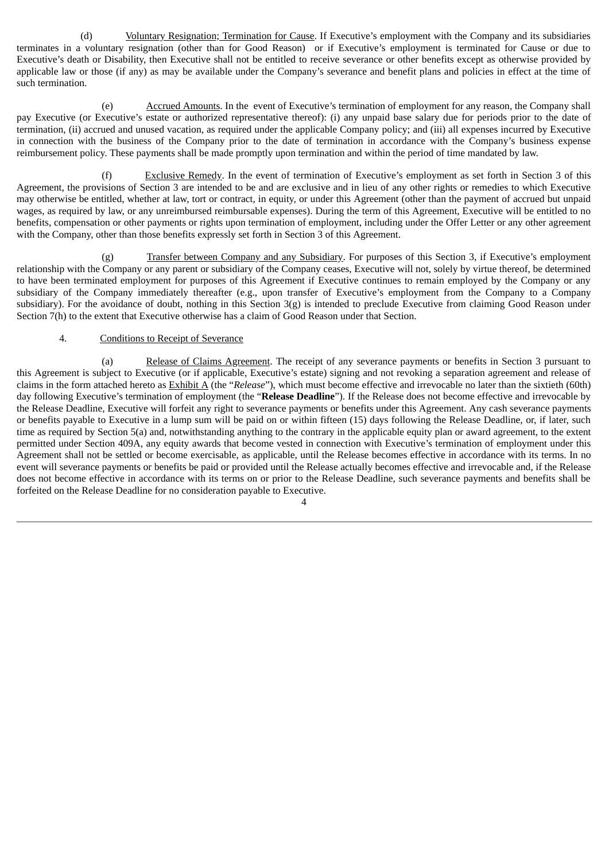(d) Voluntary Resignation; Termination for Cause. If Executive's employment with the Company and its subsidiaries terminates in a voluntary resignation (other than for Good Reason) or if Executive's employment is terminated for Cause or due to Executive's death or Disability, then Executive shall not be entitled to receive severance or other benefits except as otherwise provided by applicable law or those (if any) as may be available under the Company's severance and benefit plans and policies in effect at the time of such termination.

(e) Accrued Amounts. In the event of Executive's termination of employment for any reason, the Company shall pay Executive (or Executive's estate or authorized representative thereof): (i) any unpaid base salary due for periods prior to the date of termination, (ii) accrued and unused vacation, as required under the applicable Company policy; and (iii) all expenses incurred by Executive in connection with the business of the Company prior to the date of termination in accordance with the Company's business expense reimbursement policy. These payments shall be made promptly upon termination and within the period of time mandated by law.

(f) Exclusive Remedy. In the event of termination of Executive's employment as set forth in Section 3 of this Agreement, the provisions of Section 3 are intended to be and are exclusive and in lieu of any other rights or remedies to which Executive may otherwise be entitled, whether at law, tort or contract, in equity, or under this Agreement (other than the payment of accrued but unpaid wages, as required by law, or any unreimbursed reimbursable expenses). During the term of this Agreement, Executive will be entitled to no benefits, compensation or other payments or rights upon termination of employment, including under the Offer Letter or any other agreement with the Company, other than those benefits expressly set forth in Section 3 of this Agreement.

(g) Transfer between Company and any Subsidiary. For purposes of this Section 3, if Executive's employment relationship with the Company or any parent or subsidiary of the Company ceases, Executive will not, solely by virtue thereof, be determined to have been terminated employment for purposes of this Agreement if Executive continues to remain employed by the Company or any subsidiary of the Company immediately thereafter (e.g., upon transfer of Executive's employment from the Company to a Company subsidiary). For the avoidance of doubt, nothing in this Section 3(g) is intended to preclude Executive from claiming Good Reason under Section 7(h) to the extent that Executive otherwise has a claim of Good Reason under that Section.

# 4. Conditions to Receipt of Severance

(a) Release of Claims Agreement. The receipt of any severance payments or benefits in Section 3 pursuant to this Agreement is subject to Executive (or if applicable, Executive's estate) signing and not revoking a separation agreement and release of claims in the form attached hereto as Exhibit A (the "*Release*"), which must become effective and irrevocable no later than the sixtieth (60th) day following Executive's termination of employment (the "**Release Deadline**"). If the Release does not become effective and irrevocable by the Release Deadline, Executive will forfeit any right to severance payments or benefits under this Agreement. Any cash severance payments or benefits payable to Executive in a lump sum will be paid on or within fifteen (15) days following the Release Deadline, or, if later, such time as required by Section 5(a) and, notwithstanding anything to the contrary in the applicable equity plan or award agreement, to the extent permitted under Section 409A, any equity awards that become vested in connection with Executive's termination of employment under this Agreement shall not be settled or become exercisable, as applicable, until the Release becomes effective in accordance with its terms. In no event will severance payments or benefits be paid or provided until the Release actually becomes effective and irrevocable and, if the Release does not become effective in accordance with its terms on or prior to the Release Deadline, such severance payments and benefits shall be forfeited on the Release Deadline for no consideration payable to Executive. 4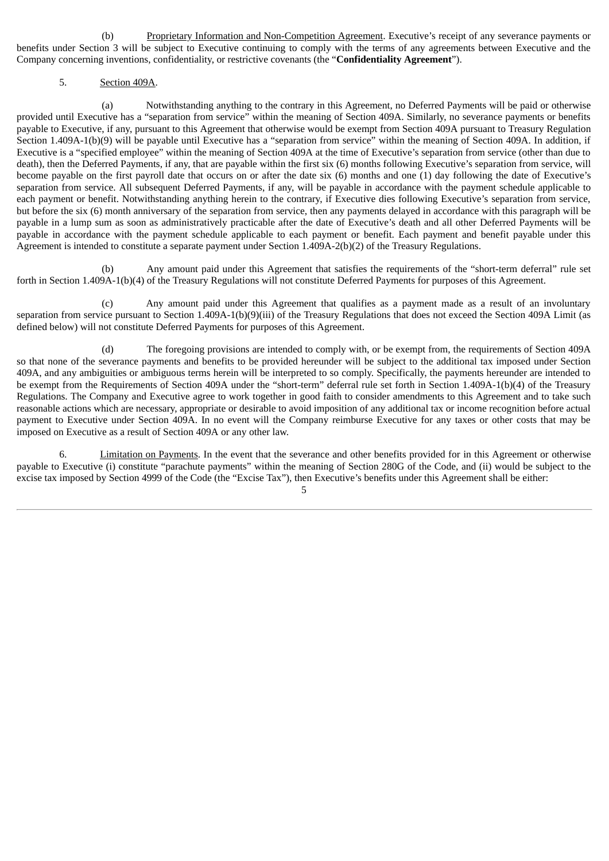(b) Proprietary Information and Non-Competition Agreement. Executive's receipt of any severance payments or benefits under Section 3 will be subject to Executive continuing to comply with the terms of any agreements between Executive and the Company concerning inventions, confidentiality, or restrictive covenants (the "**Confidentiality Agreement**").

# 5. Section 409A.

(a) Notwithstanding anything to the contrary in this Agreement, no Deferred Payments will be paid or otherwise provided until Executive has a "separation from service" within the meaning of Section 409A. Similarly, no severance payments or benefits payable to Executive, if any, pursuant to this Agreement that otherwise would be exempt from Section 409A pursuant to Treasury Regulation Section 1.409A-1(b)(9) will be payable until Executive has a "separation from service" within the meaning of Section 409A. In addition, if Executive is a "specified employee" within the meaning of Section 409A at the time of Executive's separation from service (other than due to death), then the Deferred Payments, if any, that are payable within the first six (6) months following Executive's separation from service, will become payable on the first payroll date that occurs on or after the date six (6) months and one (1) day following the date of Executive's separation from service. All subsequent Deferred Payments, if any, will be payable in accordance with the payment schedule applicable to each payment or benefit. Notwithstanding anything herein to the contrary, if Executive dies following Executive's separation from service, but before the six (6) month anniversary of the separation from service, then any payments delayed in accordance with this paragraph will be payable in a lump sum as soon as administratively practicable after the date of Executive's death and all other Deferred Payments will be payable in accordance with the payment schedule applicable to each payment or benefit. Each payment and benefit payable under this Agreement is intended to constitute a separate payment under Section 1.409A-2(b)(2) of the Treasury Regulations.

(b) Any amount paid under this Agreement that satisfies the requirements of the "short-term deferral" rule set forth in Section 1.409A-1(b)(4) of the Treasury Regulations will not constitute Deferred Payments for purposes of this Agreement.

(c) Any amount paid under this Agreement that qualifies as a payment made as a result of an involuntary separation from service pursuant to Section 1.409A-1(b)(9)(iii) of the Treasury Regulations that does not exceed the Section 409A Limit (as defined below) will not constitute Deferred Payments for purposes of this Agreement.

(d) The foregoing provisions are intended to comply with, or be exempt from, the requirements of Section 409A so that none of the severance payments and benefits to be provided hereunder will be subject to the additional tax imposed under Section 409A, and any ambiguities or ambiguous terms herein will be interpreted to so comply. Specifically, the payments hereunder are intended to be exempt from the Requirements of Section 409A under the "short-term" deferral rule set forth in Section 1.409A-1(b)(4) of the Treasury Regulations. The Company and Executive agree to work together in good faith to consider amendments to this Agreement and to take such reasonable actions which are necessary, appropriate or desirable to avoid imposition of any additional tax or income recognition before actual payment to Executive under Section 409A. In no event will the Company reimburse Executive for any taxes or other costs that may be imposed on Executive as a result of Section 409A or any other law.

6. Limitation on Payments. In the event that the severance and other benefits provided for in this Agreement or otherwise payable to Executive (i) constitute "parachute payments" within the meaning of Section 280G of the Code, and (ii) would be subject to the excise tax imposed by Section 4999 of the Code (the "Excise Tax"), then Executive's benefits under this Agreement shall be either: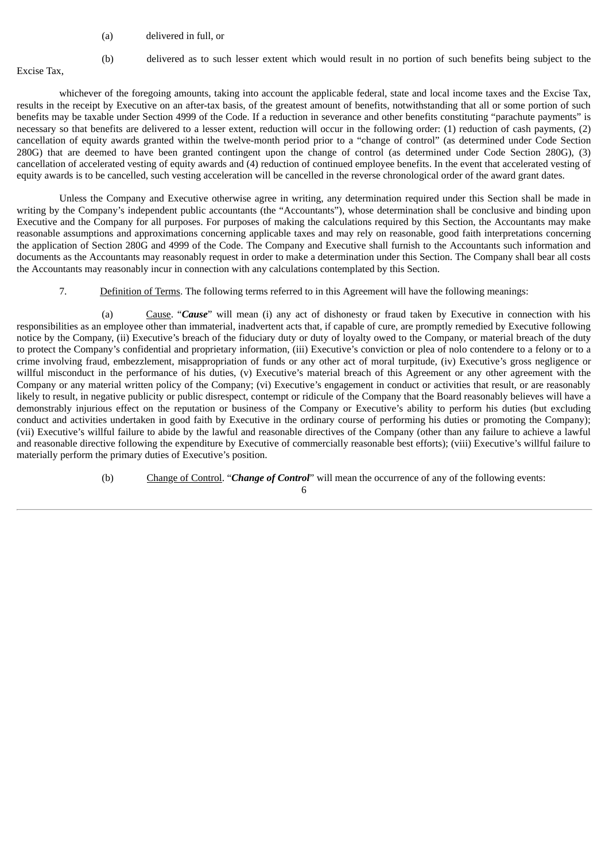(a) delivered in full, or

Excise Tax,

(b) delivered as to such lesser extent which would result in no portion of such benefits being subject to the

whichever of the foregoing amounts, taking into account the applicable federal, state and local income taxes and the Excise Tax, results in the receipt by Executive on an after-tax basis, of the greatest amount of benefits, notwithstanding that all or some portion of such benefits may be taxable under Section 4999 of the Code. If a reduction in severance and other benefits constituting "parachute payments" is necessary so that benefits are delivered to a lesser extent, reduction will occur in the following order: (1) reduction of cash payments, (2) cancellation of equity awards granted within the twelve-month period prior to a "change of control" (as determined under Code Section 280G) that are deemed to have been granted contingent upon the change of control (as determined under Code Section 280G), (3) cancellation of accelerated vesting of equity awards and (4) reduction of continued employee benefits. In the event that accelerated vesting of equity awards is to be cancelled, such vesting acceleration will be cancelled in the reverse chronological order of the award grant dates.

Unless the Company and Executive otherwise agree in writing, any determination required under this Section shall be made in writing by the Company's independent public accountants (the "Accountants"), whose determination shall be conclusive and binding upon Executive and the Company for all purposes. For purposes of making the calculations required by this Section, the Accountants may make reasonable assumptions and approximations concerning applicable taxes and may rely on reasonable, good faith interpretations concerning the application of Section 280G and 4999 of the Code. The Company and Executive shall furnish to the Accountants such information and documents as the Accountants may reasonably request in order to make a determination under this Section. The Company shall bear all costs the Accountants may reasonably incur in connection with any calculations contemplated by this Section.

7. Definition of Terms. The following terms referred to in this Agreement will have the following meanings:

(a) Cause. "*Cause*" will mean (i) any act of dishonesty or fraud taken by Executive in connection with his responsibilities as an employee other than immaterial, inadvertent acts that, if capable of cure, are promptly remedied by Executive following notice by the Company, (ii) Executive's breach of the fiduciary duty or duty of loyalty owed to the Company, or material breach of the duty to protect the Company's confidential and proprietary information, (iii) Executive's conviction or plea of nolo contendere to a felony or to a crime involving fraud, embezzlement, misappropriation of funds or any other act of moral turpitude, (iv) Executive's gross negligence or willful misconduct in the performance of his duties, (v) Executive's material breach of this Agreement or any other agreement with the Company or any material written policy of the Company; (vi) Executive's engagement in conduct or activities that result, or are reasonably likely to result, in negative publicity or public disrespect, contempt or ridicule of the Company that the Board reasonably believes will have a demonstrably injurious effect on the reputation or business of the Company or Executive's ability to perform his duties (but excluding conduct and activities undertaken in good faith by Executive in the ordinary course of performing his duties or promoting the Company); (vii) Executive's willful failure to abide by the lawful and reasonable directives of the Company (other than any failure to achieve a lawful and reasonable directive following the expenditure by Executive of commercially reasonable best efforts); (viii) Executive's willful failure to materially perform the primary duties of Executive's position.

6

(b) Change of Control. "*Change of Control*" will mean the occurrence of any of the following events: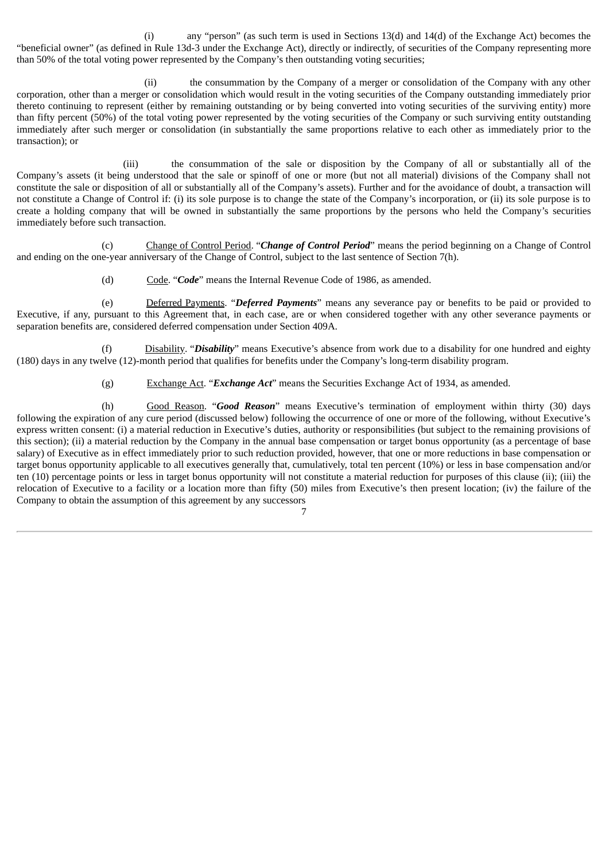(i) any "person" (as such term is used in Sections 13(d) and 14(d) of the Exchange Act) becomes the "beneficial owner" (as defined in Rule 13d-3 under the Exchange Act), directly or indirectly, of securities of the Company representing more than 50% of the total voting power represented by the Company's then outstanding voting securities;

(ii) the consummation by the Company of a merger or consolidation of the Company with any other corporation, other than a merger or consolidation which would result in the voting securities of the Company outstanding immediately prior thereto continuing to represent (either by remaining outstanding or by being converted into voting securities of the surviving entity) more than fifty percent (50%) of the total voting power represented by the voting securities of the Company or such surviving entity outstanding immediately after such merger or consolidation (in substantially the same proportions relative to each other as immediately prior to the transaction); or

(iii) the consummation of the sale or disposition by the Company of all or substantially all of the Company's assets (it being understood that the sale or spinoff of one or more (but not all material) divisions of the Company shall not constitute the sale or disposition of all or substantially all of the Company's assets). Further and for the avoidance of doubt, a transaction will not constitute a Change of Control if: (i) its sole purpose is to change the state of the Company's incorporation, or (ii) its sole purpose is to create a holding company that will be owned in substantially the same proportions by the persons who held the Company's securities immediately before such transaction.

(c) Change of Control Period. "*Change of Control Period*" means the period beginning on a Change of Control and ending on the one-year anniversary of the Change of Control, subject to the last sentence of Section 7(h).

(d) Code. "*Code*" means the Internal Revenue Code of 1986, as amended.

(e) Deferred Payments. "*Deferred Payments*" means any severance pay or benefits to be paid or provided to Executive, if any, pursuant to this Agreement that, in each case, are or when considered together with any other severance payments or separation benefits are, considered deferred compensation under Section 409A.

(f) Disability. "*Disability*" means Executive's absence from work due to a disability for one hundred and eighty (180) days in any twelve (12)-month period that qualifies for benefits under the Company's long-term disability program.

(g) Exchange Act. "*Exchange Act*" means the Securities Exchange Act of 1934, as amended.

(h) Good Reason. "*Good Reason*" means Executive's termination of employment within thirty (30) days following the expiration of any cure period (discussed below) following the occurrence of one or more of the following, without Executive's express written consent: (i) a material reduction in Executive's duties, authority or responsibilities (but subject to the remaining provisions of this section); (ii) a material reduction by the Company in the annual base compensation or target bonus opportunity (as a percentage of base salary) of Executive as in effect immediately prior to such reduction provided, however, that one or more reductions in base compensation or target bonus opportunity applicable to all executives generally that, cumulatively, total ten percent (10%) or less in base compensation and/or ten (10) percentage points or less in target bonus opportunity will not constitute a material reduction for purposes of this clause (ii); (iii) the relocation of Executive to a facility or a location more than fifty (50) miles from Executive's then present location; (iv) the failure of the Company to obtain the assumption of this agreement by any successors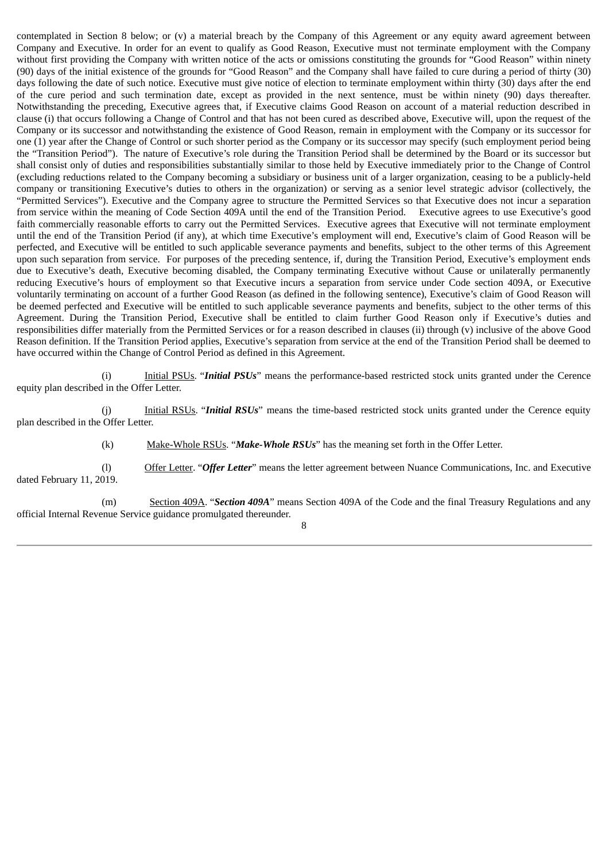contemplated in Section 8 below; or (v) a material breach by the Company of this Agreement or any equity award agreement between Company and Executive. In order for an event to qualify as Good Reason, Executive must not terminate employment with the Company without first providing the Company with written notice of the acts or omissions constituting the grounds for "Good Reason" within ninety (90) days of the initial existence of the grounds for "Good Reason" and the Company shall have failed to cure during a period of thirty (30) days following the date of such notice. Executive must give notice of election to terminate employment within thirty (30) days after the end of the cure period and such termination date, except as provided in the next sentence, must be within ninety (90) days thereafter. Notwithstanding the preceding, Executive agrees that, if Executive claims Good Reason on account of a material reduction described in clause (i) that occurs following a Change of Control and that has not been cured as described above, Executive will, upon the request of the Company or its successor and notwithstanding the existence of Good Reason, remain in employment with the Company or its successor for one (1) year after the Change of Control or such shorter period as the Company or its successor may specify (such employment period being the "Transition Period"). The nature of Executive's role during the Transition Period shall be determined by the Board or its successor but shall consist only of duties and responsibilities substantially similar to those held by Executive immediately prior to the Change of Control (excluding reductions related to the Company becoming a subsidiary or business unit of a larger organization, ceasing to be a publicly-held company or transitioning Executive's duties to others in the organization) or serving as a senior level strategic advisor (collectively, the "Permitted Services"). Executive and the Company agree to structure the Permitted Services so that Executive does not incur a separation from service within the meaning of Code Section 409A until the end of the Transition Period. Executive agrees to use Executive's good faith commercially reasonable efforts to carry out the Permitted Services. Executive agrees that Executive will not terminate employment until the end of the Transition Period (if any), at which time Executive's employment will end, Executive's claim of Good Reason will be perfected, and Executive will be entitled to such applicable severance payments and benefits, subject to the other terms of this Agreement upon such separation from service. For purposes of the preceding sentence, if, during the Transition Period, Executive's employment ends due to Executive's death, Executive becoming disabled, the Company terminating Executive without Cause or unilaterally permanently reducing Executive's hours of employment so that Executive incurs a separation from service under Code section 409A, or Executive voluntarily terminating on account of a further Good Reason (as defined in the following sentence), Executive's claim of Good Reason will be deemed perfected and Executive will be entitled to such applicable severance payments and benefits, subject to the other terms of this Agreement. During the Transition Period, Executive shall be entitled to claim further Good Reason only if Executive's duties and responsibilities differ materially from the Permitted Services or for a reason described in clauses (ii) through (v) inclusive of the above Good Reason definition. If the Transition Period applies, Executive's separation from service at the end of the Transition Period shall be deemed to have occurred within the Change of Control Period as defined in this Agreement.

(i) Initial PSUs. "*Initial PSUs*" means the performance-based restricted stock units granted under the Cerence equity plan described in the Offer Letter.

(j) Initial RSUs. "*Initial RSUs*" means the time-based restricted stock units granted under the Cerence equity plan described in the Offer Letter.

(k) Make-Whole RSUs. "*Make-Whole RSUs*" has the meaning set forth in the Offer Letter.

(l) Offer Letter. "*Offer Letter*" means the letter agreement between Nuance Communications, Inc. and Executive dated February 11, 2019.

(m) Section 409A. "*Section 409A*" means Section 409A of the Code and the final Treasury Regulations and any official Internal Revenue Service guidance promulgated thereunder.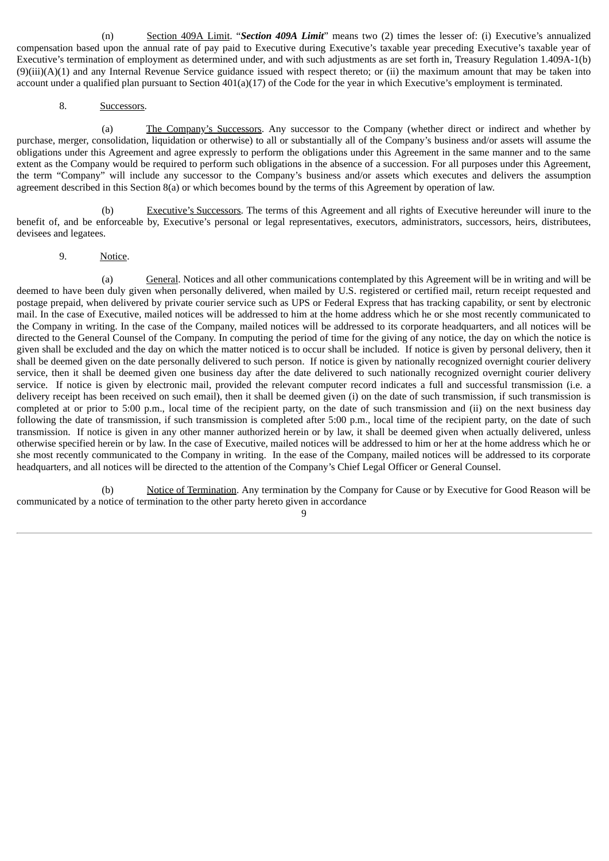(n) Section 409A Limit. "*Section 409A Limit*" means two (2) times the lesser of: (i) Executive's annualized compensation based upon the annual rate of pay paid to Executive during Executive's taxable year preceding Executive's taxable year of Executive's termination of employment as determined under, and with such adjustments as are set forth in, Treasury Regulation 1.409A-1(b)  $(9)(iii)(A)(1)$  and any Internal Revenue Service guidance issued with respect thereto; or (ii) the maximum amount that may be taken into account under a qualified plan pursuant to Section 401(a)(17) of the Code for the year in which Executive's employment is terminated.

# 8. Successors.

(a) The Company's Successors. Any successor to the Company (whether direct or indirect and whether by purchase, merger, consolidation, liquidation or otherwise) to all or substantially all of the Company's business and/or assets will assume the obligations under this Agreement and agree expressly to perform the obligations under this Agreement in the same manner and to the same extent as the Company would be required to perform such obligations in the absence of a succession. For all purposes under this Agreement, the term "Company" will include any successor to the Company's business and/or assets which executes and delivers the assumption agreement described in this Section 8(a) or which becomes bound by the terms of this Agreement by operation of law.

(b) Executive's Successors. The terms of this Agreement and all rights of Executive hereunder will inure to the benefit of, and be enforceable by, Executive's personal or legal representatives, executors, administrators, successors, heirs, distributees, devisees and legatees.

# 9. Notice.

(a) General. Notices and all other communications contemplated by this Agreement will be in writing and will be deemed to have been duly given when personally delivered, when mailed by U.S. registered or certified mail, return receipt requested and postage prepaid, when delivered by private courier service such as UPS or Federal Express that has tracking capability, or sent by electronic mail. In the case of Executive, mailed notices will be addressed to him at the home address which he or she most recently communicated to the Company in writing. In the case of the Company, mailed notices will be addressed to its corporate headquarters, and all notices will be directed to the General Counsel of the Company. In computing the period of time for the giving of any notice, the day on which the notice is given shall be excluded and the day on which the matter noticed is to occur shall be included. If notice is given by personal delivery, then it shall be deemed given on the date personally delivered to such person. If notice is given by nationally recognized overnight courier delivery service, then it shall be deemed given one business day after the date delivered to such nationally recognized overnight courier delivery service. If notice is given by electronic mail, provided the relevant computer record indicates a full and successful transmission (i.e. a delivery receipt has been received on such email), then it shall be deemed given (i) on the date of such transmission, if such transmission is completed at or prior to 5:00 p.m., local time of the recipient party, on the date of such transmission and (ii) on the next business day following the date of transmission, if such transmission is completed after 5:00 p.m., local time of the recipient party, on the date of such transmission. If notice is given in any other manner authorized herein or by law, it shall be deemed given when actually delivered, unless otherwise specified herein or by law. In the case of Executive, mailed notices will be addressed to him or her at the home address which he or she most recently communicated to the Company in writing. In the ease of the Company, mailed notices will be addressed to its corporate headquarters, and all notices will be directed to the attention of the Company's Chief Legal Officer or General Counsel.

(b) Notice of Termination. Any termination by the Company for Cause or by Executive for Good Reason will be communicated by a notice of termination to the other party hereto given in accordance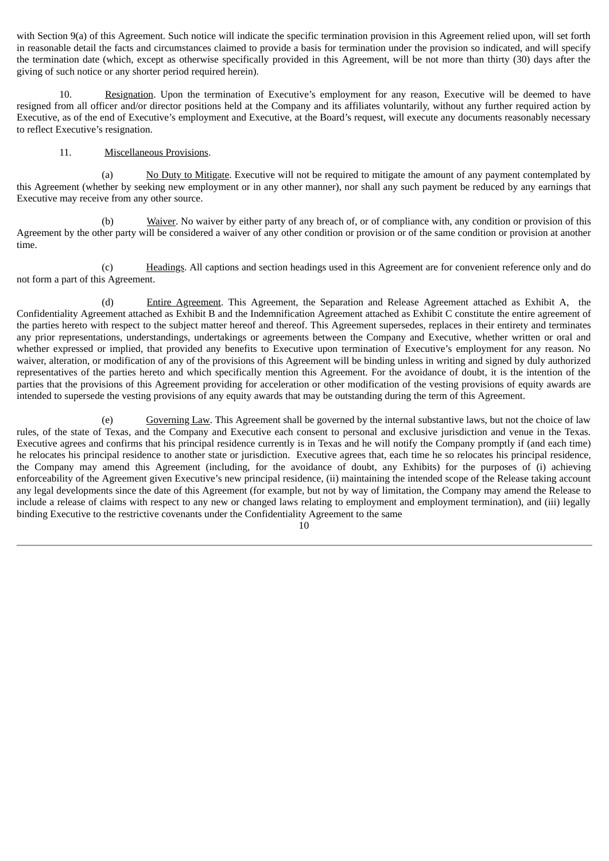with Section 9(a) of this Agreement. Such notice will indicate the specific termination provision in this Agreement relied upon, will set forth in reasonable detail the facts and circumstances claimed to provide a basis for termination under the provision so indicated, and will specify the termination date (which, except as otherwise specifically provided in this Agreement, will be not more than thirty (30) days after the giving of such notice or any shorter period required herein).

10. Resignation. Upon the termination of Executive's employment for any reason, Executive will be deemed to have resigned from all officer and/or director positions held at the Company and its affiliates voluntarily, without any further required action by Executive, as of the end of Executive's employment and Executive, at the Board's request, will execute any documents reasonably necessary to reflect Executive's resignation.

# 11. Miscellaneous Provisions.

(a) No Duty to Mitigate. Executive will not be required to mitigate the amount of any payment contemplated by this Agreement (whether by seeking new employment or in any other manner), nor shall any such payment be reduced by any earnings that Executive may receive from any other source.

(b) Waiver. No waiver by either party of any breach of, or of compliance with, any condition or provision of this Agreement by the other party will be considered a waiver of any other condition or provision or of the same condition or provision at another time.

(c) Headings. All captions and section headings used in this Agreement are for convenient reference only and do not form a part of this Agreement.

(d) Entire Agreement. This Agreement, the Separation and Release Agreement attached as Exhibit A, the Confidentiality Agreement attached as Exhibit B and the Indemnification Agreement attached as Exhibit C constitute the entire agreement of the parties hereto with respect to the subject matter hereof and thereof. This Agreement supersedes, replaces in their entirety and terminates any prior representations, understandings, undertakings or agreements between the Company and Executive, whether written or oral and whether expressed or implied, that provided any benefits to Executive upon termination of Executive's employment for any reason. No waiver, alteration, or modification of any of the provisions of this Agreement will be binding unless in writing and signed by duly authorized representatives of the parties hereto and which specifically mention this Agreement. For the avoidance of doubt, it is the intention of the parties that the provisions of this Agreement providing for acceleration or other modification of the vesting provisions of equity awards are intended to supersede the vesting provisions of any equity awards that may be outstanding during the term of this Agreement.

(e) Governing Law. This Agreement shall be governed by the internal substantive laws, but not the choice of law rules, of the state of Texas, and the Company and Executive each consent to personal and exclusive jurisdiction and venue in the Texas. Executive agrees and confirms that his principal residence currently is in Texas and he will notify the Company promptly if (and each time) he relocates his principal residence to another state or jurisdiction. Executive agrees that, each time he so relocates his principal residence, the Company may amend this Agreement (including, for the avoidance of doubt, any Exhibits) for the purposes of (i) achieving enforceability of the Agreement given Executive's new principal residence, (ii) maintaining the intended scope of the Release taking account any legal developments since the date of this Agreement (for example, but not by way of limitation, the Company may amend the Release to include a release of claims with respect to any new or changed laws relating to employment and employment termination), and (iii) legally binding Executive to the restrictive covenants under the Confidentiality Agreement to the same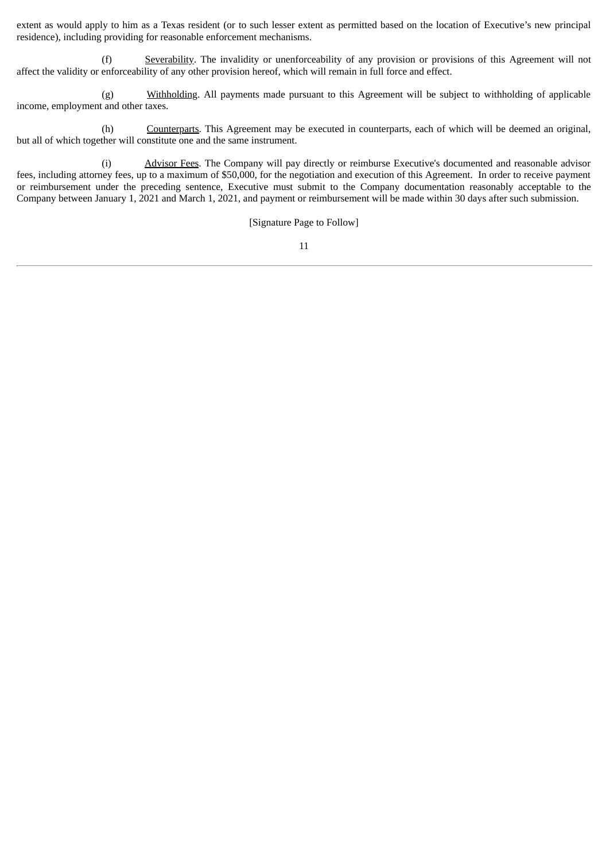extent as would apply to him as a Texas resident (or to such lesser extent as permitted based on the location of Executive's new principal residence), including providing for reasonable enforcement mechanisms.

(f) Severability. The invalidity or unenforceability of any provision or provisions of this Agreement will not affect the validity or enforceability of any other provision hereof, which will remain in full force and effect.

(g) Withholding. All payments made pursuant to this Agreement will be subject to withholding of applicable income, employment and other taxes.

(h) Counterparts. This Agreement may be executed in counterparts, each of which will be deemed an original, but all of which together will constitute one and the same instrument.

(i) Advisor Fees. The Company will pay directly or reimburse Executive's documented and reasonable advisor fees, including attorney fees, up to a maximum of \$50,000, for the negotiation and execution of this Agreement. In order to receive payment or reimbursement under the preceding sentence, Executive must submit to the Company documentation reasonably acceptable to the Company between January 1, 2021 and March 1, 2021, and payment or reimbursement will be made within 30 days after such submission.

[Signature Page to Follow]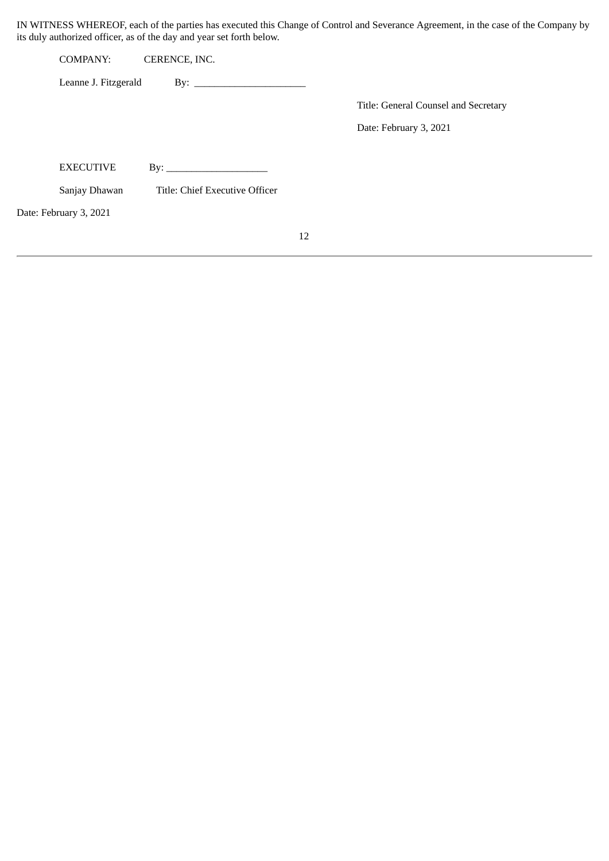IN WITNESS WHEREOF, each of the parties has executed this Change of Control and Severance Agreement, in the case of the Company by its duly authorized officer, as of the day and year set forth below.

| <b>COMPANY:</b>        | CERENCE, INC.                  |    |                                      |
|------------------------|--------------------------------|----|--------------------------------------|
| Leanne J. Fitzgerald   | By: $\qquad \qquad$            |    |                                      |
|                        |                                |    | Title: General Counsel and Secretary |
|                        |                                |    | Date: February 3, 2021               |
|                        |                                |    |                                      |
| <b>EXECUTIVE</b>       |                                |    |                                      |
| Sanjay Dhawan          | Title: Chief Executive Officer |    |                                      |
| Date: February 3, 2021 |                                |    |                                      |
|                        |                                | 12 |                                      |
|                        |                                |    |                                      |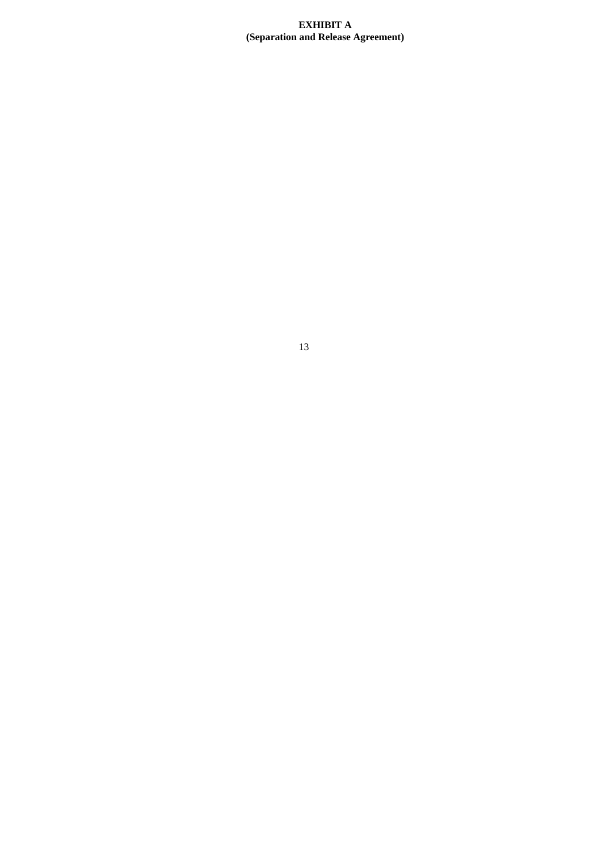# **EXHIBIT A (Separation and Release Agreement)**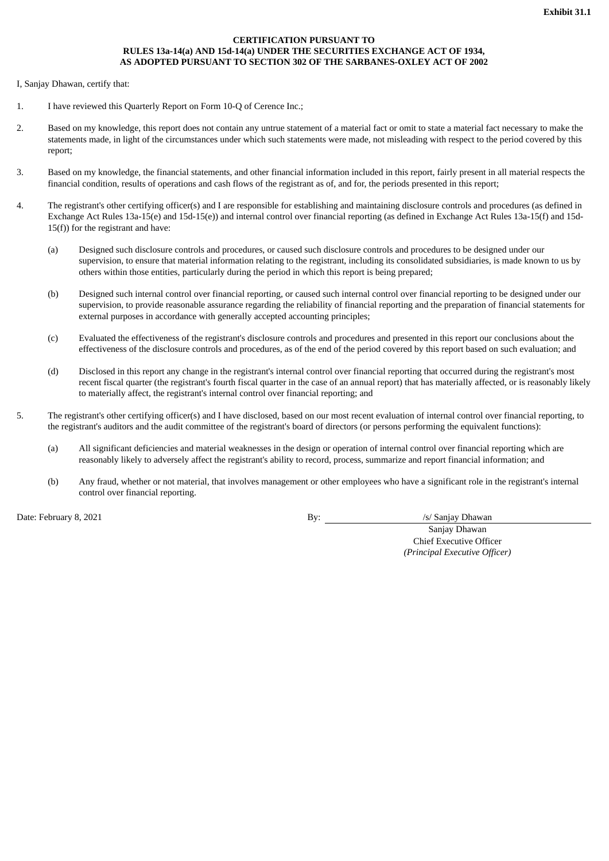# **CERTIFICATION PURSUANT TO RULES 13a-14(a) AND 15d-14(a) UNDER THE SECURITIES EXCHANGE ACT OF 1934, AS ADOPTED PURSUANT TO SECTION 302 OF THE SARBANES-OXLEY ACT OF 2002**

<span id="page-56-0"></span>I, Sanjay Dhawan, certify that:

- 1. I have reviewed this Quarterly Report on Form 10-Q of Cerence Inc.;
- 2. Based on my knowledge, this report does not contain any untrue statement of a material fact or omit to state a material fact necessary to make the statements made, in light of the circumstances under which such statements were made, not misleading with respect to the period covered by this report;
- 3. Based on my knowledge, the financial statements, and other financial information included in this report, fairly present in all material respects the financial condition, results of operations and cash flows of the registrant as of, and for, the periods presented in this report;
- 4. The registrant's other certifying officer(s) and I are responsible for establishing and maintaining disclosure controls and procedures (as defined in Exchange Act Rules 13a-15(e) and 15d-15(e)) and internal control over financial reporting (as defined in Exchange Act Rules 13a-15(f) and 15d- $15(f)$ ) for the registrant and have:
	- (a) Designed such disclosure controls and procedures, or caused such disclosure controls and procedures to be designed under our supervision, to ensure that material information relating to the registrant, including its consolidated subsidiaries, is made known to us by others within those entities, particularly during the period in which this report is being prepared;
	- (b) Designed such internal control over financial reporting, or caused such internal control over financial reporting to be designed under our supervision, to provide reasonable assurance regarding the reliability of financial reporting and the preparation of financial statements for external purposes in accordance with generally accepted accounting principles;
	- (c) Evaluated the effectiveness of the registrant's disclosure controls and procedures and presented in this report our conclusions about the effectiveness of the disclosure controls and procedures, as of the end of the period covered by this report based on such evaluation; and
	- (d) Disclosed in this report any change in the registrant's internal control over financial reporting that occurred during the registrant's most recent fiscal quarter (the registrant's fourth fiscal quarter in the case of an annual report) that has materially affected, or is reasonably likely to materially affect, the registrant's internal control over financial reporting; and
- 5. The registrant's other certifying officer(s) and I have disclosed, based on our most recent evaluation of internal control over financial reporting, to the registrant's auditors and the audit committee of the registrant's board of directors (or persons performing the equivalent functions):
	- (a) All significant deficiencies and material weaknesses in the design or operation of internal control over financial reporting which are reasonably likely to adversely affect the registrant's ability to record, process, summarize and report financial information; and
	- (b) Any fraud, whether or not material, that involves management or other employees who have a significant role in the registrant's internal control over financial reporting.

Date: February 8, 2021 **By:** *By*: *By*: *Simplement Is/ Sanjay Dhawan* 

Sanjay Dhawan Chief Executive Officer *(Principal Executive Officer)*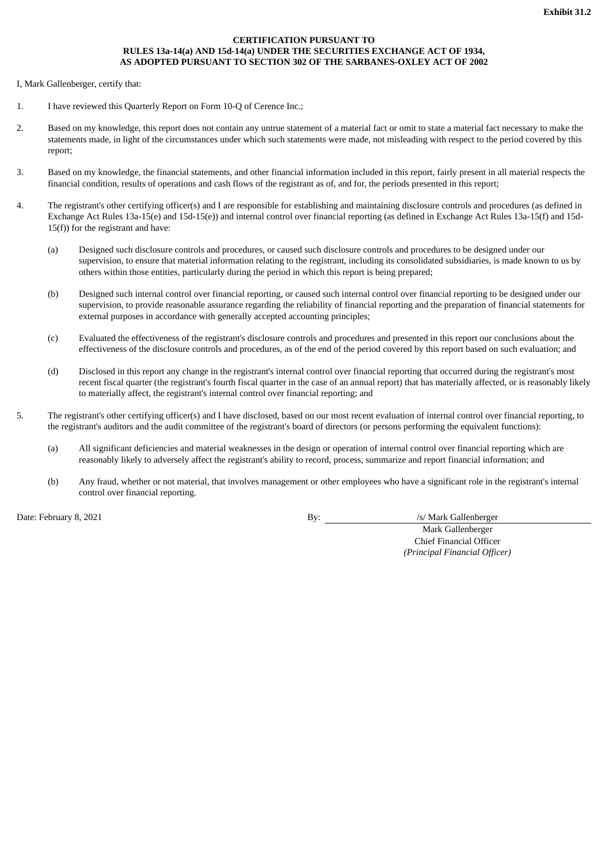# **CERTIFICATION PURSUANT TO RULES 13a-14(a) AND 15d-14(a) UNDER THE SECURITIES EXCHANGE ACT OF 1934, AS ADOPTED PURSUANT TO SECTION 302 OF THE SARBANES-OXLEY ACT OF 2002**

<span id="page-57-0"></span>I, Mark Gallenberger, certify that:

- 1. I have reviewed this Quarterly Report on Form 10-Q of Cerence Inc.;
- 2. Based on my knowledge, this report does not contain any untrue statement of a material fact or omit to state a material fact necessary to make the statements made, in light of the circumstances under which such statements were made, not misleading with respect to the period covered by this report;
- 3. Based on my knowledge, the financial statements, and other financial information included in this report, fairly present in all material respects the financial condition, results of operations and cash flows of the registrant as of, and for, the periods presented in this report;
- 4. The registrant's other certifying officer(s) and I are responsible for establishing and maintaining disclosure controls and procedures (as defined in Exchange Act Rules 13a-15(e) and 15d-15(e)) and internal control over financial reporting (as defined in Exchange Act Rules 13a-15(f) and 15d- $15(f)$ ) for the registrant and have:
	- (a) Designed such disclosure controls and procedures, or caused such disclosure controls and procedures to be designed under our supervision, to ensure that material information relating to the registrant, including its consolidated subsidiaries, is made known to us by others within those entities, particularly during the period in which this report is being prepared;
	- (b) Designed such internal control over financial reporting, or caused such internal control over financial reporting to be designed under our supervision, to provide reasonable assurance regarding the reliability of financial reporting and the preparation of financial statements for external purposes in accordance with generally accepted accounting principles;
	- (c) Evaluated the effectiveness of the registrant's disclosure controls and procedures and presented in this report our conclusions about the effectiveness of the disclosure controls and procedures, as of the end of the period covered by this report based on such evaluation; and
	- (d) Disclosed in this report any change in the registrant's internal control over financial reporting that occurred during the registrant's most recent fiscal quarter (the registrant's fourth fiscal quarter in the case of an annual report) that has materially affected, or is reasonably likely to materially affect, the registrant's internal control over financial reporting; and
- 5. The registrant's other certifying officer(s) and I have disclosed, based on our most recent evaluation of internal control over financial reporting, to the registrant's auditors and the audit committee of the registrant's board of directors (or persons performing the equivalent functions):
	- (a) All significant deficiencies and material weaknesses in the design or operation of internal control over financial reporting which are reasonably likely to adversely affect the registrant's ability to record, process, summarize and report financial information; and
	- (b) Any fraud, whether or not material, that involves management or other employees who have a significant role in the registrant's internal control over financial reporting.

Date: February 8, 2021 <br>By: /s/ Mark Gallenberger

Mark Gallenberger Chief Financial Officer *(Principal Financial Officer)*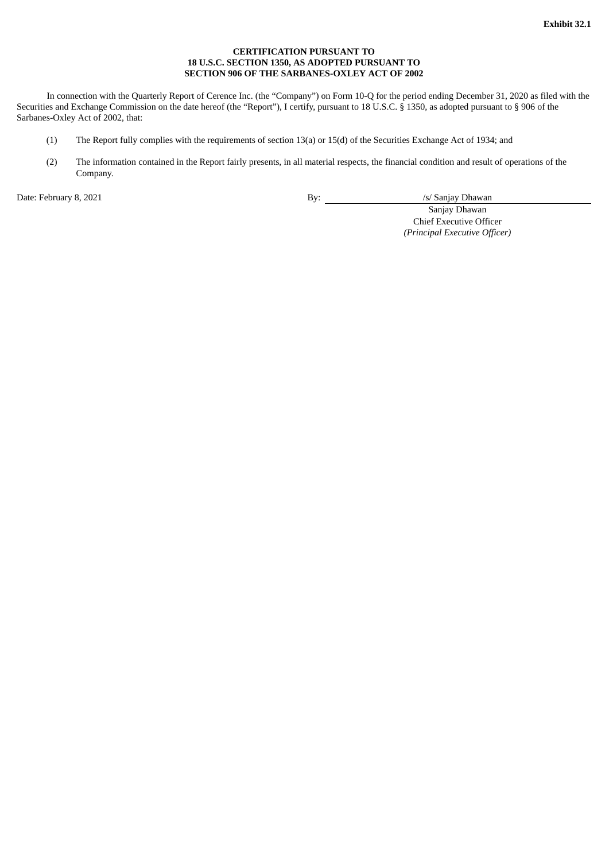# **CERTIFICATION PURSUANT TO 18 U.S.C. SECTION 1350, AS ADOPTED PURSUANT TO SECTION 906 OF THE SARBANES-OXLEY ACT OF 2002**

<span id="page-58-0"></span>In connection with the Quarterly Report of Cerence Inc. (the "Company") on Form 10-Q for the period ending December 31, 2020 as filed with the Securities and Exchange Commission on the date hereof (the "Report"), I certify, pursuant to 18 U.S.C. § 1350, as adopted pursuant to § 906 of the Sarbanes-Oxley Act of 2002, that:

- (1) The Report fully complies with the requirements of section 13(a) or 15(d) of the Securities Exchange Act of 1934; and
- (2) The information contained in the Report fairly presents, in all material respects, the financial condition and result of operations of the Company.

Date: February 8, 2021 **By:** *By: Islamic By: By: Islamic By: Islamic By: Islamic By: Islamic By: Islamic By: Islamic By: Islamic By: Islamic By: Islamic By: Islamic By: Islamic By: Islamic By:* 

Sanjay Dhawan Chief Executive Officer *(Principal Executive Officer)*